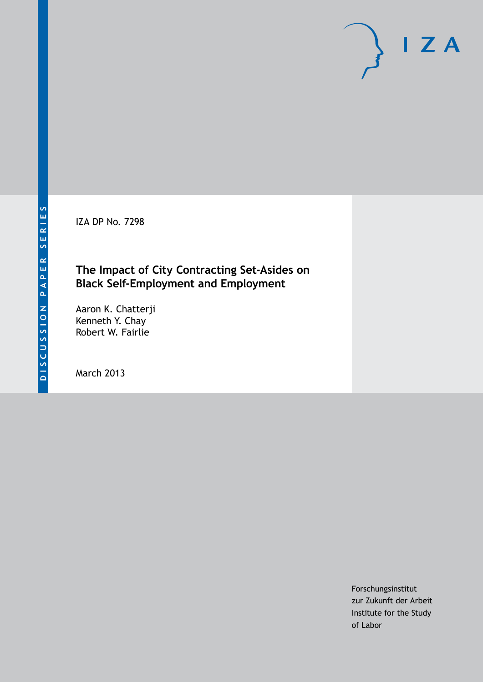IZA DP No. 7298

### **The Impact of City Contracting Set-Asides on Black Self-Employment and Employment**

Aaron K. Chatterji Kenneth Y. Chay Robert W. Fairlie

March 2013

Forschungsinstitut zur Zukunft der Arbeit Institute for the Study of Labor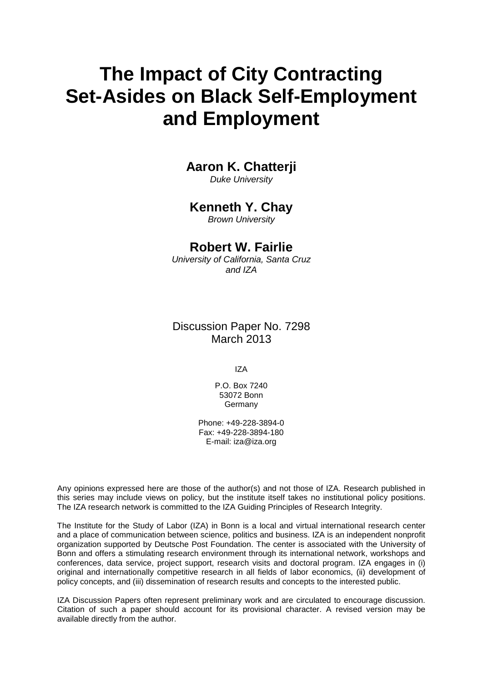# **The Impact of City Contracting Set-Asides on Black Self-Employment and Employment**

### **Aaron K. Chatterji**

*Duke University*

### **Kenneth Y. Chay**

*Brown University*

### **Robert W. Fairlie**

*University of California, Santa Cruz and IZA*

### Discussion Paper No. 7298 March 2013

IZA

P.O. Box 7240 53072 Bonn Germany

Phone: +49-228-3894-0 Fax: +49-228-3894-180 E-mail: [iza@iza.org](mailto:iza@iza.org)

Any opinions expressed here are those of the author(s) and not those of IZA. Research published in this series may include views on policy, but the institute itself takes no institutional policy positions. The IZA research network is committed to the IZA Guiding Principles of Research Integrity.

The Institute for the Study of Labor (IZA) in Bonn is a local and virtual international research center and a place of communication between science, politics and business. IZA is an independent nonprofit organization supported by Deutsche Post Foundation. The center is associated with the University of Bonn and offers a stimulating research environment through its international network, workshops and conferences, data service, project support, research visits and doctoral program. IZA engages in (i) original and internationally competitive research in all fields of labor economics, (ii) development of policy concepts, and (iii) dissemination of research results and concepts to the interested public.

<span id="page-1-0"></span>IZA Discussion Papers often represent preliminary work and are circulated to encourage discussion. Citation of such a paper should account for its provisional character. A revised version may be available directly from the author.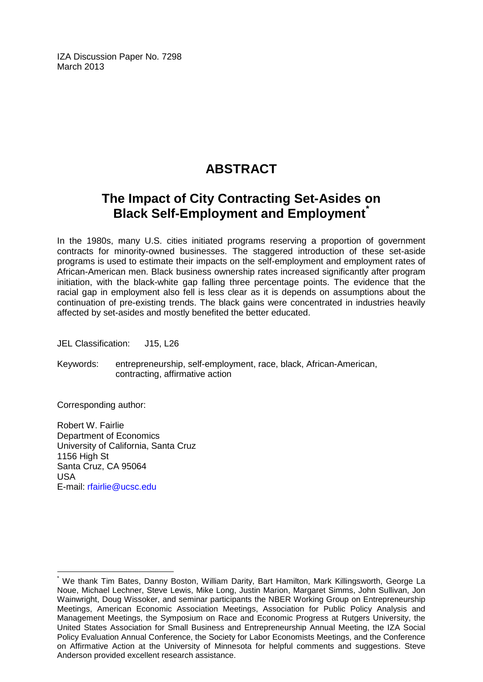IZA Discussion Paper No. 7298 March 2013

# **ABSTRACT**

## **The Impact of City Contracting Set-Asides on Black Self-Employment and Employment[\\*](#page-1-0)**

In the 1980s, many U.S. cities initiated programs reserving a proportion of government contracts for minority-owned businesses. The staggered introduction of these set-aside programs is used to estimate their impacts on the self-employment and employment rates of African-American men. Black business ownership rates increased significantly after program initiation, with the black-white gap falling three percentage points. The evidence that the racial gap in employment also fell is less clear as it is depends on assumptions about the continuation of pre-existing trends. The black gains were concentrated in industries heavily affected by set-asides and mostly benefited the better educated.

JEL Classification: J15, L26

Keywords: entrepreneurship, self-employment, race, black, African-American, contracting, affirmative action

Corresponding author:

Robert W. Fairlie Department of Economics University of California, Santa Cruz 1156 High St Santa Cruz, CA 95064 USA E-mail: [rfairlie@ucsc.edu](mailto:rfairlie@ucsc.edu)

\* We thank Tim Bates, Danny Boston, William Darity, Bart Hamilton, Mark Killingsworth, George La Noue, Michael Lechner, Steve Lewis, Mike Long, Justin Marion, Margaret Simms, John Sullivan, Jon Wainwright, Doug Wissoker, and seminar participants the NBER Working Group on Entrepreneurship Meetings, American Economic Association Meetings, Association for Public Policy Analysis and Management Meetings, the Symposium on Race and Economic Progress at Rutgers University, the United States Association for Small Business and Entrepreneurship Annual Meeting, the IZA Social Policy Evaluation Annual Conference, the Society for Labor Economists Meetings, and the Conference on Affirmative Action at the University of Minnesota for helpful comments and suggestions. Steve Anderson provided excellent research assistance.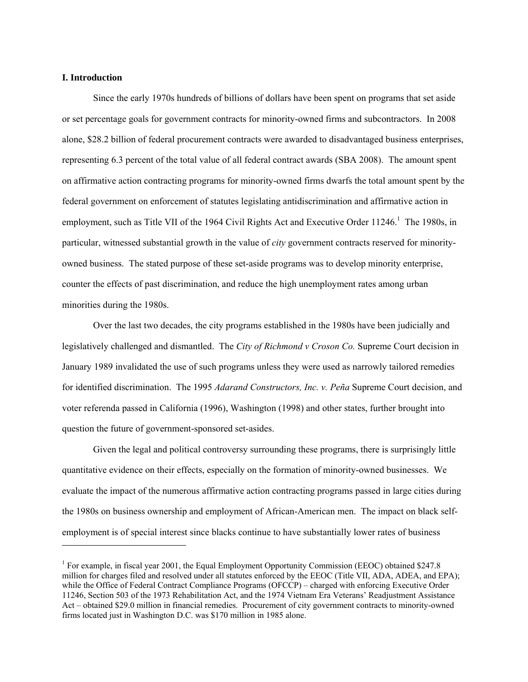#### **I. Introduction**

 $\overline{a}$ 

 Since the early 1970s hundreds of billions of dollars have been spent on programs that set aside or set percentage goals for government contracts for minority-owned firms and subcontractors. In 2008 alone, \$28.2 billion of federal procurement contracts were awarded to disadvantaged business enterprises, representing 6.3 percent of the total value of all federal contract awards (SBA 2008). The amount spent on affirmative action contracting programs for minority-owned firms dwarfs the total amount spent by the federal government on enforcement of statutes legislating antidiscrimination and affirmative action in employment, such as Title VII of the 1964 Civil Rights Act and Executive Order 11246.<sup>1</sup> The 1980s, in particular, witnessed substantial growth in the value of *city* government contracts reserved for minorityowned business. The stated purpose of these set-aside programs was to develop minority enterprise, counter the effects of past discrimination, and reduce the high unemployment rates among urban minorities during the 1980s.

Over the last two decades, the city programs established in the 1980s have been judicially and legislatively challenged and dismantled. The *City of Richmond v Croson Co.* Supreme Court decision in January 1989 invalidated the use of such programs unless they were used as narrowly tailored remedies for identified discrimination. The 1995 *Adarand Constructors, Inc. v. Peña* Supreme Court decision, and voter referenda passed in California (1996), Washington (1998) and other states, further brought into question the future of government-sponsored set-asides.

 Given the legal and political controversy surrounding these programs, there is surprisingly little quantitative evidence on their effects, especially on the formation of minority-owned businesses. We evaluate the impact of the numerous affirmative action contracting programs passed in large cities during the 1980s on business ownership and employment of African-American men. The impact on black selfemployment is of special interest since blacks continue to have substantially lower rates of business

<sup>&</sup>lt;sup>1</sup> For example, in fiscal year 2001, the Equal Employment Opportunity Commission (EEOC) obtained \$247.8 million for charges filed and resolved under all statutes enforced by the EEOC (Title VII, ADA, ADEA, and EPA); while the Office of Federal Contract Compliance Programs (OFCCP) – charged with enforcing Executive Order 11246, Section 503 of the 1973 Rehabilitation Act, and the 1974 Vietnam Era Veterans' Readjustment Assistance Act – obtained \$29.0 million in financial remedies. Procurement of city government contracts to minority-owned firms located just in Washington D.C. was \$170 million in 1985 alone.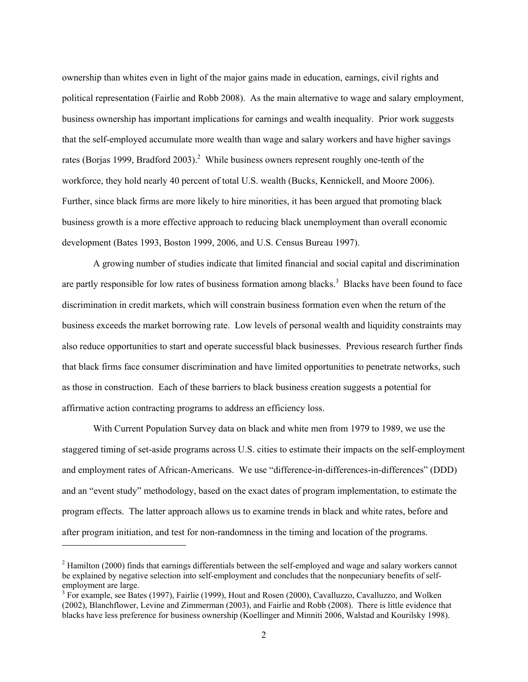ownership than whites even in light of the major gains made in education, earnings, civil rights and political representation (Fairlie and Robb 2008). As the main alternative to wage and salary employment, business ownership has important implications for earnings and wealth inequality. Prior work suggests that the self-employed accumulate more wealth than wage and salary workers and have higher savings rates (Borjas 1999, Bradford 2003).<sup>2</sup> While business owners represent roughly one-tenth of the workforce, they hold nearly 40 percent of total U.S. wealth (Bucks, Kennickell, and Moore 2006). Further, since black firms are more likely to hire minorities, it has been argued that promoting black business growth is a more effective approach to reducing black unemployment than overall economic development (Bates 1993, Boston 1999, 2006, and U.S. Census Bureau 1997).

A growing number of studies indicate that limited financial and social capital and discrimination are partly responsible for low rates of business formation among blacks.<sup>3</sup> Blacks have been found to face discrimination in credit markets, which will constrain business formation even when the return of the business exceeds the market borrowing rate. Low levels of personal wealth and liquidity constraints may also reduce opportunities to start and operate successful black businesses. Previous research further finds that black firms face consumer discrimination and have limited opportunities to penetrate networks, such as those in construction. Each of these barriers to black business creation suggests a potential for affirmative action contracting programs to address an efficiency loss.

 With Current Population Survey data on black and white men from 1979 to 1989, we use the staggered timing of set-aside programs across U.S. cities to estimate their impacts on the self-employment and employment rates of African-Americans. We use "difference-in-differences-in-differences" (DDD) and an "event study" methodology, based on the exact dates of program implementation, to estimate the program effects. The latter approach allows us to examine trends in black and white rates, before and after program initiation, and test for non-randomness in the timing and location of the programs.

 $\overline{a}$ 

 $2$ <sup>2</sup> Hamilton (2000) finds that earnings differentials between the self-employed and wage and salary workers cannot be explained by negative selection into self-employment and concludes that the nonpecuniary benefits of selfemployment are large.

<sup>&</sup>lt;sup>3</sup> For example, see Bates (1997), Fairlie (1999), Hout and Rosen (2000), Cavalluzzo, Cavalluzzo, and Wolken (2002), Blanchflower, Levine and Zimmerman (2003), and Fairlie and Robb (2008). There is little evidence that blacks have less preference for business ownership (Koellinger and Minniti 2006, Walstad and Kourilsky 1998).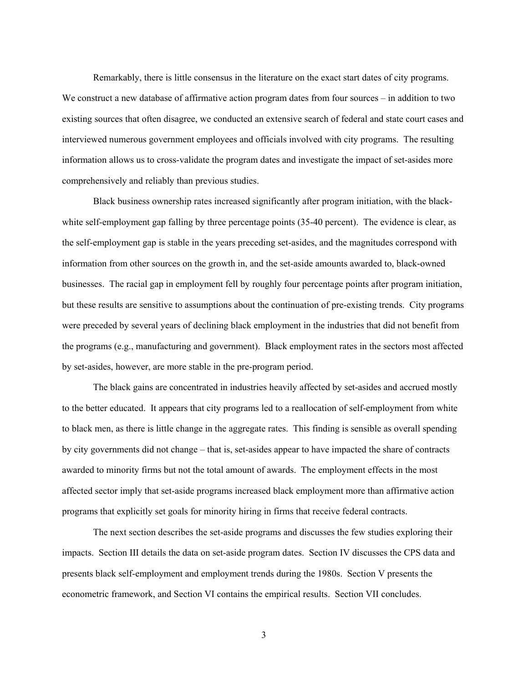Remarkably, there is little consensus in the literature on the exact start dates of city programs. We construct a new database of affirmative action program dates from four sources – in addition to two existing sources that often disagree, we conducted an extensive search of federal and state court cases and interviewed numerous government employees and officials involved with city programs. The resulting information allows us to cross-validate the program dates and investigate the impact of set-asides more comprehensively and reliably than previous studies.

 Black business ownership rates increased significantly after program initiation, with the blackwhite self-employment gap falling by three percentage points (35-40 percent). The evidence is clear, as the self-employment gap is stable in the years preceding set-asides, and the magnitudes correspond with information from other sources on the growth in, and the set-aside amounts awarded to, black-owned businesses. The racial gap in employment fell by roughly four percentage points after program initiation, but these results are sensitive to assumptions about the continuation of pre-existing trends. City programs were preceded by several years of declining black employment in the industries that did not benefit from the programs (e.g., manufacturing and government). Black employment rates in the sectors most affected by set-asides, however, are more stable in the pre-program period.

 The black gains are concentrated in industries heavily affected by set-asides and accrued mostly to the better educated. It appears that city programs led to a reallocation of self-employment from white to black men, as there is little change in the aggregate rates. This finding is sensible as overall spending by city governments did not change – that is, set-asides appear to have impacted the share of contracts awarded to minority firms but not the total amount of awards. The employment effects in the most affected sector imply that set-aside programs increased black employment more than affirmative action programs that explicitly set goals for minority hiring in firms that receive federal contracts.

 The next section describes the set-aside programs and discusses the few studies exploring their impacts. Section III details the data on set-aside program dates. Section IV discusses the CPS data and presents black self-employment and employment trends during the 1980s. Section V presents the econometric framework, and Section VI contains the empirical results. Section VII concludes.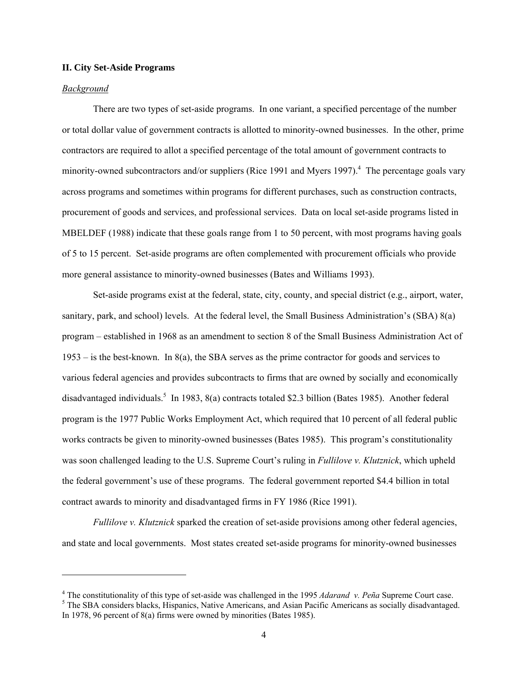#### **II. City Set-Aside Programs**

#### *Background*

-

 There are two types of set-aside programs. In one variant, a specified percentage of the number or total dollar value of government contracts is allotted to minority-owned businesses. In the other, prime contractors are required to allot a specified percentage of the total amount of government contracts to minority-owned subcontractors and/or suppliers (Rice 1991 and Myers 1997).<sup>4</sup> The percentage goals vary across programs and sometimes within programs for different purchases, such as construction contracts, procurement of goods and services, and professional services. Data on local set-aside programs listed in MBELDEF (1988) indicate that these goals range from 1 to 50 percent, with most programs having goals of 5 to 15 percent. Set-aside programs are often complemented with procurement officials who provide more general assistance to minority-owned businesses (Bates and Williams 1993).

 Set-aside programs exist at the federal, state, city, county, and special district (e.g., airport, water, sanitary, park, and school) levels. At the federal level, the Small Business Administration's (SBA) 8(a) program – established in 1968 as an amendment to section 8 of the Small Business Administration Act of 1953 – is the best-known. In 8(a), the SBA serves as the prime contractor for goods and services to various federal agencies and provides subcontracts to firms that are owned by socially and economically disadvantaged individuals.<sup>5</sup> In 1983, 8(a) contracts totaled \$2.3 billion (Bates 1985). Another federal program is the 1977 Public Works Employment Act, which required that 10 percent of all federal public works contracts be given to minority-owned businesses (Bates 1985). This program's constitutionality was soon challenged leading to the U.S. Supreme Court's ruling in *Fullilove v. Klutznick*, which upheld the federal government's use of these programs. The federal government reported \$4.4 billion in total contract awards to minority and disadvantaged firms in FY 1986 (Rice 1991).

*Fullilove v. Klutznick* sparked the creation of set-aside provisions among other federal agencies, and state and local governments. Most states created set-aside programs for minority-owned businesses

<sup>&</sup>lt;sup>4</sup> The constitutionality of this type of set-aside was challenged in the 1995 *Adarand v. Peña* Supreme Court case.  $\frac{5}{2}$  The SBA considers blocks. Highering Mating Americans and Asian Bosific Americans as socially d

<sup>&</sup>lt;sup>5</sup> The SBA considers blacks, Hispanics, Native Americans, and Asian Pacific Americans as socially disadvantaged. In 1978, 96 percent of 8(a) firms were owned by minorities (Bates 1985).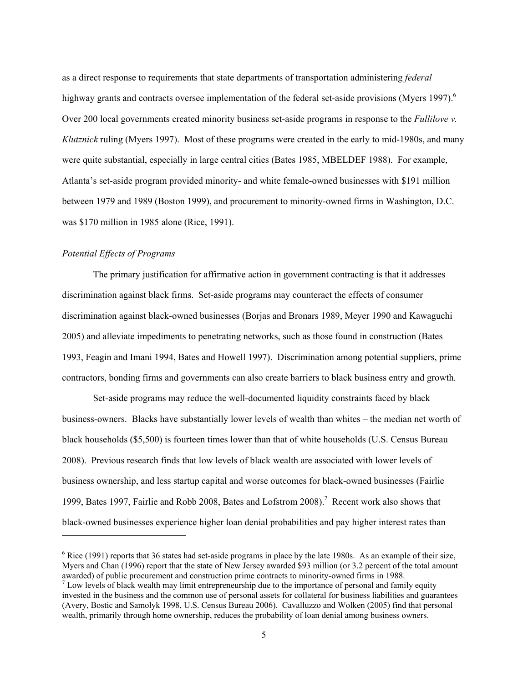as a direct response to requirements that state departments of transportation administering *federal* highway grants and contracts oversee implementation of the federal set-aside provisions (Myers 1997).<sup>6</sup> Over 200 local governments created minority business set-aside programs in response to the *Fullilove v. Klutznick* ruling (Myers 1997). Most of these programs were created in the early to mid-1980s, and many were quite substantial, especially in large central cities (Bates 1985, MBELDEF 1988). For example, Atlanta's set-aside program provided minority- and white female-owned businesses with \$191 million between 1979 and 1989 (Boston 1999), and procurement to minority-owned firms in Washington, D.C. was \$170 million in 1985 alone (Rice, 1991).

#### *Potential Effects of Programs*

1

 The primary justification for affirmative action in government contracting is that it addresses discrimination against black firms. Set-aside programs may counteract the effects of consumer discrimination against black-owned businesses (Borjas and Bronars 1989, Meyer 1990 and Kawaguchi 2005) and alleviate impediments to penetrating networks, such as those found in construction (Bates 1993, Feagin and Imani 1994, Bates and Howell 1997). Discrimination among potential suppliers, prime contractors, bonding firms and governments can also create barriers to black business entry and growth.

 Set-aside programs may reduce the well-documented liquidity constraints faced by black business-owners. Blacks have substantially lower levels of wealth than whites – the median net worth of black households (\$5,500) is fourteen times lower than that of white households (U.S. Census Bureau 2008). Previous research finds that low levels of black wealth are associated with lower levels of business ownership, and less startup capital and worse outcomes for black-owned businesses (Fairlie 1999, Bates 1997, Fairlie and Robb 2008, Bates and Lofstrom 2008).<sup>7</sup> Recent work also shows that black-owned businesses experience higher loan denial probabilities and pay higher interest rates than

 $6$  Rice (1991) reports that 36 states had set-aside programs in place by the late 1980s. As an example of their size, Myers and Chan (1996) report that the state of New Jersey awarded \$93 million (or 3.2 percent of the total amount awarded) of public procurement and construction prime contracts to minority-owned firms in 1988.

 $<sup>7</sup>$  Low levels of black wealth may limit entrepreneurship due to the importance of personal and family equity</sup> invested in the business and the common use of personal assets for collateral for business liabilities and guarantees (Avery, Bostic and Samolyk 1998, U.S. Census Bureau 2006). Cavalluzzo and Wolken (2005) find that personal wealth, primarily through home ownership, reduces the probability of loan denial among business owners.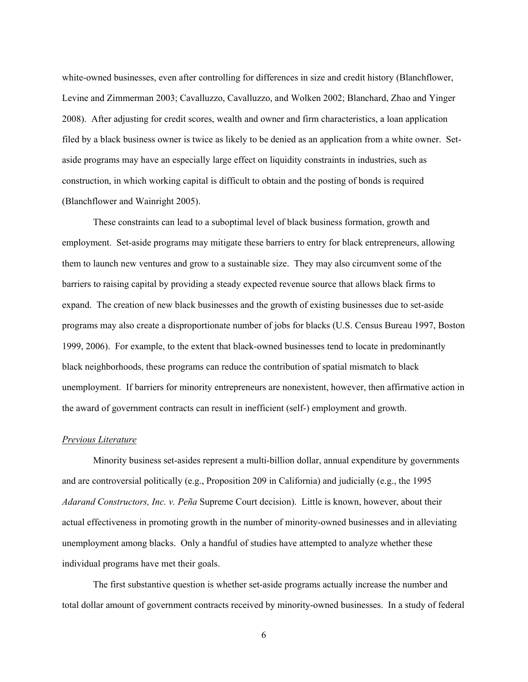white-owned businesses, even after controlling for differences in size and credit history (Blanchflower, Levine and Zimmerman 2003; Cavalluzzo, Cavalluzzo, and Wolken 2002; Blanchard, Zhao and Yinger 2008). After adjusting for credit scores, wealth and owner and firm characteristics, a loan application filed by a black business owner is twice as likely to be denied as an application from a white owner. Setaside programs may have an especially large effect on liquidity constraints in industries, such as construction, in which working capital is difficult to obtain and the posting of bonds is required (Blanchflower and Wainright 2005).

 These constraints can lead to a suboptimal level of black business formation, growth and employment. Set-aside programs may mitigate these barriers to entry for black entrepreneurs, allowing them to launch new ventures and grow to a sustainable size. They may also circumvent some of the barriers to raising capital by providing a steady expected revenue source that allows black firms to expand. The creation of new black businesses and the growth of existing businesses due to set-aside programs may also create a disproportionate number of jobs for blacks (U.S. Census Bureau 1997, Boston 1999, 2006). For example, to the extent that black-owned businesses tend to locate in predominantly black neighborhoods, these programs can reduce the contribution of spatial mismatch to black unemployment. If barriers for minority entrepreneurs are nonexistent, however, then affirmative action in the award of government contracts can result in inefficient (self-) employment and growth.

#### *Previous Literature*

 Minority business set-asides represent a multi-billion dollar, annual expenditure by governments and are controversial politically (e.g., Proposition 209 in California) and judicially (e.g., the 1995 *Adarand Constructors, Inc. v. Peña* Supreme Court decision). Little is known, however, about their actual effectiveness in promoting growth in the number of minority-owned businesses and in alleviating unemployment among blacks. Only a handful of studies have attempted to analyze whether these individual programs have met their goals.

 The first substantive question is whether set-aside programs actually increase the number and total dollar amount of government contracts received by minority-owned businesses. In a study of federal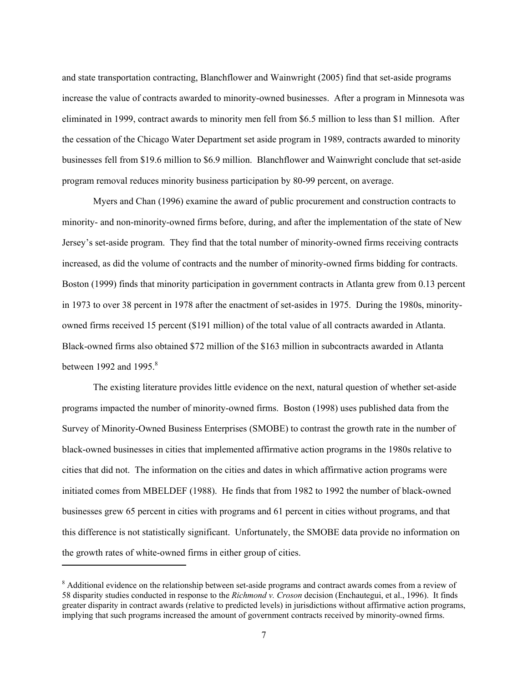and state transportation contracting, Blanchflower and Wainwright (2005) find that set-aside programs increase the value of contracts awarded to minority-owned businesses. After a program in Minnesota was eliminated in 1999, contract awards to minority men fell from \$6.5 million to less than \$1 million. After the cessation of the Chicago Water Department set aside program in 1989, contracts awarded to minority businesses fell from \$19.6 million to \$6.9 million. Blanchflower and Wainwright conclude that set-aside program removal reduces minority business participation by 80-99 percent, on average.

 Myers and Chan (1996) examine the award of public procurement and construction contracts to minority- and non-minority-owned firms before, during, and after the implementation of the state of New Jersey's set-aside program. They find that the total number of minority-owned firms receiving contracts increased, as did the volume of contracts and the number of minority-owned firms bidding for contracts. Boston (1999) finds that minority participation in government contracts in Atlanta grew from 0.13 percent in 1973 to over 38 percent in 1978 after the enactment of set-asides in 1975. During the 1980s, minorityowned firms received 15 percent (\$191 million) of the total value of all contracts awarded in Atlanta. Black-owned firms also obtained \$72 million of the \$163 million in subcontracts awarded in Atlanta between 1992 and 1995. $8$ 

 The existing literature provides little evidence on the next, natural question of whether set-aside programs impacted the number of minority-owned firms. Boston (1998) uses published data from the Survey of Minority-Owned Business Enterprises (SMOBE) to contrast the growth rate in the number of black-owned businesses in cities that implemented affirmative action programs in the 1980s relative to cities that did not. The information on the cities and dates in which affirmative action programs were initiated comes from MBELDEF (1988). He finds that from 1982 to 1992 the number of black-owned businesses grew 65 percent in cities with programs and 61 percent in cities without programs, and that this difference is not statistically significant. Unfortunately, the SMOBE data provide no information on the growth rates of white-owned firms in either group of cities.

<sup>&</sup>lt;sup>8</sup> Additional evidence on the relationship between set-aside programs and contract awards comes from a review of 58 disparity studies conducted in response to the *Richmond v. Croson* decision (Enchautegui, et al., 1996). It finds greater disparity in contract awards (relative to predicted levels) in jurisdictions without affirmative action programs, implying that such programs increased the amount of government contracts received by minority-owned firms.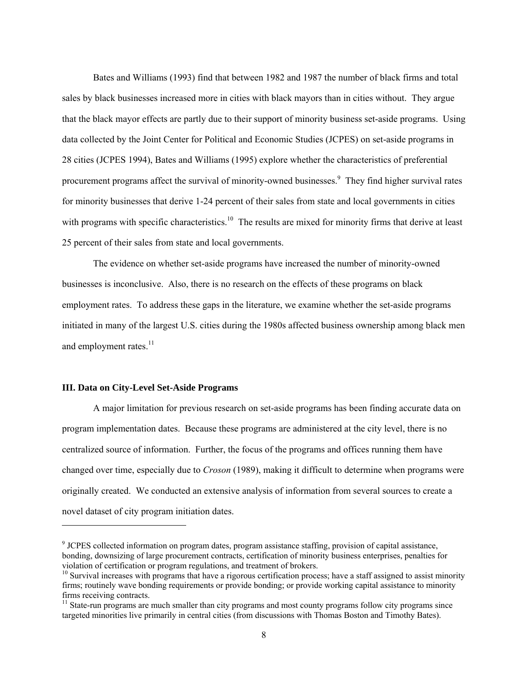Bates and Williams (1993) find that between 1982 and 1987 the number of black firms and total sales by black businesses increased more in cities with black mayors than in cities without. They argue that the black mayor effects are partly due to their support of minority business set-aside programs. Using data collected by the Joint Center for Political and Economic Studies (JCPES) on set-aside programs in 28 cities (JCPES 1994), Bates and Williams (1995) explore whether the characteristics of preferential procurement programs affect the survival of minority-owned businesses.<sup>9</sup> They find higher survival rates for minority businesses that derive 1-24 percent of their sales from state and local governments in cities with programs with specific characteristics.<sup>10</sup> The results are mixed for minority firms that derive at least 25 percent of their sales from state and local governments.

 The evidence on whether set-aside programs have increased the number of minority-owned businesses is inconclusive. Also, there is no research on the effects of these programs on black employment rates. To address these gaps in the literature, we examine whether the set-aside programs initiated in many of the largest U.S. cities during the 1980s affected business ownership among black men and employment rates. $11$ 

#### **III. Data on City-Level Set-Aside Programs**

1

 A major limitation for previous research on set-aside programs has been finding accurate data on program implementation dates. Because these programs are administered at the city level, there is no centralized source of information. Further, the focus of the programs and offices running them have changed over time, especially due to *Croson* (1989), making it difficult to determine when programs were originally created. We conducted an extensive analysis of information from several sources to create a novel dataset of city program initiation dates.

<sup>&</sup>lt;sup>9</sup> JCPES collected information on program dates, program assistance staffing, provision of capital assistance, bonding, downsizing of large procurement contracts, certification of minority business enterprises, penalties for violation of certification or program regulations, and treatment of brokers.

<sup>&</sup>lt;sup>10</sup> Survival increases with programs that have a rigorous certification process; have a staff assigned to assist minority firms; routinely wave bonding requirements or provide bonding; or provide working capital assistance to minority firms receiving contracts.

<sup>&</sup>lt;sup>11</sup> State-run programs are much smaller than city programs and most county programs follow city programs since targeted minorities live primarily in central cities (from discussions with Thomas Boston and Timothy Bates).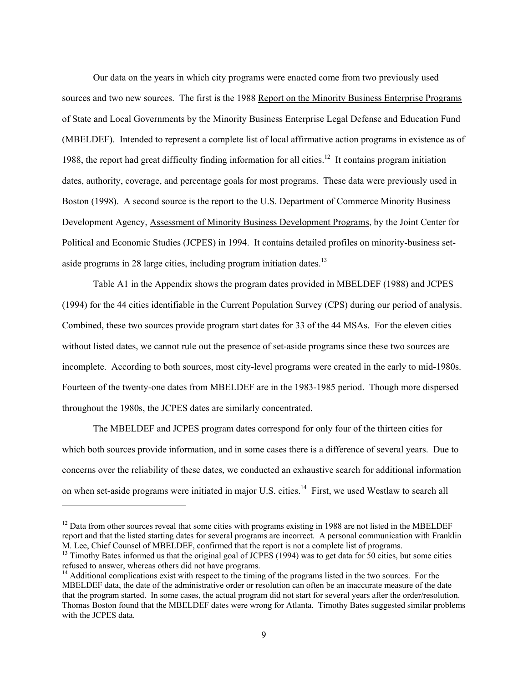Our data on the years in which city programs were enacted come from two previously used sources and two new sources. The first is the 1988 Report on the Minority Business Enterprise Programs of State and Local Governments by the Minority Business Enterprise Legal Defense and Education Fund (MBELDEF). Intended to represent a complete list of local affirmative action programs in existence as of 1988, the report had great difficulty finding information for all cities.<sup>12</sup> It contains program initiation dates, authority, coverage, and percentage goals for most programs. These data were previously used in Boston (1998). A second source is the report to the U.S. Department of Commerce Minority Business Development Agency, Assessment of Minority Business Development Programs, by the Joint Center for Political and Economic Studies (JCPES) in 1994. It contains detailed profiles on minority-business setaside programs in 28 large cities, including program initiation dates.<sup>13</sup>

 Table A1 in the Appendix shows the program dates provided in MBELDEF (1988) and JCPES (1994) for the 44 cities identifiable in the Current Population Survey (CPS) during our period of analysis. Combined, these two sources provide program start dates for 33 of the 44 MSAs. For the eleven cities without listed dates, we cannot rule out the presence of set-aside programs since these two sources are incomplete. According to both sources, most city-level programs were created in the early to mid-1980s. Fourteen of the twenty-one dates from MBELDEF are in the 1983-1985 period. Though more dispersed throughout the 1980s, the JCPES dates are similarly concentrated.

The MBELDEF and JCPES program dates correspond for only four of the thirteen cities for which both sources provide information, and in some cases there is a difference of several years. Due to concerns over the reliability of these dates, we conducted an exhaustive search for additional information on when set-aside programs were initiated in major U.S. cities.<sup>14</sup> First, we used Westlaw to search all

 $12$  Data from other sources reveal that some cities with programs existing in 1988 are not listed in the MBELDEF report and that the listed starting dates for several programs are incorrect. A personal communication with Franklin M. Lee, Chief Counsel of MBELDEF, confirmed that the report is not a complete list of programs.<br><sup>13</sup> Timothy Bates informed us that the original goal of JCPES (1994) was to get data for 50 cities, but some cities

refused to answer, whereas others did not have programs.

<sup>&</sup>lt;sup>14</sup> Additional complications exist with respect to the timing of the programs listed in the two sources. For the MBELDEF data, the date of the administrative order or resolution can often be an inaccurate measure of the date that the program started. In some cases, the actual program did not start for several years after the order/resolution. Thomas Boston found that the MBELDEF dates were wrong for Atlanta. Timothy Bates suggested similar problems with the JCPES data.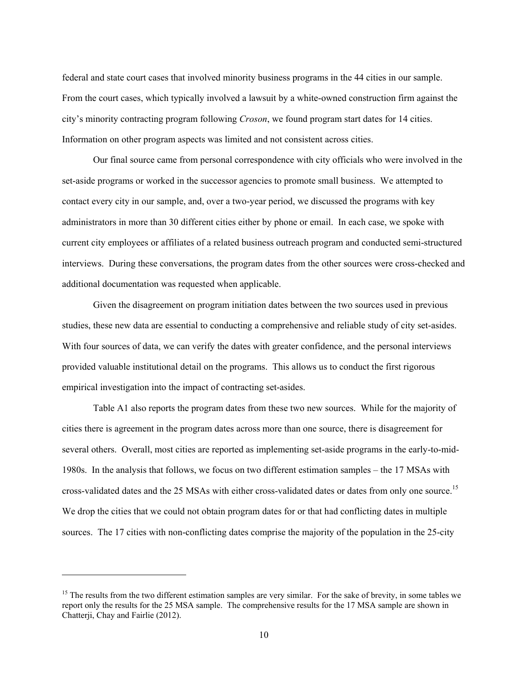federal and state court cases that involved minority business programs in the 44 cities in our sample. From the court cases, which typically involved a lawsuit by a white-owned construction firm against the city's minority contracting program following *Croson*, we found program start dates for 14 cities. Information on other program aspects was limited and not consistent across cities.

Our final source came from personal correspondence with city officials who were involved in the set-aside programs or worked in the successor agencies to promote small business. We attempted to contact every city in our sample, and, over a two-year period, we discussed the programs with key administrators in more than 30 different cities either by phone or email. In each case, we spoke with current city employees or affiliates of a related business outreach program and conducted semi-structured interviews. During these conversations, the program dates from the other sources were cross-checked and additional documentation was requested when applicable.

Given the disagreement on program initiation dates between the two sources used in previous studies, these new data are essential to conducting a comprehensive and reliable study of city set-asides. With four sources of data, we can verify the dates with greater confidence, and the personal interviews provided valuable institutional detail on the programs. This allows us to conduct the first rigorous empirical investigation into the impact of contracting set-asides.

 Table A1 also reports the program dates from these two new sources. While for the majority of cities there is agreement in the program dates across more than one source, there is disagreement for several others. Overall, most cities are reported as implementing set-aside programs in the early-to-mid-1980s. In the analysis that follows, we focus on two different estimation samples – the 17 MSAs with cross-validated dates and the 25 MSAs with either cross-validated dates or dates from only one source.<sup>15</sup> We drop the cities that we could not obtain program dates for or that had conflicting dates in multiple sources. The 17 cities with non-conflicting dates comprise the majority of the population in the 25-city

-

 $<sup>15</sup>$  The results from the two different estimation samples are very similar. For the sake of brevity, in some tables we</sup> report only the results for the 25 MSA sample. The comprehensive results for the 17 MSA sample are shown in Chatterji, Chay and Fairlie (2012).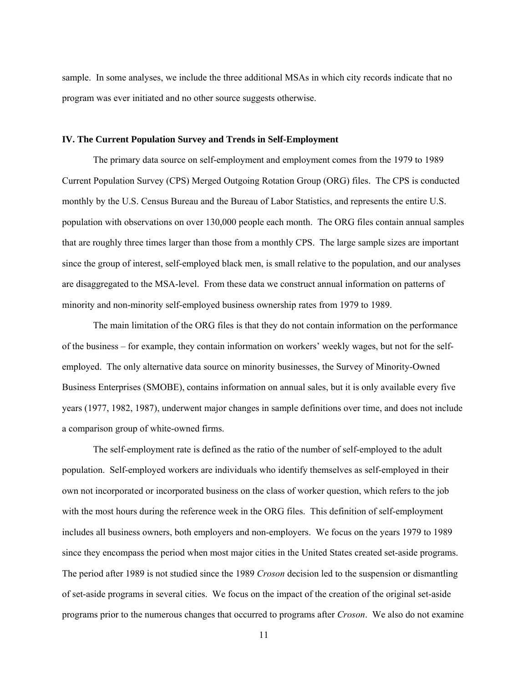sample. In some analyses, we include the three additional MSAs in which city records indicate that no program was ever initiated and no other source suggests otherwise.

#### **IV. The Current Population Survey and Trends in Self-Employment**

 The primary data source on self-employment and employment comes from the 1979 to 1989 Current Population Survey (CPS) Merged Outgoing Rotation Group (ORG) files. The CPS is conducted monthly by the U.S. Census Bureau and the Bureau of Labor Statistics, and represents the entire U.S. population with observations on over 130,000 people each month. The ORG files contain annual samples that are roughly three times larger than those from a monthly CPS. The large sample sizes are important since the group of interest, self-employed black men, is small relative to the population, and our analyses are disaggregated to the MSA-level. From these data we construct annual information on patterns of minority and non-minority self-employed business ownership rates from 1979 to 1989.

 The main limitation of the ORG files is that they do not contain information on the performance of the business – for example, they contain information on workers' weekly wages, but not for the selfemployed. The only alternative data source on minority businesses, the Survey of Minority-Owned Business Enterprises (SMOBE), contains information on annual sales, but it is only available every five years (1977, 1982, 1987), underwent major changes in sample definitions over time, and does not include a comparison group of white-owned firms.

 The self-employment rate is defined as the ratio of the number of self-employed to the adult population. Self-employed workers are individuals who identify themselves as self-employed in their own not incorporated or incorporated business on the class of worker question, which refers to the job with the most hours during the reference week in the ORG files. This definition of self-employment includes all business owners, both employers and non-employers. We focus on the years 1979 to 1989 since they encompass the period when most major cities in the United States created set-aside programs. The period after 1989 is not studied since the 1989 *Croson* decision led to the suspension or dismantling of set-aside programs in several cities. We focus on the impact of the creation of the original set-aside programs prior to the numerous changes that occurred to programs after *Croson*. We also do not examine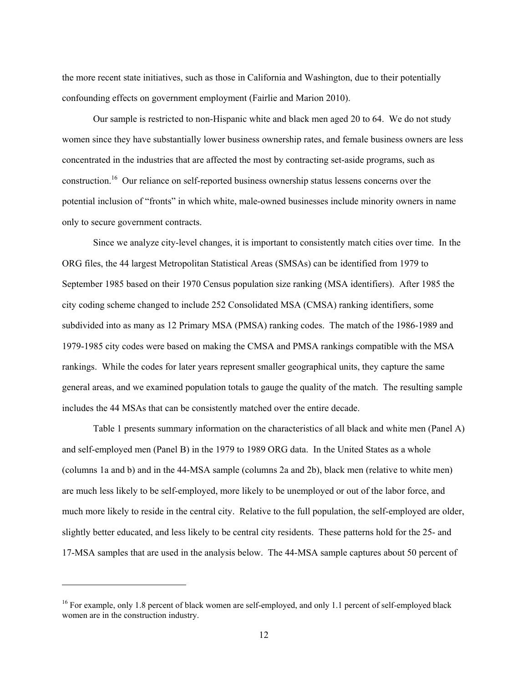the more recent state initiatives, such as those in California and Washington, due to their potentially confounding effects on government employment (Fairlie and Marion 2010).

 Our sample is restricted to non-Hispanic white and black men aged 20 to 64. We do not study women since they have substantially lower business ownership rates, and female business owners are less concentrated in the industries that are affected the most by contracting set-aside programs, such as construction.16 Our reliance on self-reported business ownership status lessens concerns over the potential inclusion of "fronts" in which white, male-owned businesses include minority owners in name only to secure government contracts.

 Since we analyze city-level changes, it is important to consistently match cities over time. In the ORG files, the 44 largest Metropolitan Statistical Areas (SMSAs) can be identified from 1979 to September 1985 based on their 1970 Census population size ranking (MSA identifiers). After 1985 the city coding scheme changed to include 252 Consolidated MSA (CMSA) ranking identifiers, some subdivided into as many as 12 Primary MSA (PMSA) ranking codes. The match of the 1986-1989 and 1979-1985 city codes were based on making the CMSA and PMSA rankings compatible with the MSA rankings. While the codes for later years represent smaller geographical units, they capture the same general areas, and we examined population totals to gauge the quality of the match. The resulting sample includes the 44 MSAs that can be consistently matched over the entire decade.

 Table 1 presents summary information on the characteristics of all black and white men (Panel A) and self-employed men (Panel B) in the 1979 to 1989 ORG data. In the United States as a whole (columns 1a and b) and in the 44-MSA sample (columns 2a and 2b), black men (relative to white men) are much less likely to be self-employed, more likely to be unemployed or out of the labor force, and much more likely to reside in the central city. Relative to the full population, the self-employed are older, slightly better educated, and less likely to be central city residents. These patterns hold for the 25- and 17-MSA samples that are used in the analysis below. The 44-MSA sample captures about 50 percent of

<sup>&</sup>lt;sup>16</sup> For example, only 1.8 percent of black women are self-employed, and only 1.1 percent of self-employed black women are in the construction industry.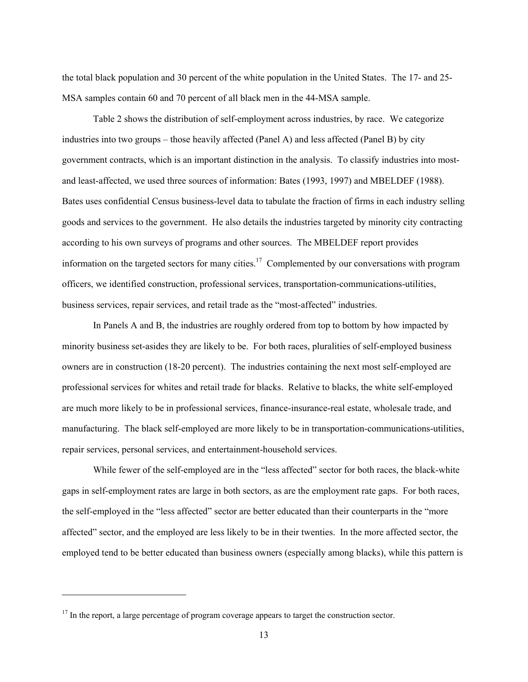the total black population and 30 percent of the white population in the United States. The 17- and 25- MSA samples contain 60 and 70 percent of all black men in the 44-MSA sample.

 Table 2 shows the distribution of self-employment across industries, by race. We categorize industries into two groups – those heavily affected (Panel A) and less affected (Panel B) by city government contracts, which is an important distinction in the analysis. To classify industries into mostand least-affected, we used three sources of information: Bates (1993, 1997) and MBELDEF (1988). Bates uses confidential Census business-level data to tabulate the fraction of firms in each industry selling goods and services to the government. He also details the industries targeted by minority city contracting according to his own surveys of programs and other sources. The MBELDEF report provides information on the targeted sectors for many cities.<sup>17</sup> Complemented by our conversations with program officers, we identified construction, professional services, transportation-communications-utilities, business services, repair services, and retail trade as the "most-affected" industries.

 In Panels A and B, the industries are roughly ordered from top to bottom by how impacted by minority business set-asides they are likely to be. For both races, pluralities of self-employed business owners are in construction (18-20 percent). The industries containing the next most self-employed are professional services for whites and retail trade for blacks. Relative to blacks, the white self-employed are much more likely to be in professional services, finance-insurance-real estate, wholesale trade, and manufacturing. The black self-employed are more likely to be in transportation-communications-utilities, repair services, personal services, and entertainment-household services.

 While fewer of the self-employed are in the "less affected" sector for both races, the black-white gaps in self-employment rates are large in both sectors, as are the employment rate gaps. For both races, the self-employed in the "less affected" sector are better educated than their counterparts in the "more affected" sector, and the employed are less likely to be in their twenties. In the more affected sector, the employed tend to be better educated than business owners (especially among blacks), while this pattern is

<sup>&</sup>lt;sup>17</sup> In the report, a large percentage of program coverage appears to target the construction sector.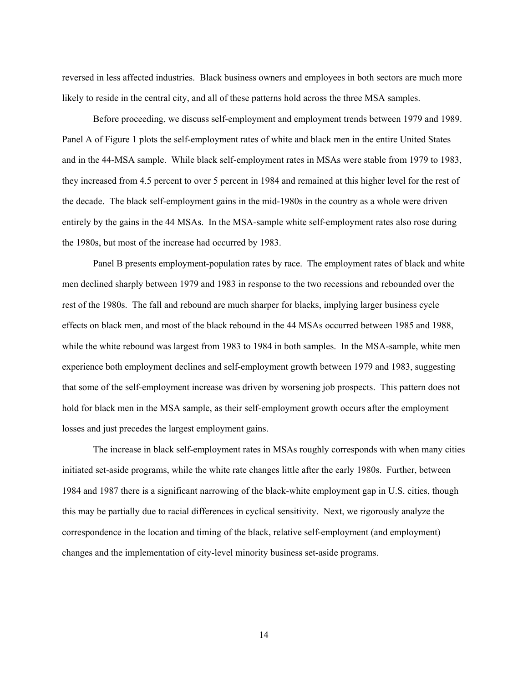reversed in less affected industries. Black business owners and employees in both sectors are much more likely to reside in the central city, and all of these patterns hold across the three MSA samples.

 Before proceeding, we discuss self-employment and employment trends between 1979 and 1989. Panel A of Figure 1 plots the self-employment rates of white and black men in the entire United States and in the 44-MSA sample. While black self-employment rates in MSAs were stable from 1979 to 1983, they increased from 4.5 percent to over 5 percent in 1984 and remained at this higher level for the rest of the decade. The black self-employment gains in the mid-1980s in the country as a whole were driven entirely by the gains in the 44 MSAs. In the MSA-sample white self-employment rates also rose during the 1980s, but most of the increase had occurred by 1983.

 Panel B presents employment-population rates by race. The employment rates of black and white men declined sharply between 1979 and 1983 in response to the two recessions and rebounded over the rest of the 1980s. The fall and rebound are much sharper for blacks, implying larger business cycle effects on black men, and most of the black rebound in the 44 MSAs occurred between 1985 and 1988, while the white rebound was largest from 1983 to 1984 in both samples. In the MSA-sample, white men experience both employment declines and self-employment growth between 1979 and 1983, suggesting that some of the self-employment increase was driven by worsening job prospects. This pattern does not hold for black men in the MSA sample, as their self-employment growth occurs after the employment losses and just precedes the largest employment gains.

 The increase in black self-employment rates in MSAs roughly corresponds with when many cities initiated set-aside programs, while the white rate changes little after the early 1980s. Further, between 1984 and 1987 there is a significant narrowing of the black-white employment gap in U.S. cities, though this may be partially due to racial differences in cyclical sensitivity. Next, we rigorously analyze the correspondence in the location and timing of the black, relative self-employment (and employment) changes and the implementation of city-level minority business set-aside programs.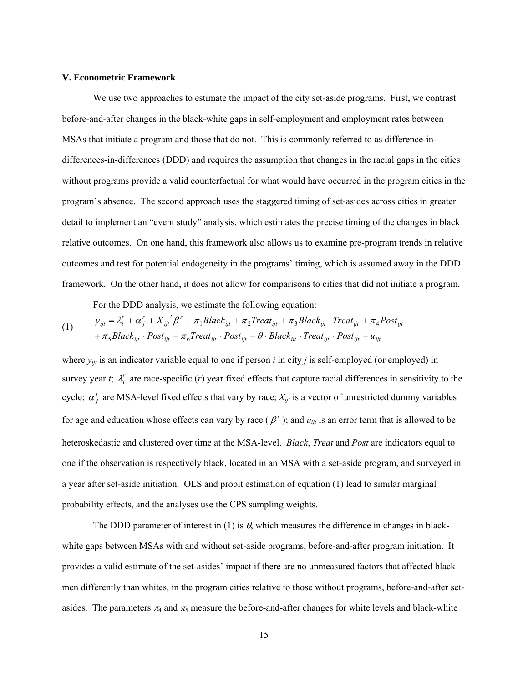#### **V. Econometric Framework**

 We use two approaches to estimate the impact of the city set-aside programs. First, we contrast before-and-after changes in the black-white gaps in self-employment and employment rates between MSAs that initiate a program and those that do not. This is commonly referred to as difference-indifferences-in-differences (DDD) and requires the assumption that changes in the racial gaps in the cities without programs provide a valid counterfactual for what would have occurred in the program cities in the program's absence. The second approach uses the staggered timing of set-asides across cities in greater detail to implement an "event study" analysis, which estimates the precise timing of the changes in black relative outcomes. On one hand, this framework also allows us to examine pre-program trends in relative outcomes and test for potential endogeneity in the programs' timing, which is assumed away in the DDD framework. On the other hand, it does not allow for comparisons to cities that did not initiate a program.

For the DDD analysis, we estimate the following equation:

(1) 
$$
y_{ijt} = \lambda_t^r + \alpha_j^r + X_{ijt}^r \beta^r + \pi_1 Black_{ijt} + \pi_2 Treat_{ijt} + \pi_3 Black_{ijt} \cdot Treat_{ijt} + \pi_4 Post_{ijt} + \pi_5 Black_{ijt} \cdot Post_{ijt} + \pi_6 Treat_{ijt} \cdot Post_{ijt} + \theta \cdot Black_{ijt} \cdot Treat_{ijt} \cdot Post_{ijt} + u_{ijt}
$$

where  $y_{ijt}$  is an indicator variable equal to one if person  $i$  in city  $j$  is self-employed (or employed) in survey year *t*;  $\lambda_t^r$  are race-specific (*r*) year fixed effects that capture racial differences in sensitivity to the cycle;  $\alpha_i^r$  are MSA-level fixed effects that vary by race;  $X_{ijt}$  is a vector of unrestricted dummy variables for age and education whose effects can vary by race ( $\beta^r$ ); and  $u_{ijt}$  is an error term that is allowed to be heteroskedastic and clustered over time at the MSA-level. *Black*, *Treat* and *Post* are indicators equal to one if the observation is respectively black, located in an MSA with a set-aside program, and surveyed in a year after set-aside initiation. OLS and probit estimation of equation (1) lead to similar marginal probability effects, and the analyses use the CPS sampling weights.

The DDD parameter of interest in (1) is  $\theta$ , which measures the difference in changes in blackwhite gaps between MSAs with and without set-aside programs, before-and-after program initiation. It provides a valid estimate of the set-asides' impact if there are no unmeasured factors that affected black men differently than whites, in the program cities relative to those without programs, before-and-after setasides. The parameters  $\pi_4$  and  $\pi_5$  measure the before-and-after changes for white levels and black-white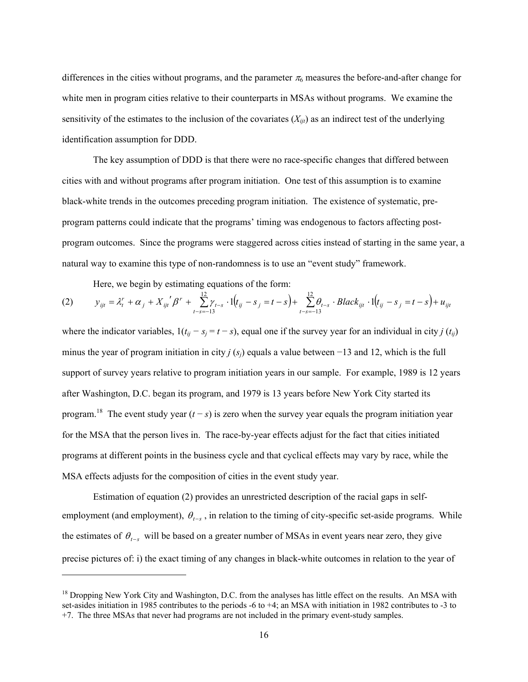differences in the cities without programs, and the parameter  $\pi_6$  measures the before-and-after change for white men in program cities relative to their counterparts in MSAs without programs. We examine the sensitivity of the estimates to the inclusion of the covariates  $(X_{ijt})$  as an indirect test of the underlying identification assumption for DDD.

 The key assumption of DDD is that there were no race-specific changes that differed between cities with and without programs after program initiation. One test of this assumption is to examine black-white trends in the outcomes preceding program initiation. The existence of systematic, preprogram patterns could indicate that the programs' timing was endogenous to factors affecting postprogram outcomes. Since the programs were staggered across cities instead of starting in the same year, a natural way to examine this type of non-randomness is to use an "event study" framework.

Here, we begin by estimating equations of the form:

-

$$
(2) \qquad y_{ijt} = \lambda_t^r + \alpha_j + X_{ijt}^{\prime} \beta^r + \sum_{t-s=-13}^{12} \gamma_{t-s} \cdot 1(t_{ij} - s_j = t - s) + \sum_{t-s=-13}^{12} \theta_{t-s} \cdot Black_{ijt} \cdot 1(t_{ij} - s_j = t - s) + u_{ijt}
$$

where the indicator variables,  $1(t_{ij} - s_j = t - s)$ , equal one if the survey year for an individual in city *j* ( $t_{ij}$ ) minus the year of program initiation in city *j* (*sj*) equals a value between −13 and 12, which is the full support of survey years relative to program initiation years in our sample. For example, 1989 is 12 years after Washington, D.C. began its program, and 1979 is 13 years before New York City started its program.<sup>18</sup> The event study year  $(t - s)$  is zero when the survey year equals the program initiation year for the MSA that the person lives in. The race-by-year effects adjust for the fact that cities initiated programs at different points in the business cycle and that cyclical effects may vary by race, while the MSA effects adjusts for the composition of cities in the event study year.

 Estimation of equation (2) provides an unrestricted description of the racial gaps in selfemployment (and employment),  $\theta_{t-s}$ , in relation to the timing of city-specific set-aside programs. While the estimates of  $\theta_{t-s}$  will be based on a greater number of MSAs in event years near zero, they give precise pictures of: i) the exact timing of any changes in black-white outcomes in relation to the year of

<sup>&</sup>lt;sup>18</sup> Dropping New York City and Washington, D.C. from the analyses has little effect on the results. An MSA with set-asides initiation in 1985 contributes to the periods -6 to +4; an MSA with initiation in 1982 contributes to -3 to +7. The three MSAs that never had programs are not included in the primary event-study samples.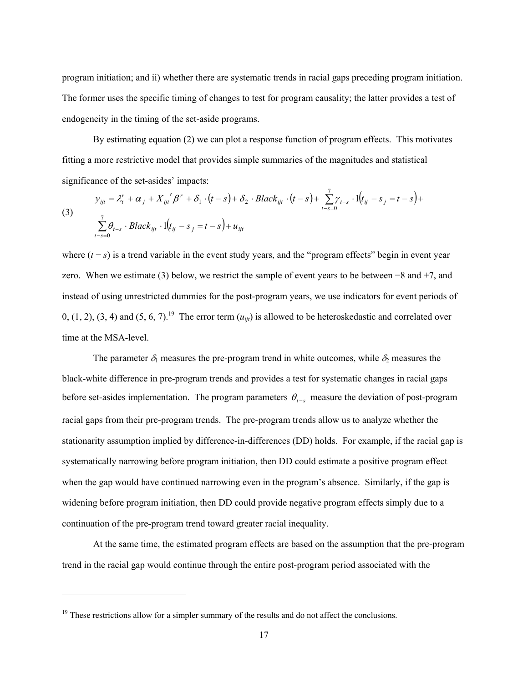program initiation; and ii) whether there are systematic trends in racial gaps preceding program initiation. The former uses the specific timing of changes to test for program causality; the latter provides a test of endogeneity in the timing of the set-aside programs.

 By estimating equation (2) we can plot a response function of program effects. This motivates fitting a more restrictive model that provides simple summaries of the magnitudes and statistical significance of the set-asides' impacts:

(3) 
$$
y_{ijt} = \lambda_t^r + \alpha_j + X_{ijt}^{\prime} \beta^r + \delta_1 \cdot (t - s) + \delta_2 \cdot Black_{ijt} \cdot (t - s) + \sum_{t-s=0}^{7} \gamma_{t-s} \cdot 1(t_{ij} - s_j = t - s) + \sum_{t-s=0}^{7} \theta_{t-s} \cdot Black_{ijt} \cdot 1(t_{ij} - s_j = t - s) + u_{ijt}
$$

where  $(t - s)$  is a trend variable in the event study years, and the "program effects" begin in event year zero. When we estimate (3) below, we restrict the sample of event years to be between −8 and +7, and instead of using unrestricted dummies for the post-program years, we use indicators for event periods of 0, (1, 2), (3, 4) and (5, 6, 7).<sup>19</sup> The error term  $(u_{ii})$  is allowed to be heteroskedastic and correlated over time at the MSA-level.

The parameter  $\delta_1$  measures the pre-program trend in white outcomes, while  $\delta_2$  measures the black-white difference in pre-program trends and provides a test for systematic changes in racial gaps before set-asides implementation. The program parameters  $\theta_{t-s}$  measure the deviation of post-program racial gaps from their pre-program trends. The pre-program trends allow us to analyze whether the stationarity assumption implied by difference-in-differences (DD) holds. For example, if the racial gap is systematically narrowing before program initiation, then DD could estimate a positive program effect when the gap would have continued narrowing even in the program's absence. Similarly, if the gap is widening before program initiation, then DD could provide negative program effects simply due to a continuation of the pre-program trend toward greater racial inequality.

 At the same time, the estimated program effects are based on the assumption that the pre-program trend in the racial gap would continue through the entire post-program period associated with the

l

 $19$  These restrictions allow for a simpler summary of the results and do not affect the conclusions.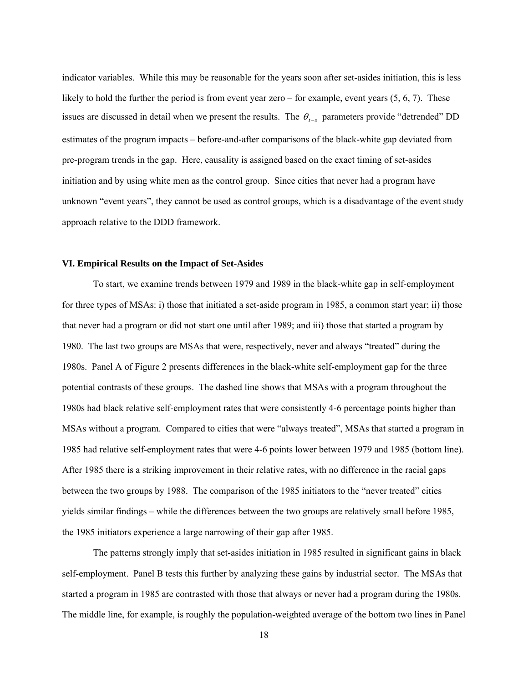indicator variables. While this may be reasonable for the years soon after set-asides initiation, this is less likely to hold the further the period is from event year zero – for example, event years (5, 6, 7). These issues are discussed in detail when we present the results. The  $\theta_{t-s}$  parameters provide "detrended" DD estimates of the program impacts – before-and-after comparisons of the black-white gap deviated from pre-program trends in the gap. Here, causality is assigned based on the exact timing of set-asides initiation and by using white men as the control group. Since cities that never had a program have unknown "event years", they cannot be used as control groups, which is a disadvantage of the event study approach relative to the DDD framework.

#### **VI. Empirical Results on the Impact of Set-Asides**

 To start, we examine trends between 1979 and 1989 in the black-white gap in self-employment for three types of MSAs: i) those that initiated a set-aside program in 1985, a common start year; ii) those that never had a program or did not start one until after 1989; and iii) those that started a program by 1980. The last two groups are MSAs that were, respectively, never and always "treated" during the 1980s. Panel A of Figure 2 presents differences in the black-white self-employment gap for the three potential contrasts of these groups. The dashed line shows that MSAs with a program throughout the 1980s had black relative self-employment rates that were consistently 4-6 percentage points higher than MSAs without a program. Compared to cities that were "always treated", MSAs that started a program in 1985 had relative self-employment rates that were 4-6 points lower between 1979 and 1985 (bottom line). After 1985 there is a striking improvement in their relative rates, with no difference in the racial gaps between the two groups by 1988. The comparison of the 1985 initiators to the "never treated" cities yields similar findings – while the differences between the two groups are relatively small before 1985, the 1985 initiators experience a large narrowing of their gap after 1985.

 The patterns strongly imply that set-asides initiation in 1985 resulted in significant gains in black self-employment. Panel B tests this further by analyzing these gains by industrial sector. The MSAs that started a program in 1985 are contrasted with those that always or never had a program during the 1980s. The middle line, for example, is roughly the population-weighted average of the bottom two lines in Panel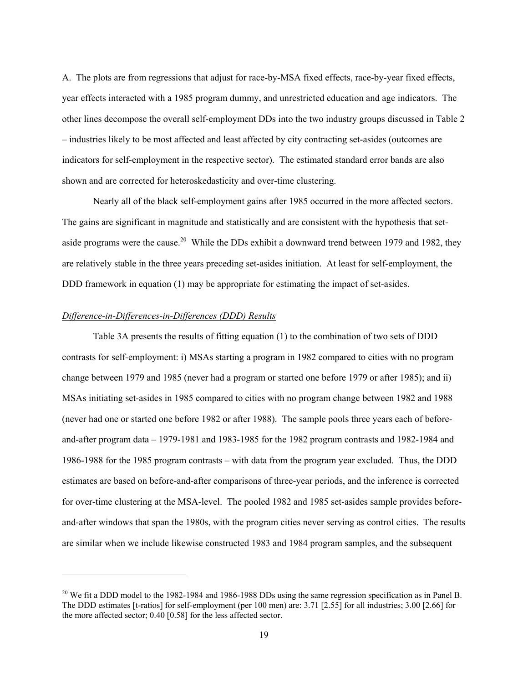A. The plots are from regressions that adjust for race-by-MSA fixed effects, race-by-year fixed effects, year effects interacted with a 1985 program dummy, and unrestricted education and age indicators. The other lines decompose the overall self-employment DDs into the two industry groups discussed in Table 2 – industries likely to be most affected and least affected by city contracting set-asides (outcomes are indicators for self-employment in the respective sector). The estimated standard error bands are also shown and are corrected for heteroskedasticity and over-time clustering.

 Nearly all of the black self-employment gains after 1985 occurred in the more affected sectors. The gains are significant in magnitude and statistically and are consistent with the hypothesis that setaside programs were the cause.<sup>20</sup> While the DDs exhibit a downward trend between 1979 and 1982, they are relatively stable in the three years preceding set-asides initiation. At least for self-employment, the DDD framework in equation (1) may be appropriate for estimating the impact of set-asides.

#### *Difference-in-Differences-in-Differences (DDD) Results*

 $\overline{a}$ 

 Table 3A presents the results of fitting equation (1) to the combination of two sets of DDD contrasts for self-employment: i) MSAs starting a program in 1982 compared to cities with no program change between 1979 and 1985 (never had a program or started one before 1979 or after 1985); and ii) MSAs initiating set-asides in 1985 compared to cities with no program change between 1982 and 1988 (never had one or started one before 1982 or after 1988). The sample pools three years each of beforeand-after program data – 1979-1981 and 1983-1985 for the 1982 program contrasts and 1982-1984 and 1986-1988 for the 1985 program contrasts – with data from the program year excluded. Thus, the DDD estimates are based on before-and-after comparisons of three-year periods, and the inference is corrected for over-time clustering at the MSA-level. The pooled 1982 and 1985 set-asides sample provides beforeand-after windows that span the 1980s, with the program cities never serving as control cities. The results are similar when we include likewise constructed 1983 and 1984 program samples, and the subsequent

<sup>&</sup>lt;sup>20</sup> We fit a DDD model to the 1982-1984 and 1986-1988 DDs using the same regression specification as in Panel B. The DDD estimates [t-ratios] for self-employment (per 100 men) are: 3.71 [2.55] for all industries; 3.00 [2.66] for the more affected sector; 0.40 [0.58] for the less affected sector.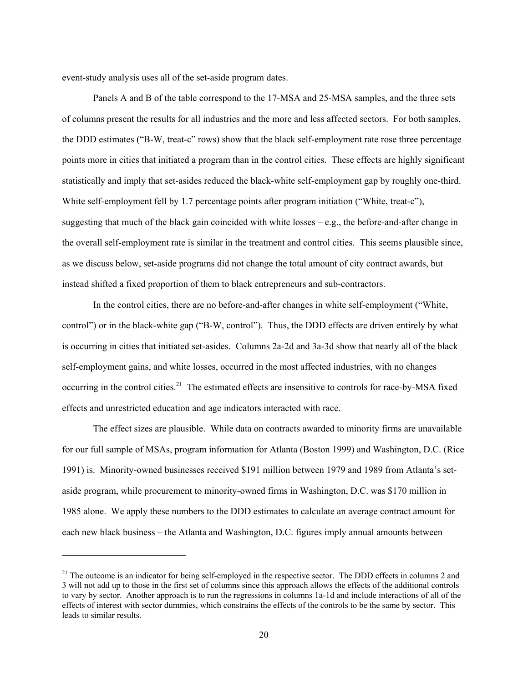event-study analysis uses all of the set-aside program dates.

 Panels A and B of the table correspond to the 17-MSA and 25-MSA samples, and the three sets of columns present the results for all industries and the more and less affected sectors. For both samples, the DDD estimates ("B-W, treat-c" rows) show that the black self-employment rate rose three percentage points more in cities that initiated a program than in the control cities. These effects are highly significant statistically and imply that set-asides reduced the black-white self-employment gap by roughly one-third. White self-employment fell by 1.7 percentage points after program initiation ("White, treat-c"), suggesting that much of the black gain coincided with white losses – e.g., the before-and-after change in the overall self-employment rate is similar in the treatment and control cities. This seems plausible since, as we discuss below, set-aside programs did not change the total amount of city contract awards, but instead shifted a fixed proportion of them to black entrepreneurs and sub-contractors.

 In the control cities, there are no before-and-after changes in white self-employment ("White, control") or in the black-white gap ("B-W, control"). Thus, the DDD effects are driven entirely by what is occurring in cities that initiated set-asides. Columns 2a-2d and 3a-3d show that nearly all of the black self-employment gains, and white losses, occurred in the most affected industries, with no changes occurring in the control cities.<sup>21</sup> The estimated effects are insensitive to controls for race-by-MSA fixed effects and unrestricted education and age indicators interacted with race.

 The effect sizes are plausible. While data on contracts awarded to minority firms are unavailable for our full sample of MSAs, program information for Atlanta (Boston 1999) and Washington, D.C. (Rice 1991) is. Minority-owned businesses received \$191 million between 1979 and 1989 from Atlanta's setaside program, while procurement to minority-owned firms in Washington, D.C. was \$170 million in 1985 alone. We apply these numbers to the DDD estimates to calculate an average contract amount for each new black business – the Atlanta and Washington, D.C. figures imply annual amounts between

 $2<sup>1</sup>$  The outcome is an indicator for being self-employed in the respective sector. The DDD effects in columns 2 and 3 will not add up to those in the first set of columns since this approach allows the effects of the additional controls to vary by sector. Another approach is to run the regressions in columns 1a-1d and include interactions of all of the effects of interest with sector dummies, which constrains the effects of the controls to be the same by sector. This leads to similar results.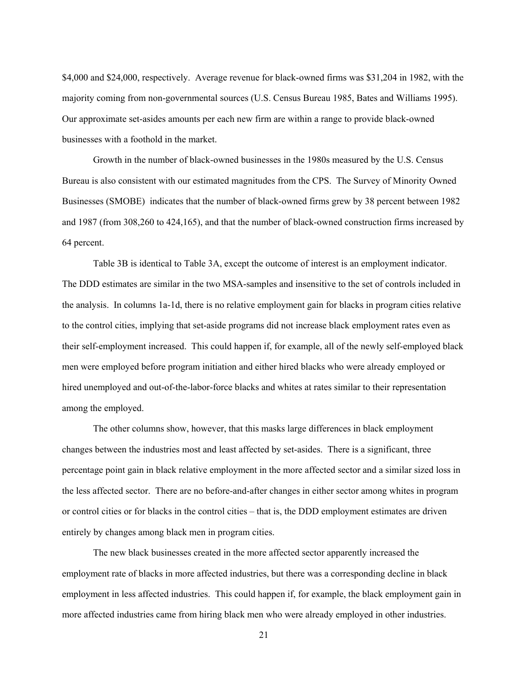\$4,000 and \$24,000, respectively. Average revenue for black-owned firms was \$31,204 in 1982, with the majority coming from non-governmental sources (U.S. Census Bureau 1985, Bates and Williams 1995). Our approximate set-asides amounts per each new firm are within a range to provide black-owned businesses with a foothold in the market.

 Growth in the number of black-owned businesses in the 1980s measured by the U.S. Census Bureau is also consistent with our estimated magnitudes from the CPS. The Survey of Minority Owned Businesses (SMOBE) indicates that the number of black-owned firms grew by 38 percent between 1982 and 1987 (from 308,260 to 424,165), and that the number of black-owned construction firms increased by 64 percent.

 Table 3B is identical to Table 3A, except the outcome of interest is an employment indicator. The DDD estimates are similar in the two MSA-samples and insensitive to the set of controls included in the analysis. In columns 1a-1d, there is no relative employment gain for blacks in program cities relative to the control cities, implying that set-aside programs did not increase black employment rates even as their self-employment increased. This could happen if, for example, all of the newly self-employed black men were employed before program initiation and either hired blacks who were already employed or hired unemployed and out-of-the-labor-force blacks and whites at rates similar to their representation among the employed.

 The other columns show, however, that this masks large differences in black employment changes between the industries most and least affected by set-asides. There is a significant, three percentage point gain in black relative employment in the more affected sector and a similar sized loss in the less affected sector. There are no before-and-after changes in either sector among whites in program or control cities or for blacks in the control cities – that is, the DDD employment estimates are driven entirely by changes among black men in program cities.

 The new black businesses created in the more affected sector apparently increased the employment rate of blacks in more affected industries, but there was a corresponding decline in black employment in less affected industries. This could happen if, for example, the black employment gain in more affected industries came from hiring black men who were already employed in other industries.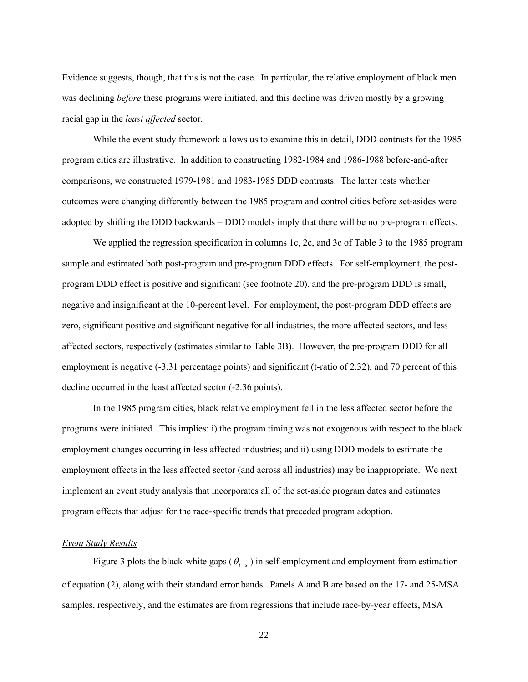Evidence suggests, though, that this is not the case. In particular, the relative employment of black men was declining *before* these programs were initiated, and this decline was driven mostly by a growing racial gap in the *least affected* sector.

 While the event study framework allows us to examine this in detail, DDD contrasts for the 1985 program cities are illustrative. In addition to constructing 1982-1984 and 1986-1988 before-and-after comparisons, we constructed 1979-1981 and 1983-1985 DDD contrasts. The latter tests whether outcomes were changing differently between the 1985 program and control cities before set-asides were adopted by shifting the DDD backwards – DDD models imply that there will be no pre-program effects.

We applied the regression specification in columns 1c, 2c, and 3c of Table 3 to the 1985 program sample and estimated both post-program and pre-program DDD effects. For self-employment, the postprogram DDD effect is positive and significant (see footnote 20), and the pre-program DDD is small, negative and insignificant at the 10-percent level. For employment, the post-program DDD effects are zero, significant positive and significant negative for all industries, the more affected sectors, and less affected sectors, respectively (estimates similar to Table 3B). However, the pre-program DDD for all employment is negative (-3.31 percentage points) and significant (t-ratio of 2.32), and 70 percent of this decline occurred in the least affected sector (-2.36 points).

 In the 1985 program cities, black relative employment fell in the less affected sector before the programs were initiated. This implies: i) the program timing was not exogenous with respect to the black employment changes occurring in less affected industries; and ii) using DDD models to estimate the employment effects in the less affected sector (and across all industries) may be inappropriate. We next implement an event study analysis that incorporates all of the set-aside program dates and estimates program effects that adjust for the race-specific trends that preceded program adoption.

#### *Event Study Results*

Figure 3 plots the black-white gaps ( $\theta_{t-s}$ ) in self-employment and employment from estimation of equation (2), along with their standard error bands. Panels A and B are based on the 17- and 25-MSA samples, respectively, and the estimates are from regressions that include race-by-year effects, MSA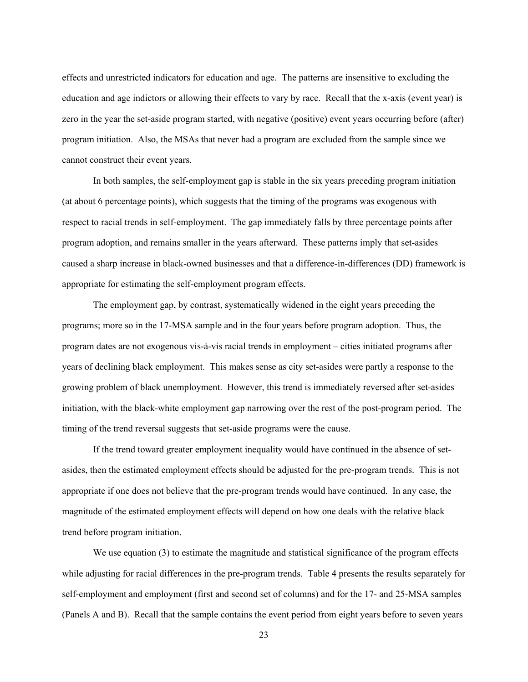effects and unrestricted indicators for education and age. The patterns are insensitive to excluding the education and age indictors or allowing their effects to vary by race. Recall that the x-axis (event year) is zero in the year the set-aside program started, with negative (positive) event years occurring before (after) program initiation. Also, the MSAs that never had a program are excluded from the sample since we cannot construct their event years.

 In both samples, the self-employment gap is stable in the six years preceding program initiation (at about 6 percentage points), which suggests that the timing of the programs was exogenous with respect to racial trends in self-employment. The gap immediately falls by three percentage points after program adoption, and remains smaller in the years afterward. These patterns imply that set-asides caused a sharp increase in black-owned businesses and that a difference-in-differences (DD) framework is appropriate for estimating the self-employment program effects.

 The employment gap, by contrast, systematically widened in the eight years preceding the programs; more so in the 17-MSA sample and in the four years before program adoption. Thus, the program dates are not exogenous vis-à-vis racial trends in employment – cities initiated programs after years of declining black employment. This makes sense as city set-asides were partly a response to the growing problem of black unemployment. However, this trend is immediately reversed after set-asides initiation, with the black-white employment gap narrowing over the rest of the post-program period. The timing of the trend reversal suggests that set-aside programs were the cause.

 If the trend toward greater employment inequality would have continued in the absence of setasides, then the estimated employment effects should be adjusted for the pre-program trends. This is not appropriate if one does not believe that the pre-program trends would have continued. In any case, the magnitude of the estimated employment effects will depend on how one deals with the relative black trend before program initiation.

We use equation (3) to estimate the magnitude and statistical significance of the program effects while adjusting for racial differences in the pre-program trends. Table 4 presents the results separately for self-employment and employment (first and second set of columns) and for the 17- and 25-MSA samples (Panels A and B). Recall that the sample contains the event period from eight years before to seven years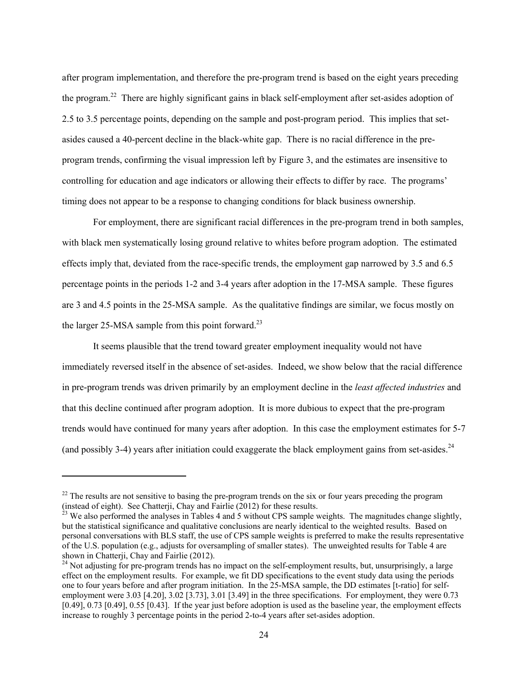after program implementation, and therefore the pre-program trend is based on the eight years preceding the program.22 There are highly significant gains in black self-employment after set-asides adoption of 2.5 to 3.5 percentage points, depending on the sample and post-program period. This implies that setasides caused a 40-percent decline in the black-white gap. There is no racial difference in the preprogram trends, confirming the visual impression left by Figure 3, and the estimates are insensitive to controlling for education and age indicators or allowing their effects to differ by race. The programs' timing does not appear to be a response to changing conditions for black business ownership.

 For employment, there are significant racial differences in the pre-program trend in both samples, with black men systematically losing ground relative to whites before program adoption. The estimated effects imply that, deviated from the race-specific trends, the employment gap narrowed by 3.5 and 6.5 percentage points in the periods 1-2 and 3-4 years after adoption in the 17-MSA sample. These figures are 3 and 4.5 points in the 25-MSA sample. As the qualitative findings are similar, we focus mostly on the larger 25-MSA sample from this point forward.<sup>23</sup>

 It seems plausible that the trend toward greater employment inequality would not have immediately reversed itself in the absence of set-asides. Indeed, we show below that the racial difference in pre-program trends was driven primarily by an employment decline in the *least affected industries* and that this decline continued after program adoption. It is more dubious to expect that the pre-program trends would have continued for many years after adoption. In this case the employment estimates for 5-7 (and possibly 3-4) years after initiation could exaggerate the black employment gains from set-asides.<sup>24</sup>

 $^{22}$  The results are not sensitive to basing the pre-program trends on the six or four years preceding the program (instead of eight). See Chatterji, Chay and Fairlie (2012) for these results.  $^{23}$  We also performed the analyses in Tables 4 and 5 without CPS sample weights. The magnitudes change slightly,

but the statistical significance and qualitative conclusions are nearly identical to the weighted results. Based on personal conversations with BLS staff, the use of CPS sample weights is preferred to make the results representative of the U.S. population (e.g., adjusts for oversampling of smaller states). The unweighted results for Table 4 are shown in Chatterji, Chay and Fairlie (2012).

<sup>&</sup>lt;sup>24</sup> Not adjusting for pre-program trends has no impact on the self-employment results, but, unsurprisingly, a large effect on the employment results. For example, we fit DD specifications to the event study data using the periods one to four years before and after program initiation. In the 25-MSA sample, the DD estimates [t-ratio] for selfemployment were 3.03 [4.20], 3.02 [3.73], 3.01 [3.49] in the three specifications. For employment, they were 0.73 [0.49], 0.73 [0.49], 0.55 [0.43]. If the year just before adoption is used as the baseline year, the employment effects increase to roughly 3 percentage points in the period 2-to-4 years after set-asides adoption.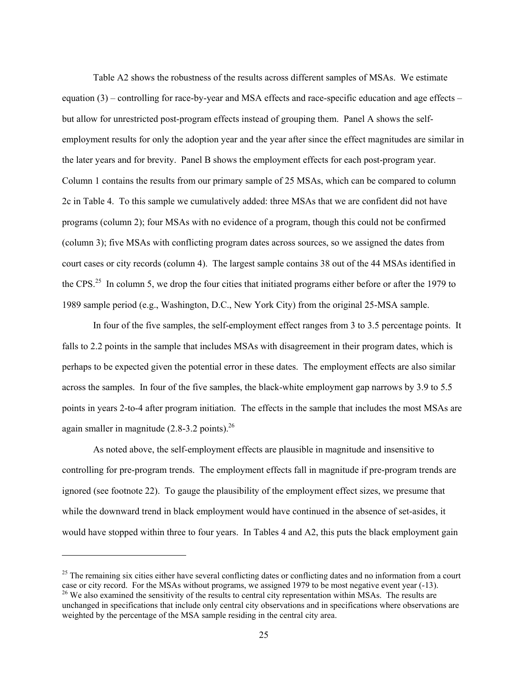Table A2 shows the robustness of the results across different samples of MSAs. We estimate equation (3) – controlling for race-by-year and MSA effects and race-specific education and age effects – but allow for unrestricted post-program effects instead of grouping them. Panel A shows the selfemployment results for only the adoption year and the year after since the effect magnitudes are similar in the later years and for brevity. Panel B shows the employment effects for each post-program year. Column 1 contains the results from our primary sample of 25 MSAs, which can be compared to column 2c in Table 4. To this sample we cumulatively added: three MSAs that we are confident did not have programs (column 2); four MSAs with no evidence of a program, though this could not be confirmed (column 3); five MSAs with conflicting program dates across sources, so we assigned the dates from court cases or city records (column 4). The largest sample contains 38 out of the 44 MSAs identified in the CPS.<sup>25</sup> In column 5, we drop the four cities that initiated programs either before or after the 1979 to 1989 sample period (e.g., Washington, D.C., New York City) from the original 25-MSA sample.

 In four of the five samples, the self-employment effect ranges from 3 to 3.5 percentage points. It falls to 2.2 points in the sample that includes MSAs with disagreement in their program dates, which is perhaps to be expected given the potential error in these dates. The employment effects are also similar across the samples. In four of the five samples, the black-white employment gap narrows by 3.9 to 5.5 points in years 2-to-4 after program initiation. The effects in the sample that includes the most MSAs are again smaller in magnitude  $(2.8-3.2 \text{ points})^{26}$ 

 As noted above, the self-employment effects are plausible in magnitude and insensitive to controlling for pre-program trends. The employment effects fall in magnitude if pre-program trends are ignored (see footnote 22). To gauge the plausibility of the employment effect sizes, we presume that while the downward trend in black employment would have continued in the absence of set-asides, it would have stopped within three to four years. In Tables 4 and A2, this puts the black employment gain

 $25$  The remaining six cities either have several conflicting dates or conflicting dates and no information from a court case or city record. For the MSAs without programs, we assigned 1979 to be most negative event year (-13). <sup>26</sup> We also examined the sensitivity of the results to central city representation within MSAs. The results are unchanged in specifications that include only central city observations and in specifications where observations are weighted by the percentage of the MSA sample residing in the central city area.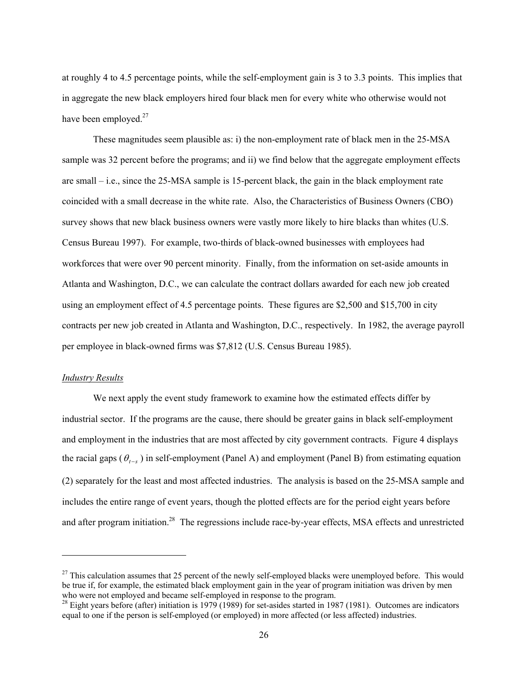at roughly 4 to 4.5 percentage points, while the self-employment gain is 3 to 3.3 points. This implies that in aggregate the new black employers hired four black men for every white who otherwise would not have been employed. $27$ 

 These magnitudes seem plausible as: i) the non-employment rate of black men in the 25-MSA sample was 32 percent before the programs; and ii) we find below that the aggregate employment effects are small – i.e., since the 25-MSA sample is 15-percent black, the gain in the black employment rate coincided with a small decrease in the white rate. Also, the Characteristics of Business Owners (CBO) survey shows that new black business owners were vastly more likely to hire blacks than whites (U.S. Census Bureau 1997). For example, two-thirds of black-owned businesses with employees had workforces that were over 90 percent minority. Finally, from the information on set-aside amounts in Atlanta and Washington, D.C., we can calculate the contract dollars awarded for each new job created using an employment effect of 4.5 percentage points. These figures are \$2,500 and \$15,700 in city contracts per new job created in Atlanta and Washington, D.C., respectively. In 1982, the average payroll per employee in black-owned firms was \$7,812 (U.S. Census Bureau 1985).

#### *Industry Results*

1

 We next apply the event study framework to examine how the estimated effects differ by industrial sector. If the programs are the cause, there should be greater gains in black self-employment and employment in the industries that are most affected by city government contracts. Figure 4 displays the racial gaps  $(\theta_{\text{r-s}})$  in self-employment (Panel A) and employment (Panel B) from estimating equation (2) separately for the least and most affected industries. The analysis is based on the 25-MSA sample and includes the entire range of event years, though the plotted effects are for the period eight years before and after program initiation.<sup>28</sup> The regressions include race-by-year effects, MSA effects and unrestricted

 $27$  This calculation assumes that 25 percent of the newly self-employed blacks were unemployed before. This would be true if, for example, the estimated black employment gain in the year of program initiation was driven by men who were not employed and became self-employed in response to the program.

 $^{28}$  Eight years before (after) initiation is 1979 (1989) for set-asides started in 1987 (1981). Outcomes are indicators equal to one if the person is self-employed (or employed) in more affected (or less affected) industries.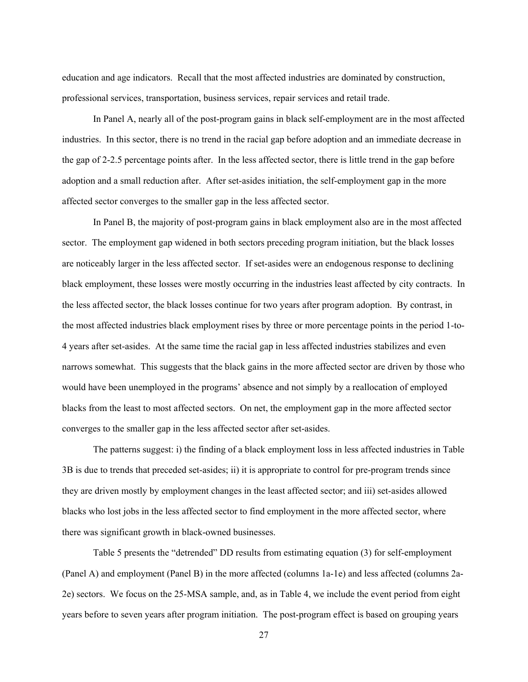education and age indicators. Recall that the most affected industries are dominated by construction, professional services, transportation, business services, repair services and retail trade.

 In Panel A, nearly all of the post-program gains in black self-employment are in the most affected industries. In this sector, there is no trend in the racial gap before adoption and an immediate decrease in the gap of 2-2.5 percentage points after. In the less affected sector, there is little trend in the gap before adoption and a small reduction after. After set-asides initiation, the self-employment gap in the more affected sector converges to the smaller gap in the less affected sector.

 In Panel B, the majority of post-program gains in black employment also are in the most affected sector. The employment gap widened in both sectors preceding program initiation, but the black losses are noticeably larger in the less affected sector. If set-asides were an endogenous response to declining black employment, these losses were mostly occurring in the industries least affected by city contracts. In the less affected sector, the black losses continue for two years after program adoption. By contrast, in the most affected industries black employment rises by three or more percentage points in the period 1-to-4 years after set-asides. At the same time the racial gap in less affected industries stabilizes and even narrows somewhat. This suggests that the black gains in the more affected sector are driven by those who would have been unemployed in the programs' absence and not simply by a reallocation of employed blacks from the least to most affected sectors. On net, the employment gap in the more affected sector converges to the smaller gap in the less affected sector after set-asides.

 The patterns suggest: i) the finding of a black employment loss in less affected industries in Table 3B is due to trends that preceded set-asides; ii) it is appropriate to control for pre-program trends since they are driven mostly by employment changes in the least affected sector; and iii) set-asides allowed blacks who lost jobs in the less affected sector to find employment in the more affected sector, where there was significant growth in black-owned businesses.

 Table 5 presents the "detrended" DD results from estimating equation (3) for self-employment (Panel A) and employment (Panel B) in the more affected (columns 1a-1e) and less affected (columns 2a-2e) sectors. We focus on the 25-MSA sample, and, as in Table 4, we include the event period from eight years before to seven years after program initiation. The post-program effect is based on grouping years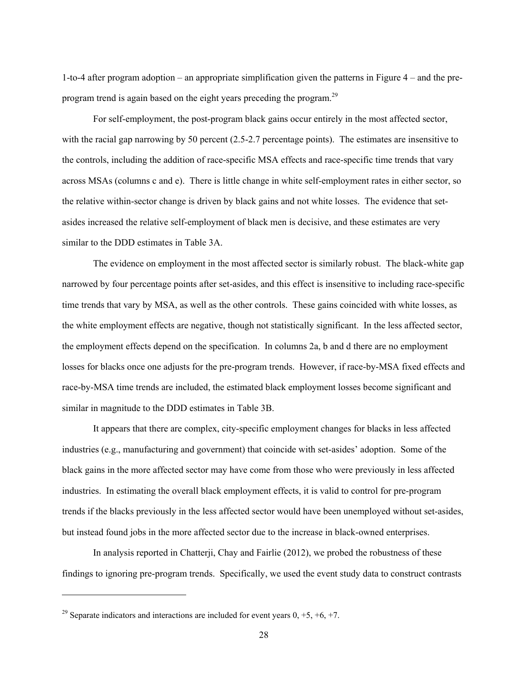1-to-4 after program adoption – an appropriate simplification given the patterns in Figure 4 – and the preprogram trend is again based on the eight years preceding the program.<sup>29</sup>

 For self-employment, the post-program black gains occur entirely in the most affected sector, with the racial gap narrowing by 50 percent (2.5-2.7 percentage points). The estimates are insensitive to the controls, including the addition of race-specific MSA effects and race-specific time trends that vary across MSAs (columns c and e). There is little change in white self-employment rates in either sector, so the relative within-sector change is driven by black gains and not white losses. The evidence that setasides increased the relative self-employment of black men is decisive, and these estimates are very similar to the DDD estimates in Table 3A.

 The evidence on employment in the most affected sector is similarly robust. The black-white gap narrowed by four percentage points after set-asides, and this effect is insensitive to including race-specific time trends that vary by MSA, as well as the other controls. These gains coincided with white losses, as the white employment effects are negative, though not statistically significant. In the less affected sector, the employment effects depend on the specification. In columns 2a, b and d there are no employment losses for blacks once one adjusts for the pre-program trends. However, if race-by-MSA fixed effects and race-by-MSA time trends are included, the estimated black employment losses become significant and similar in magnitude to the DDD estimates in Table 3B.

 It appears that there are complex, city-specific employment changes for blacks in less affected industries (e.g., manufacturing and government) that coincide with set-asides' adoption. Some of the black gains in the more affected sector may have come from those who were previously in less affected industries. In estimating the overall black employment effects, it is valid to control for pre-program trends if the blacks previously in the less affected sector would have been unemployed without set-asides, but instead found jobs in the more affected sector due to the increase in black-owned enterprises.

 In analysis reported in Chatterji, Chay and Fairlie (2012), we probed the robustness of these findings to ignoring pre-program trends. Specifically, we used the event study data to construct contrasts

l

<sup>&</sup>lt;sup>29</sup> Separate indicators and interactions are included for event years  $0, +5, +6, +7$ .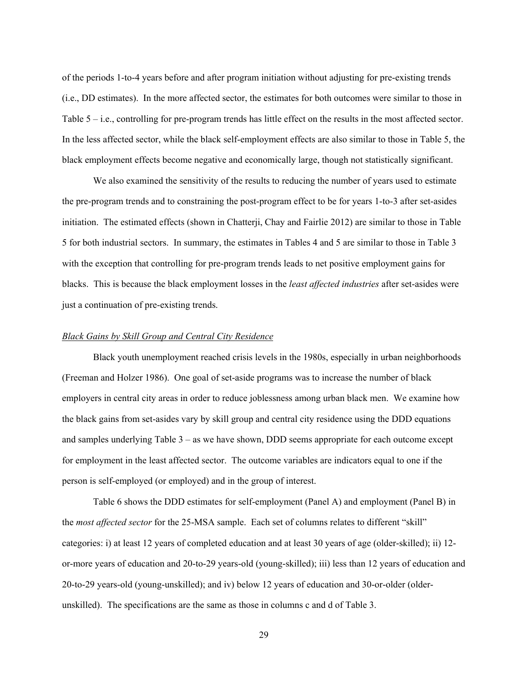of the periods 1-to-4 years before and after program initiation without adjusting for pre-existing trends (i.e., DD estimates). In the more affected sector, the estimates for both outcomes were similar to those in Table  $5 - i.e.,$  controlling for pre-program trends has little effect on the results in the most affected sector. In the less affected sector, while the black self-employment effects are also similar to those in Table 5, the black employment effects become negative and economically large, though not statistically significant.

 We also examined the sensitivity of the results to reducing the number of years used to estimate the pre-program trends and to constraining the post-program effect to be for years 1-to-3 after set-asides initiation. The estimated effects (shown in Chatterji, Chay and Fairlie 2012) are similar to those in Table 5 for both industrial sectors. In summary, the estimates in Tables 4 and 5 are similar to those in Table 3 with the exception that controlling for pre-program trends leads to net positive employment gains for blacks. This is because the black employment losses in the *least affected industries* after set-asides were just a continuation of pre-existing trends.

#### *Black Gains by Skill Group and Central City Residence*

 Black youth unemployment reached crisis levels in the 1980s, especially in urban neighborhoods (Freeman and Holzer 1986). One goal of set-aside programs was to increase the number of black employers in central city areas in order to reduce joblessness among urban black men. We examine how the black gains from set-asides vary by skill group and central city residence using the DDD equations and samples underlying Table 3 – as we have shown, DDD seems appropriate for each outcome except for employment in the least affected sector. The outcome variables are indicators equal to one if the person is self-employed (or employed) and in the group of interest.

 Table 6 shows the DDD estimates for self-employment (Panel A) and employment (Panel B) in the *most affected sector* for the 25-MSA sample. Each set of columns relates to different "skill" categories: i) at least 12 years of completed education and at least 30 years of age (older-skilled); ii) 12 or-more years of education and 20-to-29 years-old (young-skilled); iii) less than 12 years of education and 20-to-29 years-old (young-unskilled); and iv) below 12 years of education and 30-or-older (olderunskilled). The specifications are the same as those in columns c and d of Table 3.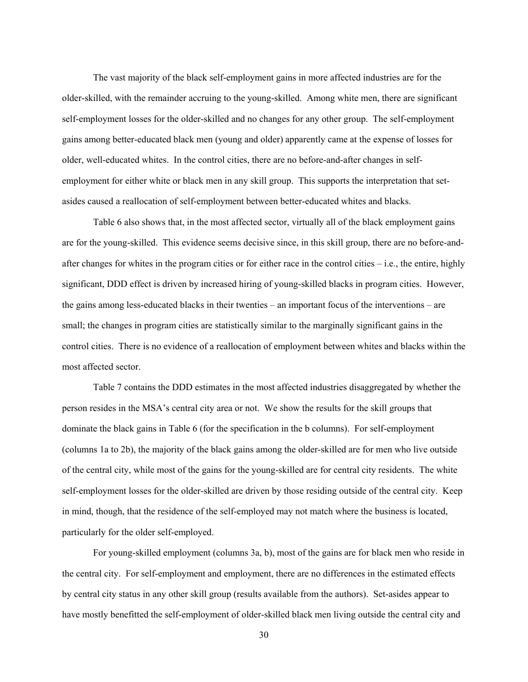The vast majority of the black self-employment gains in more affected industries are for the older-skilled, with the remainder accruing to the young-skilled. Among white men, there are significant self-employment losses for the older-skilled and no changes for any other group. The self-employment gains among better-educated black men (young and older) apparently came at the expense of losses for older, well-educated whites. In the control cities, there are no before-and-after changes in selfemployment for either white or black men in any skill group. This supports the interpretation that setasides caused a reallocation of self-employment between better-educated whites and blacks.

 Table 6 also shows that, in the most affected sector, virtually all of the black employment gains are for the young-skilled. This evidence seems decisive since, in this skill group, there are no before-andafter changes for whites in the program cities or for either race in the control cities – i.e., the entire, highly significant, DDD effect is driven by increased hiring of young-skilled blacks in program cities. However, the gains among less-educated blacks in their twenties – an important focus of the interventions – are small; the changes in program cities are statistically similar to the marginally significant gains in the control cities. There is no evidence of a reallocation of employment between whites and blacks within the most affected sector.

 Table 7 contains the DDD estimates in the most affected industries disaggregated by whether the person resides in the MSA's central city area or not. We show the results for the skill groups that dominate the black gains in Table 6 (for the specification in the b columns). For self-employment (columns 1a to 2b), the majority of the black gains among the older-skilled are for men who live outside of the central city, while most of the gains for the young-skilled are for central city residents. The white self-employment losses for the older-skilled are driven by those residing outside of the central city. Keep in mind, though, that the residence of the self-employed may not match where the business is located, particularly for the older self-employed.

 For young-skilled employment (columns 3a, b), most of the gains are for black men who reside in the central city. For self-employment and employment, there are no differences in the estimated effects by central city status in any other skill group (results available from the authors). Set-asides appear to have mostly benefitted the self-employment of older-skilled black men living outside the central city and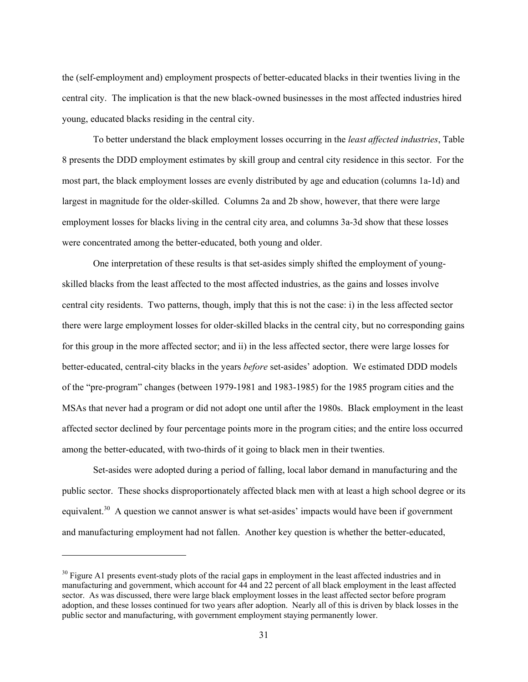the (self-employment and) employment prospects of better-educated blacks in their twenties living in the central city. The implication is that the new black-owned businesses in the most affected industries hired young, educated blacks residing in the central city.

 To better understand the black employment losses occurring in the *least affected industries*, Table 8 presents the DDD employment estimates by skill group and central city residence in this sector. For the most part, the black employment losses are evenly distributed by age and education (columns 1a-1d) and largest in magnitude for the older-skilled. Columns 2a and 2b show, however, that there were large employment losses for blacks living in the central city area, and columns 3a-3d show that these losses were concentrated among the better-educated, both young and older.

 One interpretation of these results is that set-asides simply shifted the employment of youngskilled blacks from the least affected to the most affected industries, as the gains and losses involve central city residents. Two patterns, though, imply that this is not the case: i) in the less affected sector there were large employment losses for older-skilled blacks in the central city, but no corresponding gains for this group in the more affected sector; and ii) in the less affected sector, there were large losses for better-educated, central-city blacks in the years *before* set-asides' adoption. We estimated DDD models of the "pre-program" changes (between 1979-1981 and 1983-1985) for the 1985 program cities and the MSAs that never had a program or did not adopt one until after the 1980s. Black employment in the least affected sector declined by four percentage points more in the program cities; and the entire loss occurred among the better-educated, with two-thirds of it going to black men in their twenties.

 Set-asides were adopted during a period of falling, local labor demand in manufacturing and the public sector. These shocks disproportionately affected black men with at least a high school degree or its equivalent.<sup>30</sup> A question we cannot answer is what set-asides' impacts would have been if government and manufacturing employment had not fallen. Another key question is whether the better-educated,

l

 $30$  Figure A1 presents event-study plots of the racial gaps in employment in the least affected industries and in manufacturing and government, which account for 44 and 22 percent of all black employment in the least affected sector. As was discussed, there were large black employment losses in the least affected sector before program adoption, and these losses continued for two years after adoption. Nearly all of this is driven by black losses in the public sector and manufacturing, with government employment staying permanently lower.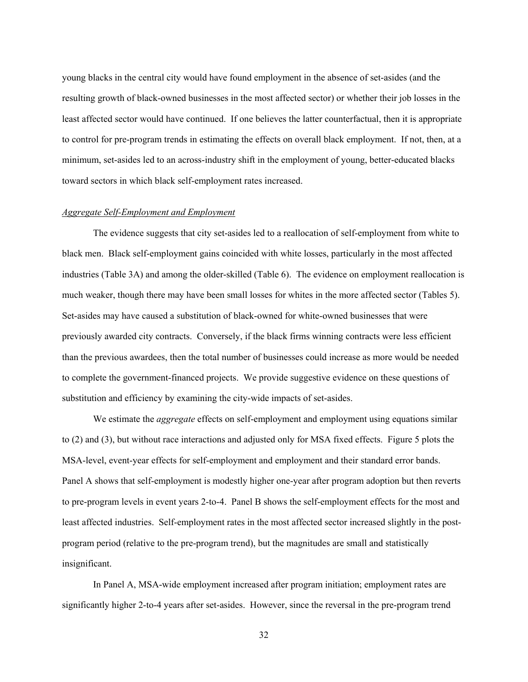young blacks in the central city would have found employment in the absence of set-asides (and the resulting growth of black-owned businesses in the most affected sector) or whether their job losses in the least affected sector would have continued. If one believes the latter counterfactual, then it is appropriate to control for pre-program trends in estimating the effects on overall black employment. If not, then, at a minimum, set-asides led to an across-industry shift in the employment of young, better-educated blacks toward sectors in which black self-employment rates increased.

#### *Aggregate Self-Employment and Employment*

 The evidence suggests that city set-asides led to a reallocation of self-employment from white to black men. Black self-employment gains coincided with white losses, particularly in the most affected industries (Table 3A) and among the older-skilled (Table 6). The evidence on employment reallocation is much weaker, though there may have been small losses for whites in the more affected sector (Tables 5). Set-asides may have caused a substitution of black-owned for white-owned businesses that were previously awarded city contracts. Conversely, if the black firms winning contracts were less efficient than the previous awardees, then the total number of businesses could increase as more would be needed to complete the government-financed projects. We provide suggestive evidence on these questions of substitution and efficiency by examining the city-wide impacts of set-asides.

 We estimate the *aggregate* effects on self-employment and employment using equations similar to (2) and (3), but without race interactions and adjusted only for MSA fixed effects. Figure 5 plots the MSA-level, event-year effects for self-employment and employment and their standard error bands. Panel A shows that self-employment is modestly higher one-year after program adoption but then reverts to pre-program levels in event years 2-to-4. Panel B shows the self-employment effects for the most and least affected industries. Self-employment rates in the most affected sector increased slightly in the postprogram period (relative to the pre-program trend), but the magnitudes are small and statistically insignificant.

 In Panel A, MSA-wide employment increased after program initiation; employment rates are significantly higher 2-to-4 years after set-asides. However, since the reversal in the pre-program trend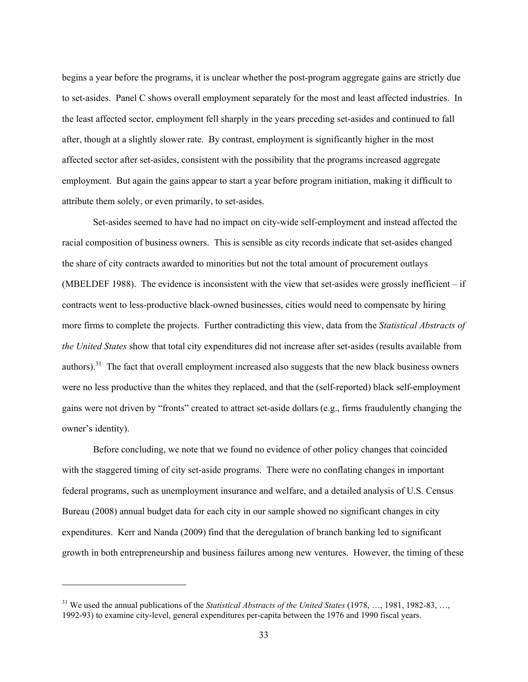begins a year before the programs, it is unclear whether the post-program aggregate gains are strictly due to set-asides. Panel C shows overall employment separately for the most and least affected industries. In the least affected sector, employment fell sharply in the years preceding set-asides and continued to fall after, though at a slightly slower rate. By contrast, employment is significantly higher in the most affected sector after set-asides, consistent with the possibility that the programs increased aggregate employment. But again the gains appear to start a year before program initiation, making it difficult to attribute them solely, or even primarily, to set-asides.

 Set-asides seemed to have had no impact on city-wide self-employment and instead affected the racial composition of business owners. This is sensible as city records indicate that set-asides changed the share of city contracts awarded to minorities but not the total amount of procurement outlays (MBELDEF 1988). The evidence is inconsistent with the view that set-asides were grossly inefficient – if contracts went to less-productive black-owned businesses, cities would need to compensate by hiring more firms to complete the projects. Further contradicting this view, data from the *Statistical Abstracts of the United States* show that total city expenditures did not increase after set-asides (results available from authors).<sup>31</sup> The fact that overall employment increased also suggests that the new black business owners were no less productive than the whites they replaced, and that the (self-reported) black self-employment gains were not driven by "fronts" created to attract set-aside dollars (e.g., firms fraudulently changing the owner's identity).

 Before concluding, we note that we found no evidence of other policy changes that coincided with the staggered timing of city set-aside programs. There were no conflating changes in important federal programs, such as unemployment insurance and welfare, and a detailed analysis of U.S. Census Bureau (2008) annual budget data for each city in our sample showed no significant changes in city expenditures. Kerr and Nanda (2009) find that the deregulation of branch banking led to significant growth in both entrepreneurship and business failures among new ventures. However, the timing of these

<sup>31</sup> We used the annual publications of the *Statistical Abstracts of the United States* (1978, …, 1981, 1982-83, …, 1992-93) to examine city-level, general expenditures per-capita between the 1976 and 1990 fiscal years.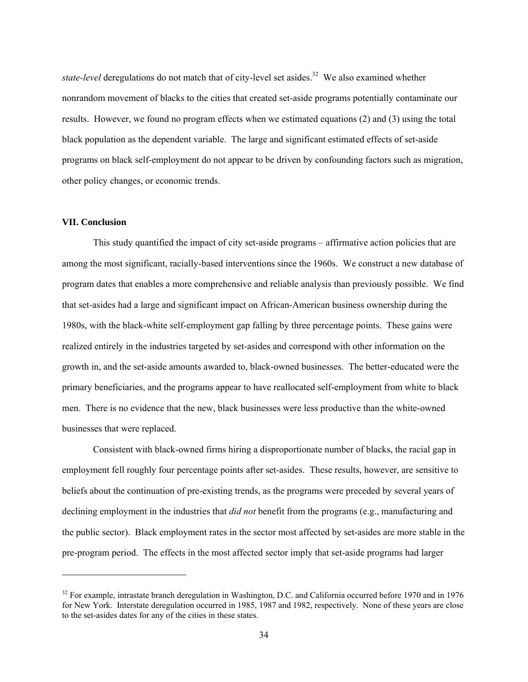*state-level* deregulations do not match that of city-level set asides.<sup>32</sup> We also examined whether nonrandom movement of blacks to the cities that created set-aside programs potentially contaminate our results. However, we found no program effects when we estimated equations (2) and (3) using the total black population as the dependent variable. The large and significant estimated effects of set-aside programs on black self-employment do not appear to be driven by confounding factors such as migration, other policy changes, or economic trends.

#### **VII. Conclusion**

 $\overline{a}$ 

 This study quantified the impact of city set-aside programs – affirmative action policies that are among the most significant, racially-based interventions since the 1960s. We construct a new database of program dates that enables a more comprehensive and reliable analysis than previously possible. We find that set-asides had a large and significant impact on African-American business ownership during the 1980s, with the black-white self-employment gap falling by three percentage points. These gains were realized entirely in the industries targeted by set-asides and correspond with other information on the growth in, and the set-aside amounts awarded to, black-owned businesses. The better-educated were the primary beneficiaries, and the programs appear to have reallocated self-employment from white to black men. There is no evidence that the new, black businesses were less productive than the white-owned businesses that were replaced.

 Consistent with black-owned firms hiring a disproportionate number of blacks, the racial gap in employment fell roughly four percentage points after set-asides. These results, however, are sensitive to beliefs about the continuation of pre-existing trends, as the programs were preceded by several years of declining employment in the industries that *did not* benefit from the programs (e.g., manufacturing and the public sector). Black employment rates in the sector most affected by set-asides are more stable in the pre-program period. The effects in the most affected sector imply that set-aside programs had larger

 $32$  For example, intrastate branch deregulation in Washington, D.C. and California occurred before 1970 and in 1976 for New York. Interstate deregulation occurred in 1985, 1987 and 1982, respectively. None of these years are close to the set-asides dates for any of the cities in these states.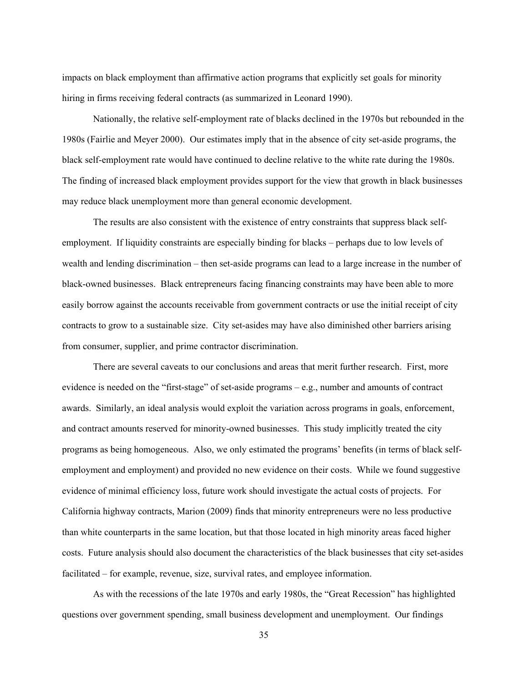impacts on black employment than affirmative action programs that explicitly set goals for minority hiring in firms receiving federal contracts (as summarized in Leonard 1990).

 Nationally, the relative self-employment rate of blacks declined in the 1970s but rebounded in the 1980s (Fairlie and Meyer 2000). Our estimates imply that in the absence of city set-aside programs, the black self-employment rate would have continued to decline relative to the white rate during the 1980s. The finding of increased black employment provides support for the view that growth in black businesses may reduce black unemployment more than general economic development.

 The results are also consistent with the existence of entry constraints that suppress black selfemployment. If liquidity constraints are especially binding for blacks – perhaps due to low levels of wealth and lending discrimination – then set-aside programs can lead to a large increase in the number of black-owned businesses. Black entrepreneurs facing financing constraints may have been able to more easily borrow against the accounts receivable from government contracts or use the initial receipt of city contracts to grow to a sustainable size. City set-asides may have also diminished other barriers arising from consumer, supplier, and prime contractor discrimination.

 There are several caveats to our conclusions and areas that merit further research. First, more evidence is needed on the "first-stage" of set-aside programs – e.g., number and amounts of contract awards. Similarly, an ideal analysis would exploit the variation across programs in goals, enforcement, and contract amounts reserved for minority-owned businesses. This study implicitly treated the city programs as being homogeneous. Also, we only estimated the programs' benefits (in terms of black selfemployment and employment) and provided no new evidence on their costs. While we found suggestive evidence of minimal efficiency loss, future work should investigate the actual costs of projects. For California highway contracts, Marion (2009) finds that minority entrepreneurs were no less productive than white counterparts in the same location, but that those located in high minority areas faced higher costs. Future analysis should also document the characteristics of the black businesses that city set-asides facilitated – for example, revenue, size, survival rates, and employee information.

 As with the recessions of the late 1970s and early 1980s, the "Great Recession" has highlighted questions over government spending, small business development and unemployment. Our findings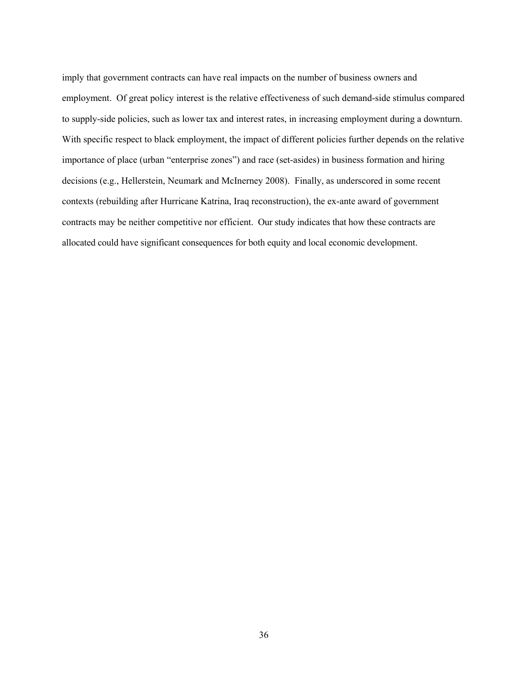imply that government contracts can have real impacts on the number of business owners and employment. Of great policy interest is the relative effectiveness of such demand-side stimulus compared to supply-side policies, such as lower tax and interest rates, in increasing employment during a downturn. With specific respect to black employment, the impact of different policies further depends on the relative importance of place (urban "enterprise zones") and race (set-asides) in business formation and hiring decisions (e.g., Hellerstein, Neumark and McInerney 2008). Finally, as underscored in some recent contexts (rebuilding after Hurricane Katrina, Iraq reconstruction), the ex-ante award of government contracts may be neither competitive nor efficient. Our study indicates that how these contracts are allocated could have significant consequences for both equity and local economic development.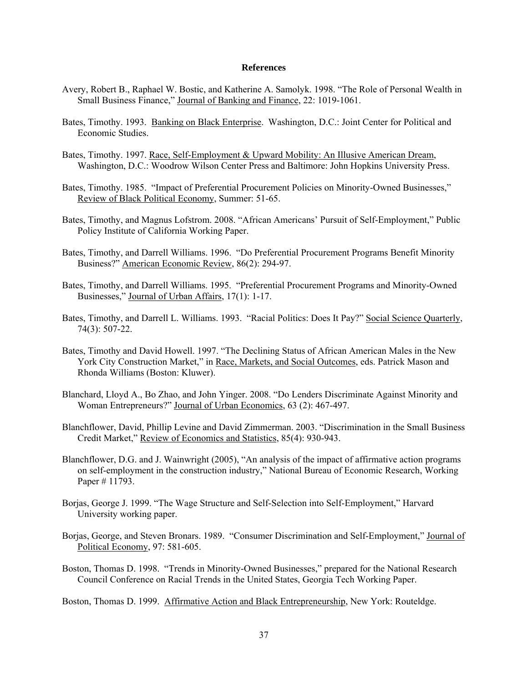#### **References**

- Avery, Robert B., Raphael W. Bostic, and Katherine A. Samolyk. 1998. "The Role of Personal Wealth in Small Business Finance," Journal of Banking and Finance, 22: 1019-1061.
- Bates, Timothy. 1993. Banking on Black Enterprise. Washington, D.C.: Joint Center for Political and Economic Studies.
- Bates, Timothy. 1997. Race, Self-Employment & Upward Mobility: An Illusive American Dream, Washington, D.C.: Woodrow Wilson Center Press and Baltimore: John Hopkins University Press.
- Bates, Timothy. 1985. "Impact of Preferential Procurement Policies on Minority-Owned Businesses," Review of Black Political Economy, Summer: 51-65.
- Bates, Timothy, and Magnus Lofstrom. 2008. "African Americans' Pursuit of Self-Employment," Public Policy Institute of California Working Paper.
- Bates, Timothy, and Darrell Williams. 1996. "Do Preferential Procurement Programs Benefit Minority Business?" American Economic Review, 86(2): 294-97.
- Bates, Timothy, and Darrell Williams. 1995. "Preferential Procurement Programs and Minority-Owned Businesses," Journal of Urban Affairs, 17(1): 1-17.
- Bates, Timothy, and Darrell L. Williams. 1993. "Racial Politics: Does It Pay?" Social Science Quarterly, 74(3): 507-22.
- Bates, Timothy and David Howell. 1997. "The Declining Status of African American Males in the New York City Construction Market," in Race, Markets, and Social Outcomes, eds. Patrick Mason and Rhonda Williams (Boston: Kluwer).
- Blanchard, Lloyd A., Bo Zhao, and John Yinger. 2008. "Do Lenders Discriminate Against Minority and Woman Entrepreneurs?" Journal of Urban Economics, 63 (2): 467-497.
- Blanchflower, David, Phillip Levine and David Zimmerman. 2003. "Discrimination in the Small Business Credit Market," Review of Economics and Statistics, 85(4): 930-943.
- Blanchflower, D.G. and J. Wainwright (2005), "An analysis of the impact of affirmative action programs on self-employment in the construction industry," National Bureau of Economic Research, Working Paper # 11793.
- Borjas, George J. 1999. "The Wage Structure and Self-Selection into Self-Employment," Harvard University working paper.
- Borjas, George, and Steven Bronars. 1989. "Consumer Discrimination and Self-Employment," Journal of Political Economy, 97: 581-605.
- Boston, Thomas D. 1998. "Trends in Minority-Owned Businesses," prepared for the National Research Council Conference on Racial Trends in the United States, Georgia Tech Working Paper.

Boston, Thomas D. 1999. Affirmative Action and Black Entrepreneurship, New York: Routeldge.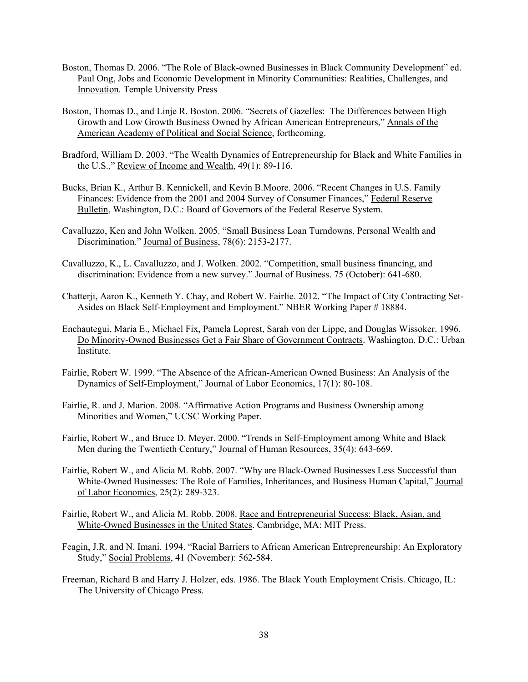- Boston, Thomas D. 2006. "The Role of Black-owned Businesses in Black Community Development" ed. Paul Ong, Jobs and Economic Development in Minority Communities: Realities, Challenges, and Innovation*.* Temple University Press
- Boston, Thomas D., and Linje R. Boston. 2006. "Secrets of Gazelles: The Differences between High Growth and Low Growth Business Owned by African American Entrepreneurs," Annals of the American Academy of Political and Social Science, forthcoming.
- Bradford, William D. 2003. "The Wealth Dynamics of Entrepreneurship for Black and White Families in the U.S.," Review of Income and Wealth, 49(1): 89-116.
- Bucks, Brian K., Arthur B. Kennickell, and Kevin B.Moore. 2006. "Recent Changes in U.S. Family Finances: Evidence from the 2001 and 2004 Survey of Consumer Finances," Federal Reserve Bulletin, Washington, D.C.: Board of Governors of the Federal Reserve System.
- Cavalluzzo, Ken and John Wolken. 2005. "Small Business Loan Turndowns, Personal Wealth and Discrimination." Journal of Business, 78(6): 2153-2177.
- Cavalluzzo, K., L. Cavalluzzo, and J. Wolken. 2002. "Competition, small business financing, and discrimination: Evidence from a new survey." Journal of Business. 75 (October): 641-680.
- Chatterji, Aaron K., Kenneth Y. Chay, and Robert W. Fairlie. 2012. "The Impact of City Contracting Set-Asides on Black Self-Employment and Employment." NBER Working Paper # 18884.
- Enchautegui, Maria E., Michael Fix, Pamela Loprest, Sarah von der Lippe, and Douglas Wissoker. 1996. Do Minority-Owned Businesses Get a Fair Share of Government Contracts. Washington, D.C.: Urban Institute.
- Fairlie, Robert W. 1999. "The Absence of the African-American Owned Business: An Analysis of the Dynamics of Self-Employment," Journal of Labor Economics, 17(1): 80-108.
- Fairlie, R. and J. Marion. 2008. "Affirmative Action Programs and Business Ownership among Minorities and Women," UCSC Working Paper.
- Fairlie, Robert W., and Bruce D. Meyer. 2000. "Trends in Self-Employment among White and Black Men during the Twentieth Century," Journal of Human Resources, 35(4): 643-669.
- Fairlie, Robert W., and Alicia M. Robb. 2007. "Why are Black-Owned Businesses Less Successful than White-Owned Businesses: The Role of Families, Inheritances, and Business Human Capital," Journal of Labor Economics, 25(2): 289-323.
- Fairlie, Robert W., and Alicia M. Robb. 2008. Race and Entrepreneurial Success: Black, Asian, and White-Owned Businesses in the United States. Cambridge, MA: MIT Press.
- Feagin, J.R. and N. Imani. 1994. "Racial Barriers to African American Entrepreneurship: An Exploratory Study," Social Problems, 41 (November): 562-584.
- Freeman, Richard B and Harry J. Holzer, eds. 1986. The Black Youth Employment Crisis. Chicago, IL: The University of Chicago Press.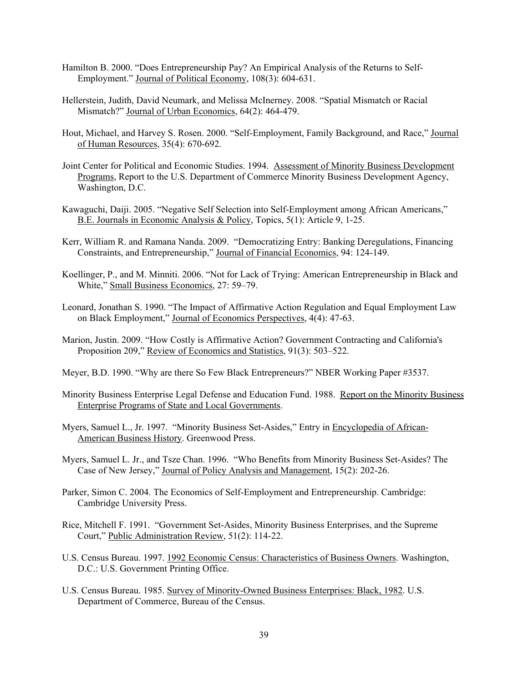- Hamilton B. 2000. "Does Entrepreneurship Pay? An Empirical Analysis of the Returns to Self-Employment." Journal of Political Economy, 108(3): 604-631.
- Hellerstein, Judith, David Neumark, and Melissa McInerney. 2008. "Spatial Mismatch or Racial Mismatch?" Journal of Urban Economics, 64(2): 464-479.
- Hout, Michael, and Harvey S. Rosen. 2000. "Self-Employment, Family Background, and Race," Journal of Human Resources, 35(4): 670-692.
- Joint Center for Political and Economic Studies. 1994. Assessment of Minority Business Development Programs, Report to the U.S. Department of Commerce Minority Business Development Agency, Washington, D.C.
- Kawaguchi, Daiji. 2005. "Negative Self Selection into Self-Employment among African Americans," B.E. Journals in Economic Analysis & Policy, Topics, 5(1): Article 9, 1-25.
- Kerr, William R. and Ramana Nanda. 2009. "Democratizing Entry: Banking Deregulations, Financing Constraints, and Entrepreneurship," Journal of Financial Economics, 94: 124-149.
- Koellinger, P., and M. Minniti. 2006. "Not for Lack of Trying: American Entrepreneurship in Black and White," Small Business Economics, 27: 59–79.
- Leonard, Jonathan S. 1990. "The Impact of Affirmative Action Regulation and Equal Employment Law on Black Employment," Journal of Economics Perspectives, 4(4): 47-63.
- Marion, Justin. 2009. "How Costly is Affirmative Action? Government Contracting and California's Proposition 209," Review of Economics and Statistics, 91(3): 503–522.
- Meyer, B.D. 1990. "Why are there So Few Black Entrepreneurs?" NBER Working Paper #3537.
- Minority Business Enterprise Legal Defense and Education Fund. 1988. Report on the Minority Business Enterprise Programs of State and Local Governments.
- Myers, Samuel L., Jr. 1997. "Minority Business Set-Asides," Entry in Encyclopedia of African-American Business History. Greenwood Press.
- Myers, Samuel L. Jr., and Tsze Chan. 1996. "Who Benefits from Minority Business Set-Asides? The Case of New Jersey," Journal of Policy Analysis and Management, 15(2): 202-26.
- Parker, Simon C. 2004. The Economics of Self-Employment and Entrepreneurship. Cambridge: Cambridge University Press.
- Rice, Mitchell F. 1991. "Government Set-Asides, Minority Business Enterprises, and the Supreme Court," Public Administration Review, 51(2): 114-22.
- U.S. Census Bureau. 1997. 1992 Economic Census: Characteristics of Business Owners. Washington, D.C.: U.S. Government Printing Office.
- U.S. Census Bureau. 1985. Survey of Minority-Owned Business Enterprises: Black, 1982. U.S. Department of Commerce, Bureau of the Census.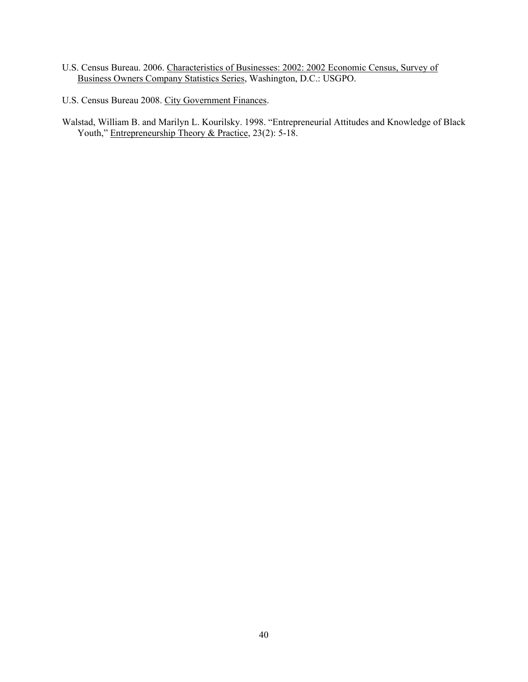- U.S. Census Bureau. 2006. Characteristics of Businesses: 2002: 2002 Economic Census, Survey of Business Owners Company Statistics Series, Washington, D.C.: USGPO.
- U.S. Census Bureau 2008. City Government Finances.
- Walstad, William B. and Marilyn L. Kourilsky. 1998. "Entrepreneurial Attitudes and Knowledge of Black Youth," Entrepreneurship Theory & Practice, 23(2): 5-18.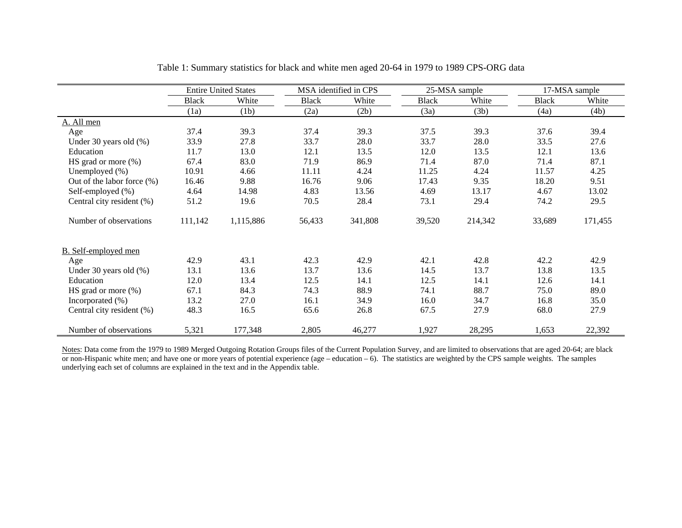|                               |              | <b>Entire United States</b> |              | MSA identified in CPS |              | 25-MSA sample |              | 17-MSA sample |
|-------------------------------|--------------|-----------------------------|--------------|-----------------------|--------------|---------------|--------------|---------------|
|                               | <b>Black</b> | White                       | <b>Black</b> | White                 | <b>Black</b> | White         | <b>Black</b> | White         |
|                               | (1a)         | (1b)                        | (2a)         | (2b)                  | (3a)         | (3b)          | (4a)         | (4b)          |
| A. All men                    |              |                             |              |                       |              |               |              |               |
| Age                           | 37.4         | 39.3                        | 37.4         | 39.3                  | 37.5         | 39.3          | 37.6         | 39.4          |
| Under 30 years old (%)        | 33.9         | 27.8                        | 33.7         | 28.0                  | 33.7         | 28.0          | 33.5         | 27.6          |
| Education                     | 11.7         | 13.0                        | 12.1         | 13.5                  | 12.0         | 13.5          | 12.1         | 13.6          |
| HS grad or more $(\%)$        | 67.4         | 83.0                        | 71.9         | 86.9                  | 71.4         | 87.0          | 71.4         | 87.1          |
| Unemployed $(\%)$             | 10.91        | 4.66                        | 11.11        | 4.24                  | 11.25        | 4.24          | 11.57        | 4.25          |
| Out of the labor force $(\%)$ | 16.46        | 9.88                        | 16.76        | 9.06                  | 17.43        | 9.35          | 18.20        | 9.51          |
| Self-employed (%)             | 4.64         | 14.98                       | 4.83         | 13.56                 | 4.69         | 13.17         | 4.67         | 13.02         |
| Central city resident (%)     | 51.2         | 19.6                        | 70.5         | 28.4                  | 73.1         | 29.4          | 74.2         | 29.5          |
| Number of observations        | 111,142      | 1,115,886                   | 56,433       | 341,808               | 39,520       | 214,342       | 33,689       | 171,455       |
| <b>B.</b> Self-employed men   |              |                             |              |                       |              |               |              |               |
| Age                           | 42.9         | 43.1                        | 42.3         | 42.9                  | 42.1         | 42.8          | 42.2         | 42.9          |
| Under 30 years old (%)        | 13.1         | 13.6                        | 13.7         | 13.6                  | 14.5         | 13.7          | 13.8         | 13.5          |
| Education                     | 12.0         | 13.4                        | 12.5         | 14.1                  | 12.5         | 14.1          | 12.6         | 14.1          |
| HS grad or more $(\%)$        | 67.1         | 84.3                        | 74.3         | 88.9                  | 74.1         | 88.7          | 75.0         | 89.0          |
| Incorporated $(\% )$          | 13.2         | 27.0                        | 16.1         | 34.9                  | 16.0         | 34.7          | 16.8         | 35.0          |
| Central city resident (%)     | 48.3         | 16.5                        | 65.6         | 26.8                  | 67.5         | 27.9          | 68.0         | 27.9          |
| Number of observations        | 5,321        | 177,348                     | 2,805        | 46,277                | 1,927        | 28,295        | 1,653        | 22,392        |

Table 1: Summary statistics for black and white men aged 20-64 in 1979 to 1989 CPS-ORG data

Notes: Data come from the 1979 to 1989 Merged Outgoing Rotation Groups files of the Current Population Survey, and are limited to observations that are aged 20-64; are black or non-Hispanic white men; and have one or more years of potential experience (age – education – 6). The statistics are weighted by the CPS sample weights. The samples underlying each set of columns are explained in the text and in the Appendix table.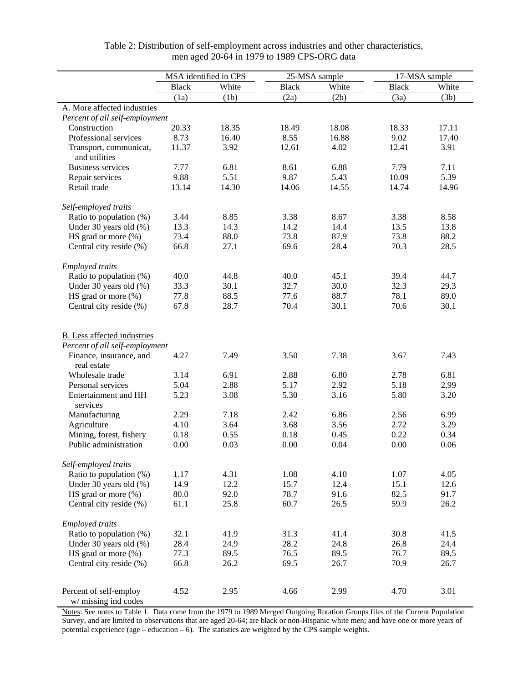|                                                |              | MSA identified in CPS |              | 25-MSA sample |              | 17-MSA sample |
|------------------------------------------------|--------------|-----------------------|--------------|---------------|--------------|---------------|
|                                                | <b>Black</b> | White                 | <b>Black</b> | White         | <b>Black</b> | White         |
|                                                | (1a)         | (1b)                  | (2a)         | (2b)          | (3a)         | (3b)          |
| A. More affected industries                    |              |                       |              |               |              |               |
| Percent of all self-employment                 |              |                       |              |               |              |               |
| Construction                                   | 20.33        | 18.35                 | 18.49        | 18.08         | 18.33        | 17.11         |
| Professional services                          | 8.73         | 16.40                 | 8.55         | 16.88         | 9.02         | 17.40         |
| Transport, communicat,                         | 11.37        | 3.92                  | 12.61        | 4.02          | 12.41        | 3.91          |
| and utilities                                  |              |                       |              |               |              |               |
| <b>Business services</b>                       | 7.77         | 6.81                  | 8.61         | 6.88          | 7.79         | 7.11          |
| Repair services                                | 9.88         | 5.51                  | 9.87         | 5.43          | 10.09        | 5.39          |
| Retail trade                                   | 13.14        | 14.30                 | 14.06        | 14.55         | 14.74        | 14.96         |
| Self-employed traits                           |              |                       |              |               |              |               |
| Ratio to population (%)                        | 3.44         | 8.85                  | 3.38         | 8.67          | 3.38         | 8.58          |
| Under 30 years old (%)                         | 13.3         | 14.3                  | 14.2         | 14.4          | 13.5         | 13.8          |
| HS grad or more $(\%)$                         | 73.4         | 88.0                  | 73.8         | 87.9          | 73.8         | 88.2          |
| Central city reside (%)                        | 66.8         | 27.1                  | 69.6         | 28.4          | 70.3         | 28.5          |
| <b>Employed</b> traits                         |              |                       |              |               |              |               |
| Ratio to population (%)                        | 40.0         | 44.8                  | 40.0         | 45.1          | 39.4         | 44.7          |
| Under 30 years old (%)                         | 33.3         | 30.1                  | 32.7         | 30.0          | 32.3         | 29.3          |
| HS grad or more $(\%)$                         | 77.8         | 88.5                  | 77.6         | 88.7          | 78.1         | 89.0          |
| Central city reside (%)                        | 67.8         | 28.7                  | 70.4         | 30.1          | 70.6         | 30.1          |
|                                                |              |                       |              |               |              |               |
| <b>B.</b> Less affected industries             |              |                       |              |               |              |               |
| Percent of all self-employment                 |              |                       |              |               |              |               |
| Finance, insurance, and                        | 4.27         | 7.49                  | 3.50         | 7.38          | 3.67         | 7.43          |
| real estate                                    |              |                       |              |               |              |               |
| Wholesale trade                                | 3.14         | 6.91                  | 2.88         | 6.80          | 2.78         | 6.81          |
| Personal services                              | 5.04         | 2.88                  | 5.17         | 2.92          | 5.18         | 2.99          |
| Entertainment and HH<br>services               | 5.23         | 3.08                  | 5.30         | 3.16          | 5.80         | 3.20          |
| Manufacturing                                  | 2.29         | 7.18                  | 2.42         | 6.86          | 2.56         | 6.99          |
| Agriculture                                    | 4.10         | 3.64                  | 3.68         | 3.56          | 2.72         | 3.29          |
| Mining, forest, fishery                        | 0.18         | 0.55                  | 0.18         | 0.45          | 0.22         | 0.34          |
| Public administration                          | 0.00         | 0.03                  | 0.00         | 0.04          | 0.00         | 0.06          |
| Self-employed traits                           |              |                       |              |               |              |               |
| Ratio to population (%)                        | 1.17         | 4.31                  | 1.08         | 4.10          | 1.07         | 4.05          |
| Under 30 years old (%)                         | 14.9         | 12.2                  | 15.7         | 12.4          | 15.1         | 12.6          |
| $HS$ grad or more $(\%)$                       | 80.0         | 92.0                  | 78.7         | 91.6          | 82.5         | 91.7          |
| Central city reside (%)                        | 61.1         | 25.8                  | 60.7         | 26.5          | 59.9         | 26.2          |
| <b>Employed</b> traits                         |              |                       |              |               |              |               |
| Ratio to population (%)                        | 32.1         | 41.9                  | 31.3         | 41.4          | 30.8         | 41.5          |
| Under 30 years old (%)                         | 28.4         | 24.9                  | 28.2         | 24.8          | 26.8         | 24.4          |
| HS grad or more $(\%)$                         | 77.3         | 89.5                  | 76.5         | 89.5          | 76.7         | 89.5          |
| Central city reside (%)                        | 66.8         | 26.2                  | 69.5         | 26.7          | 70.9         | 26.7          |
|                                                |              |                       |              |               |              |               |
| Percent of self-employ<br>w/ missing ind codes | 4.52         | 2.95                  | 4.66         | 2.99          | 4.70         | 3.01          |

#### Table 2: Distribution of self-employment across industries and other characteristics, men aged 20-64 in 1979 to 1989 CPS-ORG data

Notes: See notes to Table 1. Data come from the 1979 to 1989 Merged Outgoing Rotation Groups files of the Current Population Survey, and are limited to observations that are aged 20-64; are black or non-Hispanic white men; and have one or more years of potential experience (age – education – 6). The statistics are weighted by the CPS sample weights.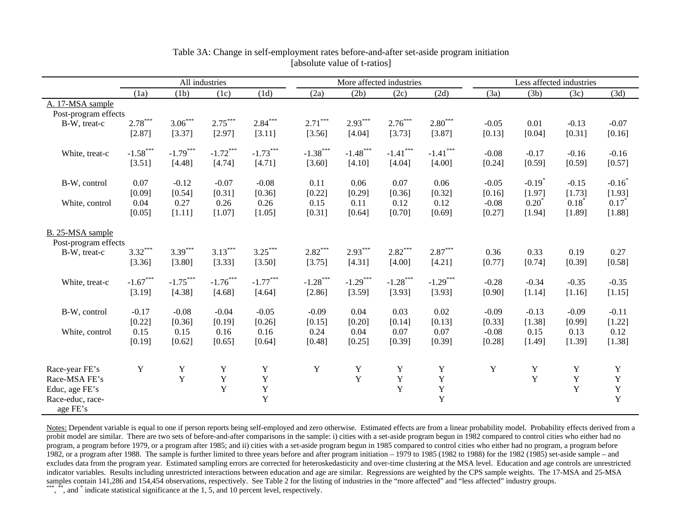|                                                                                   |                          |                      | All industries                            |                                                          |                          |                            | More affected industries                  |                                                          | Less affected industries    |                                |                                           |                                                          |
|-----------------------------------------------------------------------------------|--------------------------|----------------------|-------------------------------------------|----------------------------------------------------------|--------------------------|----------------------------|-------------------------------------------|----------------------------------------------------------|-----------------------------|--------------------------------|-------------------------------------------|----------------------------------------------------------|
|                                                                                   | (1a)                     | (1b)                 | (1c)                                      | (1d)                                                     | (2a)                     | (2b)                       | (2c)                                      | (2d)                                                     | (3a)                        | (3b)                           | (3c)                                      | (3d)                                                     |
| A. 17-MSA sample<br>Post-program effects                                          |                          |                      |                                           |                                                          |                          |                            |                                           |                                                          |                             |                                |                                           |                                                          |
| B-W, treat-c                                                                      | $2.78***$<br>[2.87]      | $3.06***$<br>[3.37]  | $2.75***$<br>[2.97]                       | $2.84***$<br>[3.11]                                      | $2.71***$<br>[3.56]      | $2.93***$<br>[4.04]        | $2.76***$<br>[3.73]                       | $2.80***$<br>[3.87]                                      | $-0.05$<br>[0.13]           | 0.01<br>[0.04]                 | $-0.13$<br>[0.31]                         | $-0.07$<br>[0.16]                                        |
| White, treat-c                                                                    | $-1.58***$<br>[3.51]     | $-1.79***$<br>[4.48] | $-1.72***$<br>[4.74]                      | $-1.73***$<br>[4.71]                                     | $-1.38***$<br>[3.60]     | $-1.48***$<br>[4.10]       | $-1.41***$<br>[4.04]                      | $-1.41***$<br>[4.00]                                     | $-0.08$<br>[0.24]           | $-0.17$<br>[0.59]              | $-0.16$<br>[0.59]                         | $-0.16$<br>[0.57]                                        |
| B-W, control                                                                      | 0.07                     | $-0.12$<br>[0.54]    | $-0.07$<br>[0.31]                         | $-0.08$                                                  | 0.11                     | 0.06<br>[0.29]             | 0.07                                      | 0.06                                                     | $-0.05$                     | $-0.19$ <sup>*</sup><br>[1.97] | $-0.15$<br>[1.73]                         | $-0.16$ <sup>*</sup>                                     |
| White, control                                                                    | [0.09]<br>0.04<br>[0.05] | 0.27<br>[1.11]       | 0.26<br>[1.07]                            | [0.36]<br>0.26<br>[1.05]                                 | [0.22]<br>0.15<br>[0.31] | 0.11<br>[0.64]             | [0.36]<br>0.12<br>[0.70]                  | [0.32]<br>0.12<br>[0.69]                                 | [0.16]<br>$-0.08$<br>[0.27] | $0.20^*$<br>[1.94]             | $0.18*$<br>[1.89]                         | [1.93]<br>$0.17*$<br>[1.88]                              |
| B. 25-MSA sample                                                                  |                          |                      |                                           |                                                          |                          |                            |                                           |                                                          |                             |                                |                                           |                                                          |
| Post-program effects<br>B-W, treat-c                                              | $3.32***$<br>[3.36]      | $3.39***$<br>[3.80]  | $3.13***$<br>[3.33]                       | $3.25***$<br>[3.50]                                      | $2.82***$<br>[3.75]      | $2.93***$<br>[4.31]        | $2.82***$<br>[4.00]                       | $2.87***$<br>[4.21]                                      | 0.36<br>[0.77]              | 0.33<br>[0.74]                 | 0.19<br>[0.39]                            | 0.27<br>[0.58]                                           |
| White, treat-c                                                                    | $-1.67***$<br>[3.19]     | $-1.75***$<br>[4.38] | $-1.76***$<br>[4.68]                      | $-1.77***$<br>[4.64]                                     | $-1.28***$<br>[2.86]     | $-1.29***$<br>[3.59]       | $-1.28***$<br>[3.93]                      | $-1.29***$<br>[3.93]                                     | $-0.28$<br>[0.90]           | $-0.34$<br>[1.14]              | $-0.35$<br>[1.16]                         | $-0.35$<br>[1.15]                                        |
| B-W, control                                                                      | $-0.17$<br>[0.22]        | $-0.08$<br>[0.36]    | $-0.04$<br>[0.19]                         | $-0.05$<br>[0.26]                                        | $-0.09$<br>[0.15]        | 0.04<br>[0.20]             | 0.03<br>[0.14]                            | 0.02<br>[0.13]                                           | $-0.09$<br>[0.33]           | $-0.13$<br>[1.38]              | $-0.09$<br>[0.99]                         | $-0.11$<br>[1.22]                                        |
| White, control                                                                    | 0.15<br>[0.19]           | 0.15<br>[0.62]       | 0.16<br>[0.65]                            | 0.16<br>[0.64]                                           | 0.24<br>[0.48]           | 0.04<br>[0.25]             | 0.07<br>[0.39]                            | 0.07<br>[0.39]                                           | $-0.08$<br>[0.28]           | 0.15<br>[1.49]                 | 0.13<br>[1.39]                            | 0.12<br>[1.38]                                           |
| Race-year FE's<br>Race-MSA FE's<br>Educ, age FE's<br>Race-educ, race-<br>age FE's | $\mathbf Y$              | $\mathbf Y$<br>Y     | $\mathbf Y$<br>$\mathbf Y$<br>$\mathbf Y$ | $\mathbf Y$<br>$\mathbf Y$<br>$\mathbf Y$<br>$\mathbf Y$ | $\mathbf Y$              | $\mathbf Y$<br>$\mathbf Y$ | $\mathbf Y$<br>$\mathbf Y$<br>$\mathbf Y$ | $\mathbf Y$<br>$\mathbf Y$<br>$\mathbf Y$<br>$\mathbf Y$ | $\mathbf Y$                 | $\mathbf Y$<br>$\mathbf Y$     | $\mathbf Y$<br>$\mathbf Y$<br>$\mathbf Y$ | $\mathbf Y$<br>$\mathbf Y$<br>$\mathbf Y$<br>$\mathbf Y$ |

#### Table 3A: Change in self-employment rates before-and-after set-aside program initiation [absolute value of t-ratios]

Notes: Dependent variable is equal to one if person reports being self-employed and zero otherwise. Estimated effects are from a linear probability model. Probability effects derived from a probit model are similar. There are two sets of before-and-after comparisons in the sample: i) cities with a set-aside program begun in 1982 compared to control cities who either had no program, a program before 1979, or a program after 1985; and ii) cities with a set-aside program begun in 1985 compared to control cities who either had no program, a program before 1982, or a program after 1988. The sample is further limited to three years before and after program initiation – 1979 to 1985 (1982 to 1988) for the 1982 (1985) set-aside sample – and excludes data from the program year. Estimated sampling errors are corrected for heteroskedasticity and over-time clustering at the MSA level. Education and age controls are unrestricted indicator variables. Results including unrestricted interactions between education and age are similar. Regressions are weighted by the CPS sample weights. The 17-MSA and 25-MSA samples contain 141,286 and 154,454 observations, respectively. See Table 2 for the listing of industries in the "more affected" and "less affected" industry groups. \*\*\*, \*\*, and \* indicate statistical significance at the 1, 5, and 10 percent level, respectively.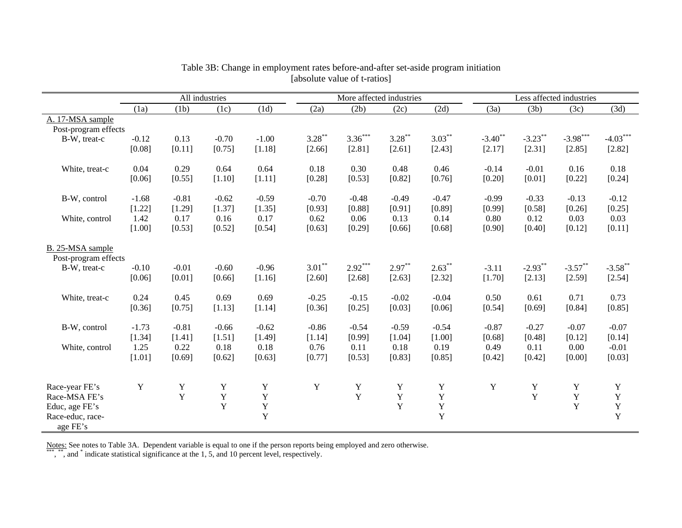|                      |                |                | All industries |                |                | More affected industries |                |                |                |                | Less affected industries |                   |
|----------------------|----------------|----------------|----------------|----------------|----------------|--------------------------|----------------|----------------|----------------|----------------|--------------------------|-------------------|
|                      | (1a)           | (1b)           | (1c)           | (1d)           | (2a)           | (2b)                     | (2c)           | (2d)           | (3a)           | (3b)           | (3c)                     | (3d)              |
| A. 17-MSA sample     |                |                |                |                |                |                          |                |                |                |                |                          |                   |
| Post-program effects |                |                |                |                |                |                          |                |                |                |                |                          |                   |
| B-W, treat-c         | $-0.12$        | 0.13           | $-0.70$        | $-1.00$        | $3.28***$      | $3.36***$                | $3.28***$      | $3.03***$      | $-3.40$ **     | $-3.23***$     | $-3.98***$               | $-4.03***$        |
|                      | [0.08]         | [0.11]         | [0.75]         | [1.18]         | [2.66]         | [2.81]                   | [2.61]         | [2.43]         | [2.17]         | [2.31]         | [2.85]                   | [2.82]            |
| White, treat-c       | 0.04           | 0.29           | 0.64           | 0.64           | 0.18           | 0.30                     | 0.48           | 0.46           | $-0.14$        | $-0.01$        | 0.16                     | 0.18              |
|                      | [0.06]         | [0.55]         | [1.10]         | [1.11]         | [0.28]         | [0.53]                   | [0.82]         | [0.76]         | [0.20]         | [0.01]         | [0.22]                   | [0.24]            |
|                      |                |                |                |                |                |                          |                |                |                |                |                          |                   |
| B-W, control         | $-1.68$        | $-0.81$        | $-0.62$        | $-0.59$        | $-0.70$        | $-0.48$                  | $-0.49$        | $-0.47$        | $-0.99$        | $-0.33$        | $-0.13$                  | $-0.12$           |
|                      | [1.22]         | [1.29]         | [1.37]         | [1.35]         | [0.93]         | [0.88]                   | [0.91]         | [0.89]         | [0.99]         | [0.58]         | [0.26]                   | [0.25]            |
| White, control       | 1.42           | 0.17           | 0.16           | 0.17           | 0.62           | 0.06                     | 0.13           | 0.14           | 0.80           | 0.12           | 0.03                     | 0.03              |
|                      | [1.00]         | [0.53]         | [0.52]         | [0.54]         | [0.63]         | [0.29]                   | [0.66]         | [0.68]         | [0.90]         | [0.40]         | [0.12]                   | [0.11]            |
| B. 25-MSA sample     |                |                |                |                |                |                          |                |                |                |                |                          |                   |
| Post-program effects |                |                |                |                |                |                          |                |                |                |                |                          |                   |
| B-W, treat-c         | $-0.10$        | $-0.01$        | $-0.60$        | $-0.96$        | $3.01***$      | $2.92***$                | $2.97***$      | $2.63***$      | $-3.11$        | $-2.93**$      | $-3.57***$               | $-3.58$ **        |
|                      | [0.06]         | [0.01]         | [0.66]         | [1.16]         | [2.60]         | [2.68]                   | [2.63]         | [2.32]         | [1.70]         | [2.13]         | [2.59]                   | [2.54]            |
|                      |                |                |                |                |                |                          |                |                |                |                |                          |                   |
| White, treat-c       | 0.24           | 0.45           | 0.69           | 0.69           | $-0.25$        | $-0.15$                  | $-0.02$        | $-0.04$        | 0.50           | 0.61           | 0.71                     | 0.73              |
|                      | [0.36]         | [0.75]         | [1.13]         | [1.14]         | [0.36]         | [0.25]                   | [0.03]         | [0.06]         | [0.54]         | [0.69]         | [0.84]                   | [0.85]            |
|                      |                |                |                |                |                |                          |                |                |                |                |                          |                   |
| B-W, control         | $-1.73$        | $-0.81$        | $-0.66$        | $-0.62$        | $-0.86$        | $-0.54$                  | $-0.59$        | $-0.54$        | $-0.87$        | $-0.27$        | $-0.07$                  | $-0.07$           |
| White, control       | [1.34]<br>1.25 | [1.41]<br>0.22 | [1.51]<br>0.18 | [1.49]<br>0.18 | [1.14]<br>0.76 | [0.99]<br>0.11           | [1.04]<br>0.18 | [1.00]<br>0.19 | [0.68]<br>0.49 | [0.48]<br>0.11 | [0.12]<br>0.00           | [0.14]<br>$-0.01$ |
|                      | [1.01]         | [0.69]         | [0.62]         | [0.63]         | [0.77]         | [0.53]                   | [0.83]         | [0.85]         | [0.42]         | [0.42]         | [0.00]                   | [0.03]            |
|                      |                |                |                |                |                |                          |                |                |                |                |                          |                   |
|                      |                |                |                |                |                |                          |                |                |                |                |                          |                   |
| Race-year FE's       | Y              | $\mathbf Y$    | Y              | $\mathbf Y$    | Y              | $\mathbf Y$              | $\mathbf Y$    | $\mathbf Y$    | Y              | $\mathbf Y$    | $\mathbf Y$              | $\mathbf Y$       |
| Race-MSA FE's        |                | $\mathbf Y$    | $\mathbf Y$    | Y              |                | $\mathbf Y$              | $\mathbf Y$    | $\mathbf Y$    |                | $\mathbf Y$    | $\mathbf Y$              | $\mathbf Y$       |
| Educ, age FE's       |                |                | $\mathbf Y$    | $\mathbf Y$    |                |                          | $\mathbf Y$    | $\mathbf Y$    |                |                | $\mathbf Y$              | $\mathbf Y$       |
| Race-educ, race-     |                |                |                | $\mathbf Y$    |                |                          |                | $\mathbf Y$    |                |                |                          | $\mathbf Y$       |
| age FE's             |                |                |                |                |                |                          |                |                |                |                |                          |                   |

| Table 3B: Change in employment rates before-and-after set-aside program initiation |  |
|------------------------------------------------------------------------------------|--|
| [absolute value of t-ratios]                                                       |  |

Notes: See notes to Table 3A. Dependent variable is equal to one if the person reports being employed and zero otherwise. <br>\*\*\*, \*\*, and \* indicate statistical significance at the 1, 5, and 10 percent level, respectively.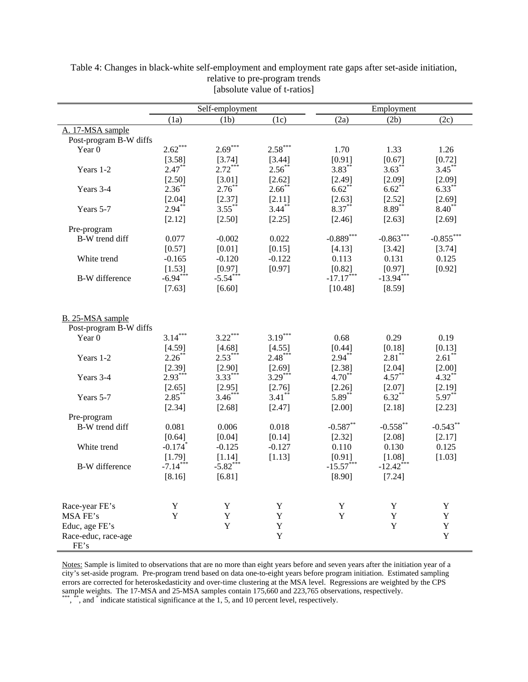|                        |                       | Self-employment |             |              | Employment   |             |
|------------------------|-----------------------|-----------------|-------------|--------------|--------------|-------------|
|                        | (1a)                  | (1b)            | (1c)        | (2a)         | (2b)         | (2c)        |
| A. 17-MSA sample       |                       |                 |             |              |              |             |
| Post-program B-W diffs |                       |                 |             |              |              |             |
| Year <sub>0</sub>      | $2.62***$             | $2.69***$       | $2.58***$   | 1.70         | 1.33         | 1.26        |
|                        | [3.58]                | [3.74]          | [3.44]      | [0.91]       | [0.67]       | [0.72]      |
| Years 1-2              | $2.47***$             | $2.72***$       | $2.56^{**}$ | $3.83***$    | $3.63***$    | $3.45***$   |
|                        | [2.50]                | [3.01]          | [2.62]      | [2.49]       | [2.09]       | [2.09]      |
| Years 3-4              | $2.36***$             | $2.76***$       | $2.66***$   | $6.62***$    | $6.62***$    | $6.33***$   |
|                        | [2.04]                | [2.37]          | [2.11]      | [2.63]       | [2.52]       | [2.69]      |
| Years 5-7              | $2.94***$             | $3.55***$       | $3.44***$   | $8.37***$    | $8.89***$    | $8.40***$   |
|                        | [2.12]                | [2.50]          | [2.25]      | [2.46]       | [2.63]       | [2.69]      |
| Pre-program            |                       |                 |             |              |              |             |
| B-W trend diff         | 0.077                 | $-0.002$        | 0.022       | $-0.889***$  | $-0.863***$  | $-0.855***$ |
|                        | [0.57]                | [0.01]          | [0.15]      | [4.13]       | [3.42]       | [3.74]      |
| White trend            | $-0.165$              | $-0.120$        | $-0.122$    | 0.113        | 0.131        | 0.125       |
|                        | [1.53]                | [0.97]          | [0.97]      | [0.82]       | [0.97]       | [0.92]      |
| <b>B-W</b> difference  | $-6.94***$            | $-5.54***$      |             | $-17.17$ *** | $-13.94$ *** |             |
|                        | [7.63]                | [6.60]          |             | [10.48]      | [8.59]       |             |
|                        |                       |                 |             |              |              |             |
|                        |                       |                 |             |              |              |             |
| B. 25-MSA sample       |                       |                 |             |              |              |             |
| Post-program B-W diffs |                       |                 |             |              |              |             |
| Year <sub>0</sub>      | $3.14***$             | $3.22***$       | $3.19***$   | 0.68         | 0.29         | 0.19        |
|                        | [4.59]                | [4.68]          | [4.55]      | [0.44]       | [0.18]       | [0.13]      |
| Years 1-2              | $2.26***$             | $2.53***$       | $2.48***$   | $2.94***$    | $2.81***$    | $2.61***$   |
|                        | [2.39]                | [2.90]          | [2.69]      | [2.38]       | [2.04]       | [2.00]      |
| Years 3-4              | $2.93***$             | $3.33***$       | $3.29***$   | $4.70^{**}$  | $4.57***$    | $4.32***$   |
|                        | [2.65]                | [2.95]          | [2.76]      | [2.26]       | [2.07]       | [2.19]      |
| Years 5-7              | $2.85***$             | $3.46***$       | $3.41***$   | $5.89**$     | $6.32***$    | $5.97**$    |
|                        | [2.34]                | [2.68]          | [2.47]      | [2.00]       | [2.18]       | [2.23]      |
| Pre-program            |                       |                 |             |              |              |             |
| B-W trend diff         | 0.081                 | 0.006           | 0.018       | $-0.587**$   | $-0.558***$  | $-0.543**$  |
|                        | [0.64]                | [0.04]          | [0.14]      | [2.32]       | [2.08]       | [2.17]      |
| White trend            | $-0.174$ <sup>*</sup> | $-0.125$        | $-0.127$    | 0.110        | 0.130        | 0.125       |
|                        | [1.79]                | [1.14]          | [1.13]      | [0.91]       | [1.08]       | [1.03]      |
| <b>B-W</b> difference  | $-7.14***$            | $-5.82***$      |             | $-15.57***$  | $-12.42$ *** |             |
|                        | [8.16]                | [6.81]          |             | [8.90]       | [7.24]       |             |
|                        |                       |                 |             |              |              |             |
|                        |                       |                 |             |              |              |             |
| Race-year FE's         | Y                     | $\mathbf Y$     | $\mathbf Y$ | Y            | Y            | $\mathbf Y$ |
| MSA FE's               | Y                     | Y               | $\mathbf Y$ | Y            | Y            | $\mathbf Y$ |
| Educ, age FE's         |                       | $\mathbf Y$     | Y           |              | Y            | Y           |
| Race-educ, race-age    |                       |                 | Y           |              |              | Y           |
| FE's                   |                       |                 |             |              |              |             |

Table 4: Changes in black-white self-employment and employment rate gaps after set-aside initiation, relative to pre-program trends [absolute value of t-ratios]

Notes: Sample is limited to observations that are no more than eight years before and seven years after the initiation year of a city's set-aside program. Pre-program trend based on data one-to-eight years before program initiation. Estimated sampling errors are corrected for heteroskedasticity and over-time clustering at the MSA level. Regressions are weighted by the CPS sample weights. The 17-MSA and 25-MSA samples contain 175,660 and 223,765 observations, respectively.<br>\*\*\*, \*\*, and \* indicate statistical significance at the 1, 5, and 10 percent level, respectively.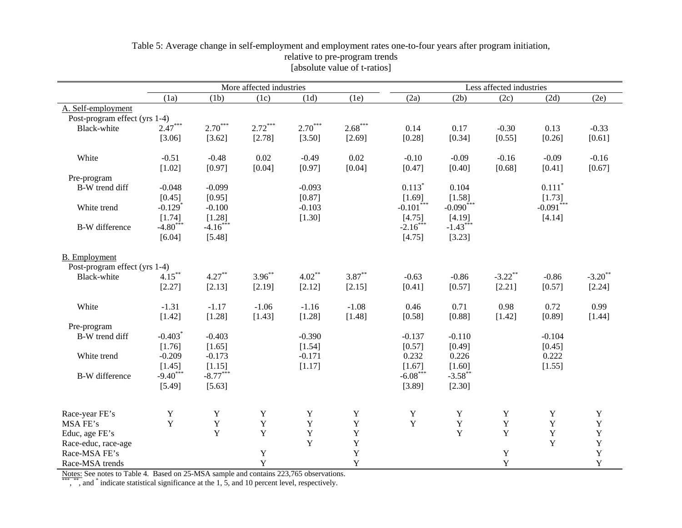|                               |                       |             | More affected industries |             |             |                      |              | Less affected industries |                      |                       |
|-------------------------------|-----------------------|-------------|--------------------------|-------------|-------------|----------------------|--------------|--------------------------|----------------------|-----------------------|
|                               | (1a)                  | (1b)        | (1c)                     | (1d)        | (1e)        | (2a)                 | (2b)         | (2c)                     | (2d)                 | (2e)                  |
| A. Self-employment            |                       |             |                          |             |             |                      |              |                          |                      |                       |
| Post-program effect (yrs 1-4) |                       |             |                          |             |             |                      |              |                          |                      |                       |
| <b>Black-white</b>            | $2.47***$             | $2.70***$   | $2.72***$                | $2.70***$   | $2.68***$   | 0.14                 | 0.17         | $-0.30$                  | 0.13                 | $-0.33$               |
|                               | [3.06]                | [3.62]      | [2.78]                   | [3.50]      | [2.69]      | [0.28]               | [0.34]       | [0.55]                   | [0.26]               | [0.61]                |
| White                         | $-0.51$               | $-0.48$     | 0.02                     | $-0.49$     | 0.02        | $-0.10$              | $-0.09$      | $-0.16$                  | $-0.09$              | $-0.16$               |
|                               | [1.02]                | [0.97]      | [0.04]                   | [0.97]      | [0.04]      | [0.47]               | [0.40]       | [0.68]                   | [0.41]               | [0.67]                |
| Pre-program                   |                       |             |                          |             |             |                      |              |                          |                      |                       |
| B-W trend diff                | $-0.048$              | $-0.099$    |                          | $-0.093$    |             | $0.113$ <sup>*</sup> | 0.104        |                          | $0.111$ <sup>*</sup> |                       |
|                               | [0.45]                | [0.95]      |                          | [0.87]      |             | [1.69]               | [1.58]       |                          | [1.73]               |                       |
| White trend                   | $-0.129$ <sup>*</sup> | $-0.100$    |                          | $-0.103$    |             | $-0.101$ ***         | $-0.090$ *** |                          | $-0.091$ ***         |                       |
|                               | [1.74]                | [1.28]      |                          | [1.30]      |             | [4.75]               | [4.19]       |                          | [4.14]               |                       |
| <b>B-W</b> difference         | $-4.80***$            | $-4.16***$  |                          |             |             | $-2.16***$           | $-1.43***$   |                          |                      |                       |
|                               | [6.04]                | [5.48]      |                          |             |             | [4.75]               | [3.23]       |                          |                      |                       |
| <b>B.</b> Employment          |                       |             |                          |             |             |                      |              |                          |                      |                       |
| Post-program effect (yrs 1-4) |                       |             |                          |             |             |                      |              |                          |                      |                       |
| Black-white                   | $4.15***$             | $4.27***$   | $3.96***$                | $4.02***$   | $3.87***$   | $-0.63$              | $-0.86$      | $-3.22$ **               | $-0.86$              | $-3.20$ <sup>**</sup> |
|                               | [2.27]                | [2.13]      | [2.19]                   | [2.12]      | [2.15]      | [0.41]               | [0.57]       | [2.21]                   | [0.57]               | [2.24]                |
| White                         | $-1.31$               | $-1.17$     | $-1.06$                  | $-1.16$     | $-1.08$     | 0.46                 | 0.71         | 0.98                     | 0.72                 | 0.99                  |
|                               | [1.42]                | [1.28]      | [1.43]                   | [1.28]      | [1.48]      | [0.58]               | [0.88]       | [1.42]                   | [0.89]               | [1.44]                |
| Pre-program                   |                       |             |                          |             |             |                      |              |                          |                      |                       |
| B-W trend diff                | $-0.403$ <sup>*</sup> | $-0.403$    |                          | $-0.390$    |             | $-0.137$             | $-0.110$     |                          | $-0.104$             |                       |
|                               | [1.76]                | [1.65]      |                          | [1.54]      |             | [0.57]               | [0.49]       |                          | [0.45]               |                       |
| White trend                   | $-0.209$              | $-0.173$    |                          | $-0.171$    |             | 0.232                | 0.226        |                          | 0.222                |                       |
|                               | [1.45]                | [1.15]      |                          | [1.17]      |             | $[1.67]$             | [1.60]       |                          | [1.55]               |                       |
| <b>B-W</b> difference         | $-9.40$ ***           | $-8.77***$  |                          |             |             | $-6.08***$           | $-3.58$ **   |                          |                      |                       |
|                               | [5.49]                | [5.63]      |                          |             |             | [3.89]               | [2.30]       |                          |                      |                       |
|                               | $\mathbf Y$           | $\mathbf Y$ | $\mathbf Y$              | $\mathbf Y$ | Y           | $\mathbf Y$          | $\mathbf Y$  | $\mathbf Y$              | $\mathbf Y$          | $\mathbf Y$           |
| Race-year FE's<br>MSA FE's    | Y                     | $\mathbf Y$ | $\mathbf Y$              | $\mathbf Y$ | $\mathbf Y$ | $\mathbf Y$          | $\mathbf Y$  | $\mathbf Y$              | $\mathbf Y$          | $\mathbf Y$           |
|                               |                       | Y           | $\mathbf Y$              | $\mathbf Y$ | $\mathbf Y$ |                      | Y            | $\mathbf Y$              | $\mathbf Y$          | $\mathbf Y$           |
| Educ, age FE's                |                       |             |                          | $\mathbf Y$ | $\mathbf Y$ |                      |              |                          | $\mathbf Y$          | $\mathbf Y$           |
| Race-educ, race-age           |                       |             | $\mathbf Y$              |             | $\mathbf Y$ |                      |              | $\mathbf Y$              |                      | $\mathbf Y$           |
| Race-MSA FE's                 |                       |             | $\mathbf Y$              |             | Y           |                      |              | $\mathbf Y$              |                      | $\mathbf Y$           |
| Race-MSA trends               |                       |             |                          |             |             |                      |              |                          |                      |                       |

#### Table 5: Average change in self-employment and employment rates one-to-four years after program initiation, relative to pre-program trends [absolute value of t-ratios]

Notes: See notes to Table 4. Based on 25-MSA sample and contains 223,765 observations.<br>\*\*\*, \*\*, and \* indicate statistical significance at the 1, 5, and 10 percent level, respectively.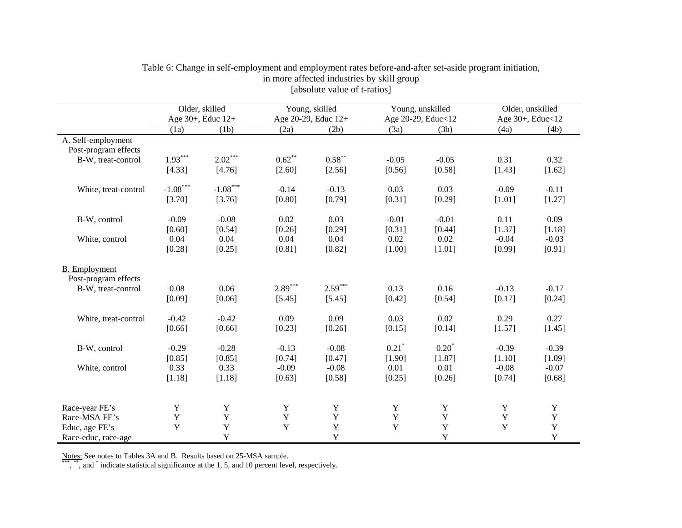|                      | Older, skilled |                                 |             | Young, skilled      |             | Young, unskilled   | Older, unskilled |             |
|----------------------|----------------|---------------------------------|-------------|---------------------|-------------|--------------------|------------------|-------------|
|                      |                | Age 30+, Educ 12+               |             | Age 20-29, Educ 12+ |             | Age 20-29, Educ<12 | Age 30+, Educ<12 |             |
|                      | (1a)           | (1b)                            | (2a)        | (2b)                | (3a)        | (3b)               | (4a)             | (4b)        |
| A. Self-employment   |                |                                 |             |                     |             |                    |                  |             |
| Post-program effects |                |                                 |             |                     |             |                    |                  |             |
| B-W, treat-control   | $1.93***$      | $2.02***$                       | $0.62***$   | $0.58***$           | $-0.05$     | $-0.05$            | 0.31             | 0.32        |
|                      | [4.33]         | [4.76]                          | [2.60]      | [2.56]              | [0.56]      | [0.58]             | [1.43]           | [1.62]      |
| White, treat-control | $-1.08***$     | $\textbf{-1.08}^{\ast\ast\ast}$ | $-0.14$     | $-0.13$             | 0.03        | 0.03               | $-0.09$          | $-0.11$     |
|                      | [3.70]         | [3.76]                          | [0.80]      | [0.79]              | [0.31]      | [0.29]             | [1.01]           | [1.27]      |
| B-W, control         | $-0.09$        | $-0.08$                         | 0.02        | 0.03                | $-0.01$     | $-0.01$            | 0.11             | 0.09        |
|                      | [0.60]         | [0.54]                          | [0.26]      | [0.29]              | [0.31]      | [0.44]             | [1.37]           | [1.18]      |
| White, control       | 0.04           | 0.04                            | 0.04        | 0.04                | 0.02        | 0.02               | $-0.04$          | $-0.03$     |
|                      | [0.28]         | [0.25]                          | [0.81]      | [0.82]              | [1.00]      | [1.01]             | [0.99]           | [0.91]      |
| <b>B.</b> Employment |                |                                 |             |                     |             |                    |                  |             |
| Post-program effects |                |                                 |             |                     |             |                    |                  |             |
| B-W, treat-control   | 0.08           | 0.06                            | $2.89***$   | $2.59***$           | 0.13        | 0.16               | $-0.13$          | $-0.17$     |
|                      | [0.09]         | [0.06]                          | [5.45]      | [5.45]              | [0.42]      | [0.54]             | [0.17]           | [0.24]      |
| White, treat-control | $-0.42$        | $-0.42$                         | 0.09        | 0.09                | 0.03        | 0.02               | 0.29             | 0.27        |
|                      | [0.66]         | [0.66]                          | [0.23]      | [0.26]              | [0.15]      | [0.14]             | [1.57]           | [1.45]      |
| B-W, control         | $-0.29$        | $-0.28$                         | $-0.13$     | $-0.08$             | $0.21*$     | $0.20*$            | $-0.39$          | $-0.39$     |
|                      | [0.85]         | [0.85]                          | [0.74]      | [0.47]              | [1.90]      | [1.87]             | [1.10]           | [1.09]      |
| White, control       | 0.33           | 0.33                            | $-0.09$     | $-0.08$             | 0.01        | 0.01               | $-0.08$          | $-0.07$     |
|                      | [1.18]         | [1.18]                          | [0.63]      | [0.58]              | [0.25]      | [0.26]             | [0.74]           | [0.68]      |
|                      |                |                                 |             |                     |             |                    |                  |             |
| Race-year FE's       | $\mathbf Y$    | $\mathbf Y$                     | Y           | $\mathbf Y$         | $\mathbf Y$ | $\mathbf Y$        | $\mathbf Y$      | $\mathbf Y$ |
| Race-MSA FE's        | Y              | Y                               | $\mathbf Y$ | $\mathbf Y$         | $\mathbf Y$ | $\mathbf Y$        | $\mathbf Y$      | $\mathbf Y$ |
| Educ, age FE's       | Y              | Y                               | $\mathbf Y$ | Y                   | $\mathbf Y$ | $\mathbf Y$        | $\mathbf Y$      | $\mathbf Y$ |
| Race-educ, race-age  |                | $\mathbf Y$                     |             | $\mathbf Y$         |             | $\mathbf Y$        |                  | $\mathbf Y$ |

#### Table 6: Change in self-employment and employment rates before-and-after set-aside program initiation, in more affected industries by skill group [absolute value of t-ratios]

Notes: See notes to Tables 3A and B. Results based on 25-MSA sample.<br>\*\*\*, \*\*, and \* indicate statistical significance at the 1, 5, and 10 percent level, respectively.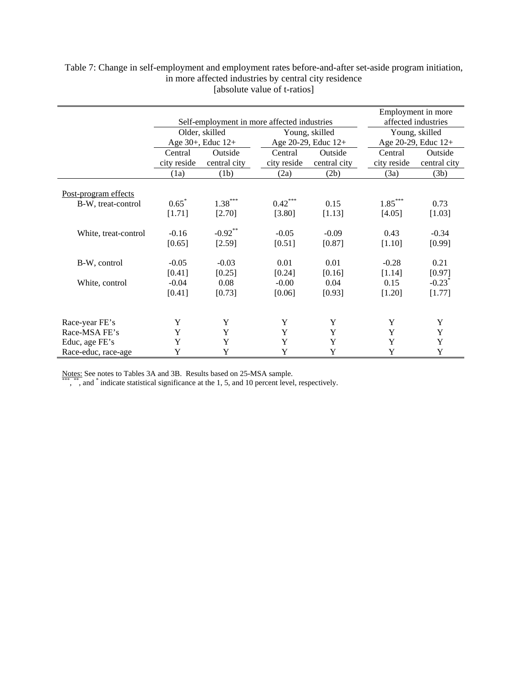|                      |             |                   |                                             |                     | Employment in more |                      |
|----------------------|-------------|-------------------|---------------------------------------------|---------------------|--------------------|----------------------|
|                      |             |                   | Self-employment in more affected industries |                     |                    | affected industries  |
|                      |             | Older, skilled    |                                             | Young, skilled      |                    | Young, skilled       |
|                      |             | Age 30+, Educ 12+ |                                             | Age 20-29, Educ 12+ |                    | Age 20-29, Educ 12+  |
|                      | Central     | Outside           | Central                                     | Outside             | Central            | Outside              |
|                      | city reside | central city      | city reside                                 | central city        | city reside        | central city         |
|                      | (1a)        | (1b)              | (2a)                                        | (2b)                | (3a)               | (3b)                 |
|                      |             |                   |                                             |                     |                    |                      |
| Post-program effects |             |                   |                                             |                     |                    |                      |
| B-W, treat-control   | $0.65*$     | $1.38***$         | $0.42***$                                   | 0.15                | $1.85***$          | 0.73                 |
|                      | [1.71]      | [2.70]            | [3.80]                                      | [1.13]              | [4.05]             | [1.03]               |
|                      |             |                   |                                             |                     |                    |                      |
| White, treat-control | $-0.16$     | $-0.92$ **        | $-0.05$                                     | $-0.09$             | 0.43               | $-0.34$              |
|                      | [0.65]      | [2.59]            | [0.51]                                      | [0.87]              | [1.10]             | [0.99]               |
|                      |             |                   |                                             |                     |                    |                      |
| B-W, control         | $-0.05$     | $-0.03$           | 0.01                                        | 0.01                | $-0.28$            | 0.21                 |
|                      | [0.41]      | [0.25]            | [0.24]                                      | [0.16]              | [1.14]             | [0.97]               |
| White, control       | $-0.04$     | 0.08              | $-0.00$                                     | 0.04                | 0.15               | $-0.23$ <sup>*</sup> |
|                      | [0.41]      | [0.73]            | [0.06]                                      | [0.93]              | [1.20]             | [1.77]               |
|                      |             |                   |                                             |                     |                    |                      |
| Race-year FE's       | Y           | Y                 | Y                                           | Y                   | Y                  | Y                    |
| Race-MSA FE's        | Y           | Y                 | Y                                           | Y                   | Y                  | Y                    |
| Educ, age FE's       | Y           | Y                 | Y                                           | Y                   | Y                  | Y                    |
| Race-educ, race-age  | Y           | Y                 | Y                                           | Y                   | Y                  | Y                    |

Table 7: Change in self-employment and employment rates before-and-after set-aside program initiation, in more affected industries by central city residence [absolute value of t-ratios]

Notes: See notes to Tables 3A and 3B. Results based on 25-MSA sample.<br>\*\*\*, \*\*, and \* indicate statistical significance at the 1, 5, and 10 percent level, respectively.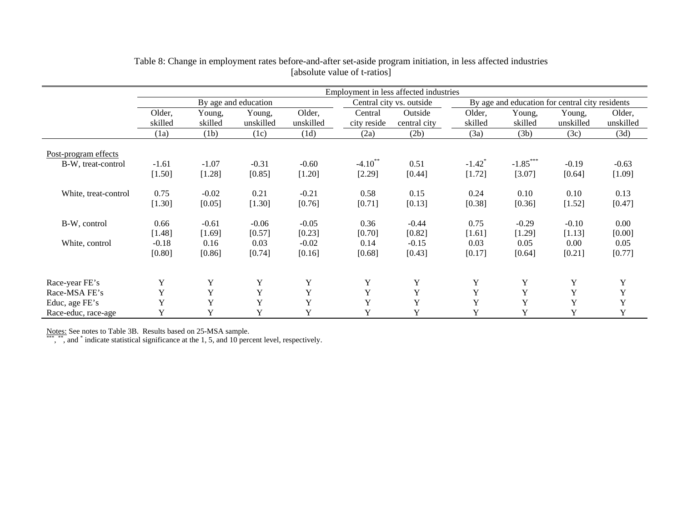|                      |                   |                   |                      |                     |                        | Employment in less affected industries |                      |                   |                                                 |                     |
|----------------------|-------------------|-------------------|----------------------|---------------------|------------------------|----------------------------------------|----------------------|-------------------|-------------------------------------------------|---------------------|
|                      |                   |                   | By age and education |                     |                        | Central city vs. outside               |                      |                   | By age and education for central city residents |                     |
|                      | Older,<br>skilled | Young,<br>skilled | Young,<br>unskilled  | Older,<br>unskilled | Central<br>city reside | Outside<br>central city                | Older,<br>skilled    | Young,<br>skilled | Young,<br>unskilled                             | Older,<br>unskilled |
|                      | (1a)              | (1b)              | (1c)                 | (1d)                | (2a)                   | (2b)                                   | (3a)                 | (3b)              | (3c)                                            | (3d)                |
| Post-program effects |                   |                   |                      |                     |                        |                                        |                      |                   |                                                 |                     |
| B-W, treat-control   | $-1.61$           | $-1.07$           | $-0.31$              | $-0.60$             | $-4.10$ **             | 0.51                                   | $-1.42$ <sup>*</sup> | $-1.85***$        | $-0.19$                                         | $-0.63$             |
|                      | [1.50]            | $[1.28]$          | [0.85]               | [1.20]              | [2.29]                 | [0.44]                                 | [1.72]               | [3.07]            | [0.64]                                          | [1.09]              |
| White, treat-control | 0.75<br>[1.30]    | $-0.02$<br>[0.05] | 0.21<br>[1.30]       | $-0.21$<br>[0.76]   | 0.58<br>[0.71]         | 0.15<br>[0.13]                         | 0.24<br>[0.38]       | 0.10<br>[0.36]    | 0.10<br>$[1.52]$                                | 0.13<br>[0.47]      |
| B-W, control         | 0.66<br>[1.48]    | $-0.61$<br>[1.69] | $-0.06$<br>[0.57]    | $-0.05$<br>[0.23]   | 0.36<br>[0.70]         | $-0.44$<br>[0.82]                      | 0.75<br>[1.61]       | $-0.29$<br>[1.29] | $-0.10$<br>[1.13]                               | 0.00<br>[0.00]      |
| White, control       | $-0.18$<br>[0.80] | 0.16<br>[0.86]    | 0.03<br>[0.74]       | $-0.02$<br>[0.16]   | 0.14<br>[0.68]         | $-0.15$<br>[0.43]                      | 0.03<br>[0.17]       | 0.05<br>[0.64]    | 0.00<br>$[0.21]$                                | 0.05<br>[0.77]      |
| Race-year FE's       | Y                 | Y                 | Y                    | Y                   | Y                      | Y                                      | Y                    | Y                 | Y                                               | Y                   |
| Race-MSA FE's        | Y                 | $\mathbf Y$       | $\mathbf Y$          | $\mathbf Y$         | $\mathbf Y$            | $\mathbf Y$                            | Y                    | Y                 | Y                                               | Y                   |
| Educ, age FE's       | Y                 | Y                 | Y                    | $\mathbf Y$         | Y                      | Y                                      | Y                    | Y                 | Y                                               | Y                   |
| Race-educ, race-age  | Y                 | Y                 | Y                    | $\mathbf Y$         | Y                      | Y                                      | Y                    | Y                 | Y                                               | $\mathbf Y$         |

#### Table 8: Change in employment rates before-and-after set-aside program initiation, in less affected industries [absolute value of t-ratios]

Notes: See notes to Table 3B. Results based on 25-MSA sample.<br>\*\*\*, \*\*, and \* indicate statistical significance at the 1, 5, and 10 percent level, respectively.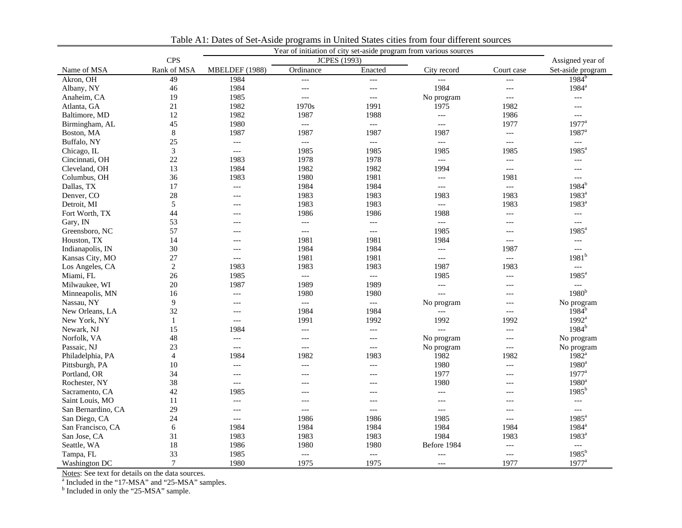|                    |                |                       |                          |                          | Year of initiation of city set-aside program from various sources |                |                     |
|--------------------|----------------|-----------------------|--------------------------|--------------------------|-------------------------------------------------------------------|----------------|---------------------|
|                    | <b>CPS</b>     |                       | <b>JCPES</b> (1993)      |                          |                                                                   |                | Assigned year of    |
| Name of MSA        | Rank of MSA    | <b>MBELDEF</b> (1988) | Ordinance                | Enacted                  | City record                                                       | Court case     | Set-aside program   |
| Akron, OH          | 49             | 1984                  | $---$                    | $---$                    | $---$                                                             | $\overline{a}$ | $1984^{b}$          |
| Albany, NY         | 46             | 1984                  | $---$                    | $---$                    | 1984                                                              | $---$          | $1984^a$            |
| Anaheim, CA        | 19             | 1985                  | $---$                    | $---$                    | No program                                                        | $---$          | $---$               |
| Atlanta, GA        | 21             | 1982                  | 1970s                    | 1991                     | 1975                                                              | 1982           | $---$               |
| Baltimore, MD      | 12             | 1982                  | 1987                     | 1988                     | $\overline{\phantom{a}}$                                          | 1986           | ---                 |
| Birmingham, AL     | 45             | 1980                  | $---$                    | $---$                    | $---$                                                             | 1977           | $1977^{\text{a}}$   |
| Boston, MA         | $\,8\,$        | 1987                  | 1987                     | 1987                     | 1987                                                              | $\overline{a}$ | $1987^{\text{a}}$   |
| Buffalo, NY        | 25             | $---$                 | $\overline{a}$           | $\overline{\phantom{a}}$ | $---$                                                             | $---$          | ---                 |
| Chicago, IL        | 3              | $---$                 | 1985                     | 1985                     | 1985                                                              | 1985           | $1985^a$            |
| Cincinnati, OH     | 22             | 1983                  | 1978                     | 1978                     | $\hspace{0.05cm} \ldots \hspace{0.05cm}$                          | $---$          | $---$               |
| Cleveland, OH      | 13             | 1984                  | 1982                     | 1982                     | 1994                                                              | $---$          | $---$               |
| Columbus, OH       | 36             | 1983                  | 1980                     | 1981                     | $---$                                                             | 1981           | $---$               |
| Dallas, TX         | 17             | $---$                 | 1984                     | 1984                     | $---$                                                             | $---$          | $1984^{b}$          |
| Denver, CO         | 28             | $---$                 | 1983                     | 1983                     | 1983                                                              | 1983           | 1983 <sup>a</sup>   |
| Detroit, MI        | 5              | $---$                 | 1983                     | 1983                     | $---$                                                             | 1983           | $1983^a$            |
| Fort Worth, TX     | 44             | $---$                 | 1986                     | 1986                     | 1988                                                              | $---$          | $---$               |
| Gary, IN           | 53             | $---$                 | $---$                    | $\hspace{0.05cm} \ldots$ | $---$                                                             | $---$          | $---$               |
| Greensboro, NC     | 57             | $---$                 | $---$                    | $\hspace{0.05cm} \ldots$ | 1985                                                              | $---$          | $1985^a$            |
| Houston, TX        | 14             | $---$                 | 1981                     | 1981                     | 1984                                                              | $---$          | $---$               |
| Indianapolis, IN   | 30             | $---$                 | 1984                     | 1984                     | $---$                                                             | 1987           | $---$               |
| Kansas City, MO    | 27             | $---$                 | 1981                     | 1981                     | $---$                                                             | $---$          | $1981^{b}$          |
| Los Angeles, CA    | $\sqrt{2}$     | 1983                  | 1983                     | 1983                     | 1987                                                              | 1983           | $---$               |
| Miami, FL          | 26             | 1985                  | $\overline{a}$           | $\overline{\phantom{a}}$ | 1985                                                              | $\overline{a}$ | $1985^a$            |
| Milwaukee, WI      | 20             | 1987                  | 1989                     | 1989                     | $\overline{\phantom{m}}$                                          | $---$          | $---$               |
| Minneapolis, MN    | 16             | $---$                 | 1980                     | 1980                     | $---$                                                             | $---$          | 1980 <sup>b</sup>   |
| Nassau, NY         | 9              | $---$                 | $\overline{\phantom{a}}$ | $\hspace{0.05cm} \ldots$ | No program                                                        | $---$          | No program          |
| New Orleans, LA    | 32             | $---$                 | 1984                     | 1984                     | $\hspace{0.05cm}---\hspace{0.05cm}$                               | $---$          | $1984^{b}$          |
| New York, NY       | 1              | $---$                 | 1991                     | 1992                     | 1992                                                              | 1992           | $1992^a$            |
| Newark, NJ         | 15             | 1984                  | $---$                    | $\hspace{0.05cm} \ldots$ | $\overline{a}$                                                    | $---$          | $1984^{b}$          |
| Norfolk, VA        | 48             | $---$                 | $---$                    | $---$                    | No program                                                        | $---$          | No program          |
| Passaic, NJ        | 23             | $\overline{a}$        | $---$                    | $---$                    | No program                                                        | $---$          | No program          |
| Philadelphia, PA   | $\overline{4}$ | 1984                  | 1982                     | 1983                     | 1982                                                              | 1982           | $1982^{\rm a}$      |
| Pittsburgh, PA     | 10             | $---$                 | $---$                    | $---$                    | 1980                                                              | $---$          | $1980^a$            |
| Portland, OR       | 34             | $---$                 | ---                      | ---                      | 1977                                                              | $---$          | $1977^a$            |
| Rochester, NY      | 38             | $---$                 | ---                      | ---                      | 1980                                                              | $---$          | $1980^a$            |
| Sacramento, CA     | 42             | 1985                  | $---$                    | $---$                    | $---$                                                             | $---$          | $1985^{\rm b}$      |
| Saint Louis, MO    | 11             | $---$                 | $---$                    | $---$                    | $---$                                                             | ---            | $---$               |
| San Bernardino, CA | 29             | $---$                 | $---$                    | $---$                    | $---$                                                             | ---            | $---$               |
| San Diego, CA      | 24             | $---$                 | 1986                     | 1986                     | 1985                                                              | $---$          | $1985^a$            |
| San Francisco, CA  | $6\,$          | 1984                  | 1984                     | 1984                     | 1984                                                              | 1984           | $1984^a$            |
| San Jose, CA       | 31             | 1983                  | 1983                     | 1983                     | 1984                                                              | 1983           | 1983 <sup>a</sup>   |
| Seattle, WA        | 18             | 1986                  | 1980                     | 1980                     | Before 1984                                                       | $---$          | $\qquad \qquad - -$ |
| Tampa, FL          | 33             | 1985                  | $---$                    | $---$                    | $---$                                                             | $---$          | $1985^{\rm b}$      |
| Washington DC      | $\tau$         | 1980                  | 1975                     | 1975                     | $---$                                                             | 1977           | $1977^{\rm a}$      |
|                    |                |                       |                          |                          |                                                                   |                |                     |

Table A1: Dates of Set-Aside programs in United States cities from four different sources

Notes: See text for details on the data sources.<br><sup>a</sup> Included in the "17-MSA" and "25-MSA" samples.<br><sup>b</sup> Included in only the "25-MSA" sample.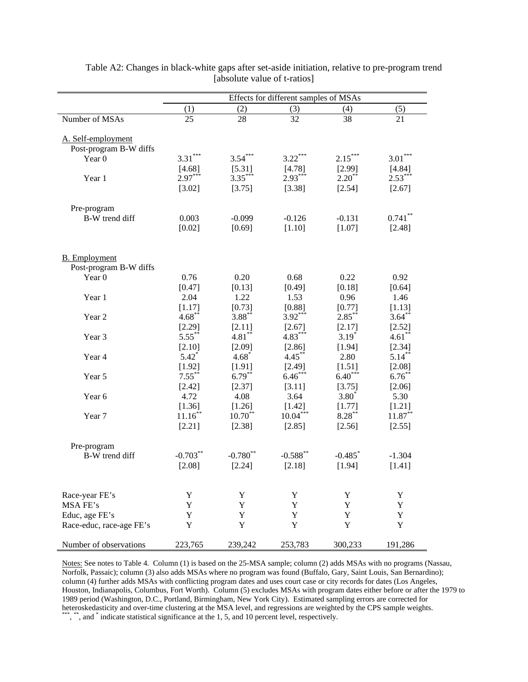|                                             |                     |                     | Effects for different samples of MSAs |                       |                     |
|---------------------------------------------|---------------------|---------------------|---------------------------------------|-----------------------|---------------------|
|                                             | (1)                 | (2)                 | (3)                                   | (4)                   | (5)                 |
| Number of MSAs                              | 25                  | 28                  | 32                                    | 38                    | 21                  |
|                                             |                     |                     |                                       |                       |                     |
| A. Self-employment                          |                     |                     |                                       |                       |                     |
| Post-program B-W diffs<br>Year <sub>0</sub> | $3.31***$           | $3.54***$           | $3.22***$                             | $2.15***$             | $3.01***$           |
|                                             |                     |                     |                                       |                       |                     |
| Year 1                                      | [4.68]<br>$2.97***$ | [5.31]<br>$3.35***$ | [4.78]<br>$2.93***$                   | [2.99]<br>$2.20***$   | [4.84]<br>$2.53***$ |
|                                             | [3.02]              | [3.75]              | [3.38]                                | [2.54]                | $[2.67]$            |
|                                             |                     |                     |                                       |                       |                     |
| Pre-program                                 |                     |                     |                                       |                       |                     |
| B-W trend diff                              | 0.003               | $-0.099$            | $-0.126$                              | $-0.131$              | $0.741***$          |
|                                             | [0.02]              | [0.69]              | [1.10]                                | [1.07]                | [2.48]              |
|                                             |                     |                     |                                       |                       |                     |
|                                             |                     |                     |                                       |                       |                     |
| <b>B.</b> Employment                        |                     |                     |                                       |                       |                     |
| Post-program B-W diffs                      |                     |                     |                                       |                       |                     |
| Year <sub>0</sub>                           | 0.76                | 0.20                | 0.68                                  | 0.22                  | 0.92                |
| Year 1                                      | [0.47]<br>2.04      | [0.13]<br>1.22      | [0.49]<br>1.53                        | [0.18]<br>0.96        | [0.64]              |
|                                             | [1.17]              | [0.73]              | [0.88]                                | [0.77]                | 1.46<br>[1.13]      |
| Year 2                                      | $4.68***$           | $3.88***$           | $3.92***$                             | $2.85***$             | $3.64***$           |
|                                             | [2.29]              | [2.11]              | [2.67]                                | [2.17]                | $[2.52]$            |
| Year 3                                      | $5.55***$           | $4.81***$           | $4.83***$                             | $3.19*$               | $4.61$ **           |
|                                             | [2.10]              | [2.09]              | [2.86]                                | [1.94]                | [2.34]              |
| Year 4                                      | $5.42*$             | $4.68*$             | $4.45***$                             | 2.80                  | $5.14***$           |
|                                             | [1.92]              | [1.91]              | [2.49]                                | [1.51]                | [2.08]              |
| Year 5                                      | $7.55***$           | $6.79***$           | $6.46***$                             | $6.40***$             | $6.76***$           |
|                                             | [2.42]              | [2.37]              | [3.11]                                | [3.75]                | [2.06]              |
| Year 6                                      | 4.72                | 4.08                | 3.64                                  | $3.80*$               | 5.30                |
|                                             | [1.36]              | [1.26]              | [1.42]                                | [1.77]                | [1.21]              |
| Year 7                                      | $11.16***$          | $10.70^{**}$        | $10.04***$                            | $8.28***$             | $11.87**$           |
|                                             | [2.21]              | [2.38]              | [2.85]                                | [2.56]                | [2.55]              |
|                                             |                     |                     |                                       |                       |                     |
| Pre-program<br>B-W trend diff               | $-0.703***$         | $-0.780$ **         | $-0.588$ **                           | $-0.485$ <sup>*</sup> | $-1.304$            |
|                                             |                     |                     |                                       | [1.94]                |                     |
|                                             | [2.08]              | [2.24]              | [2.18]                                |                       | [1.41]              |
|                                             |                     |                     |                                       |                       |                     |
| Race-year FE's                              | Y                   | Y                   | Y                                     | Y                     | Y                   |
| MSA FE's                                    | Y                   | Y                   | Y                                     | Y                     | Y                   |
| Educ, age FE's                              | Y                   | Y                   | Y                                     | Y                     | Y                   |
| Race-educ, race-age FE's                    | Y                   | Y                   | Y                                     | Y                     | Y                   |
| Number of observations                      | 223,765             | 239,242             | 253,783                               | 300,233               | 191,286             |

Table A2: Changes in black-white gaps after set-aside initiation, relative to pre-program trend [absolute value of t-ratios]

Notes: See notes to Table 4. Column (1) is based on the 25-MSA sample; column (2) adds MSAs with no programs (Nassau, Norfolk, Passaic); column (3) also adds MSAs where no program was found (Buffalo, Gary, Saint Louis, San Bernardino); column (4) further adds MSAs with conflicting program dates and uses court case or city records for dates (Los Angeles, Houston, Indianapolis, Columbus, Fort Worth). Column (5) excludes MSAs with program dates either before or after the 1979 to 1989 period (Washington, D.C., Portland, Birmingham, New York City). Estimated sampling errors are corrected for heteroskedasticity and over-time clustering at the MSA level, and regressions are weighted by the CPS sample weights.  $i$ <sup>\*</sup>,  $i$ <sup>\*</sup> and  $i$ <sup>\*</sup> indicate statistical significance at the 1, 5, and 10 percent level, respectively.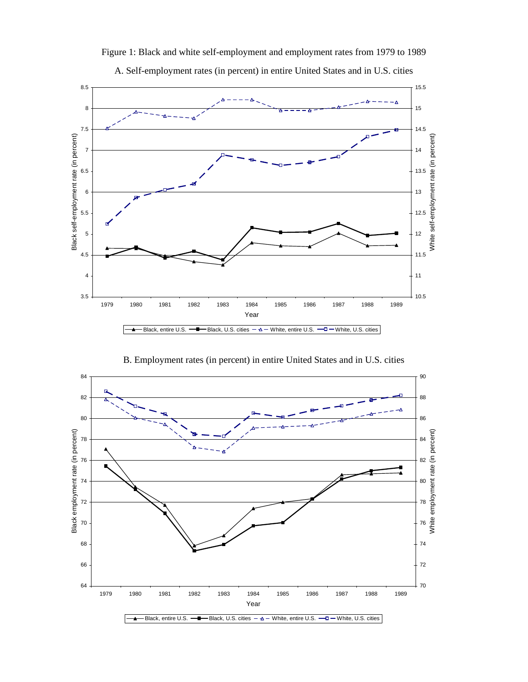

Figure 1: Black and white self-employment and employment rates from 1979 to 1989

A. Self-employment rates (in percent) in entire United States and in U.S. cities

B. Employment rates (in percent) in entire United States and in U.S. cities

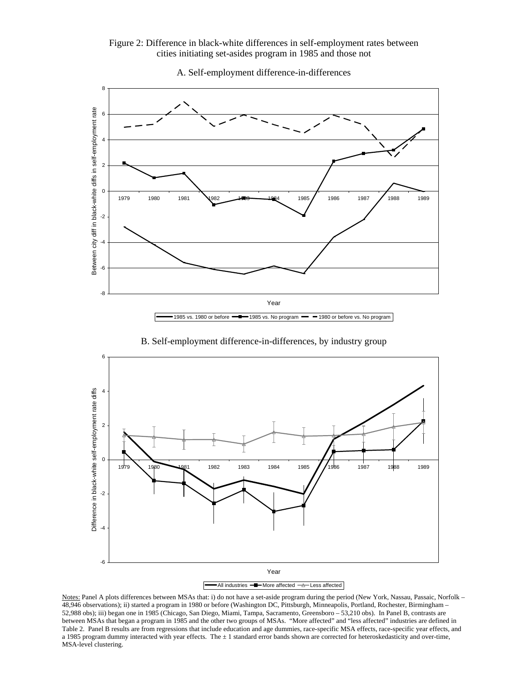Figure 2: Difference in black-white differences in self-employment rates between cities initiating set-asides program in 1985 and those not



A. Self-employment difference-in-differences

B. Self-employment difference-in-differences, by industry group



All industries  $\leftarrow$  More affected  $\rightarrow$  Less affected

Notes: Panel A plots differences between MSAs that: i) do not have a set-aside program during the period (New York, Nassau, Passaic, Norfolk – 48,946 observations); ii) started a program in 1980 or before (Washington DC, Pittsburgh, Minneapolis, Portland, Rochester, Birmingham – 52,988 obs); iii) began one in 1985 (Chicago, San Diego, Miami, Tampa, Sacramento, Greensboro – 53,210 obs). In Panel B, contrasts are between MSAs that began a program in 1985 and the other two groups of MSAs. "More affected" and "less affected" industries are defined in Table 2. Panel B results are from regressions that include education and age dummies, race-specific MSA effects, race-specific year effects, and a 1985 program dummy interacted with year effects. The  $\pm$  1 standard error bands shown are corrected for heteroskedasticity and over-time, MSA-level clustering.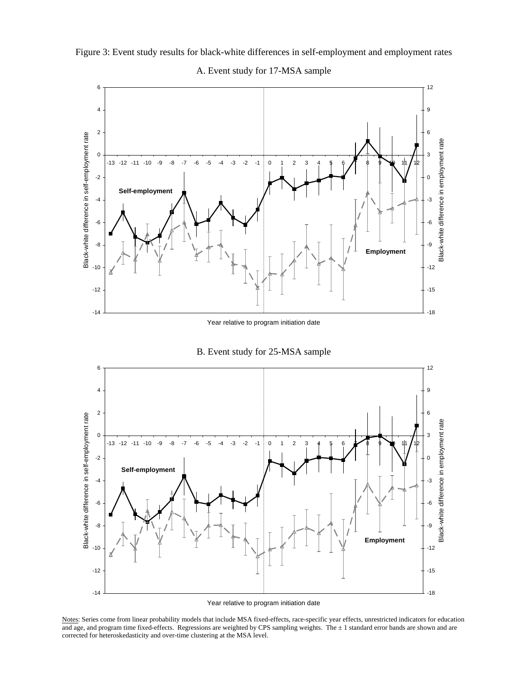

Figure 3: Event study results for black-white differences in self-employment and employment rates

A. Event study for 17-MSA sample

Year relative to program initiation date

B. Event study for 25-MSA sample



Year relative to program initiation date

Notes: Series come from linear probability models that include MSA fixed-effects, race-specific year effects, unrestricted indicators for education and age, and program time fixed-effects. Regressions are weighted by CPS sampling weights. The  $\pm 1$  standard error bands are shown and are corrected for heteroskedasticity and over-time clustering at the MSA level.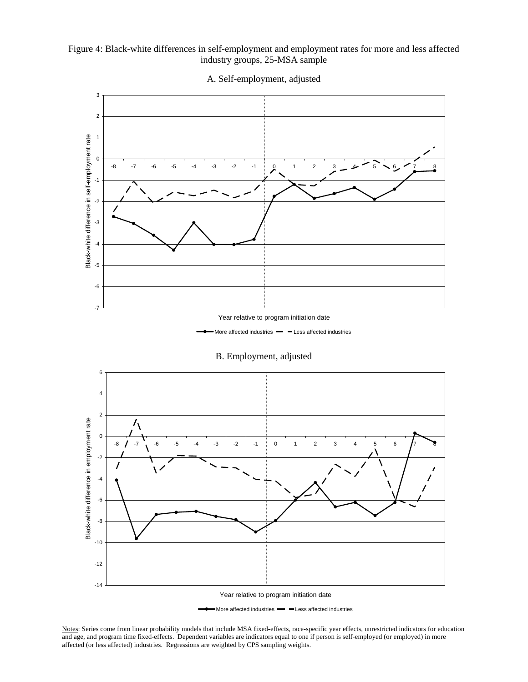Figure 4: Black-white differences in self-employment and employment rates for more and less affected industry groups, 25-MSA sample



A. Self-employment, adjusted



More affected industries  $\longrightarrow$  Less affected industries



Notes: Series come from linear probability models that include MSA fixed-effects, race-specific year effects, unrestricted indicators for education and age, and program time fixed-effects. Dependent variables are indicators equal to one if person is self-employed (or employed) in more affected (or less affected) industries. Regressions are weighted by CPS sampling weights.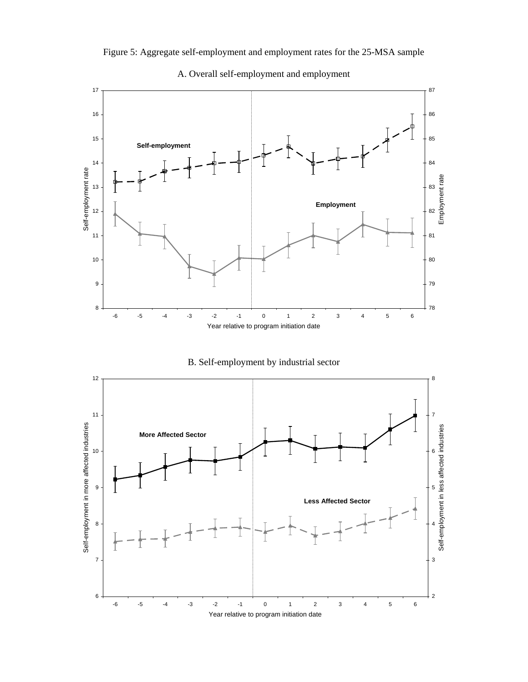

Figure 5: Aggregate self-employment and employment rates for the 25-MSA sample

A. Overall self-employment and employment



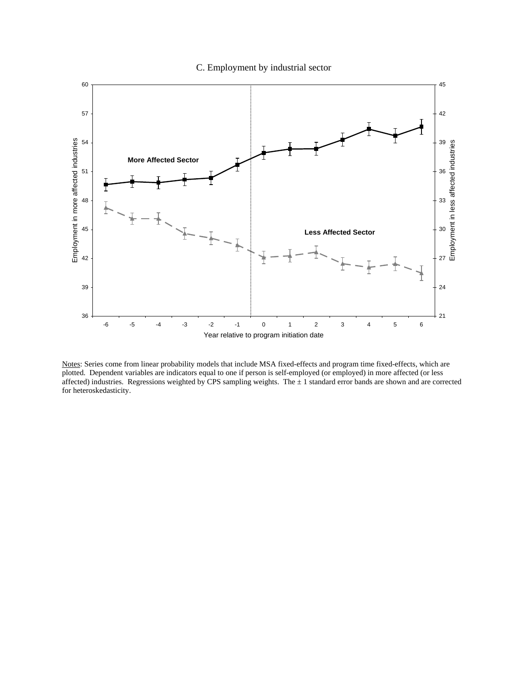#### C. Employment by industrial sector



Notes: Series come from linear probability models that include MSA fixed-effects and program time fixed-effects, which are plotted. Dependent variables are indicators equal to one if person is self-employed (or employed) in more affected (or less affected) industries. Regressions weighted by CPS sampling weights. The  $\pm 1$  standard error bands are shown and are corrected for heteroskedasticity.